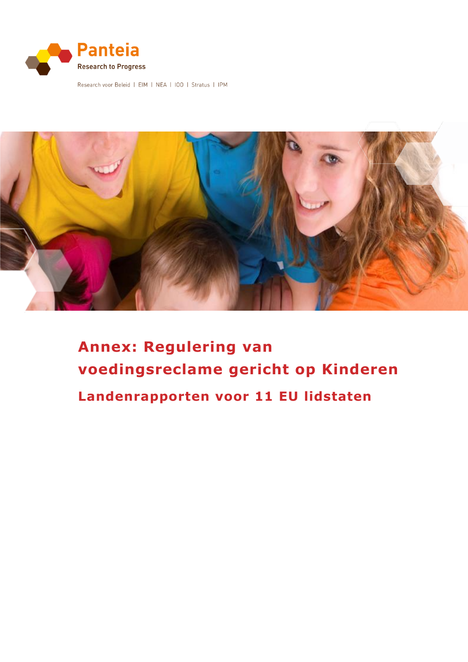

Research voor Beleid | EIM | NEA | IOO | Stratus | IPM



# **Annex: Regulering van voedingsreclame gericht op Kinderen Landenrapporten voor 11 EU lidstaten**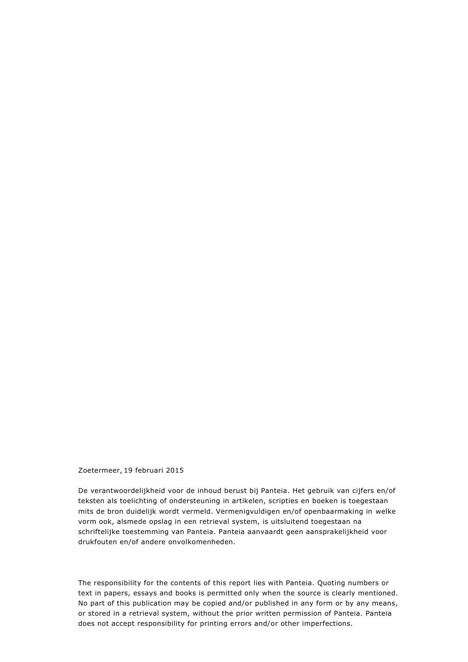#### Zoetermeer, 19 februari 2015

De verantwoordelijkheid voor de inhoud berust bij Panteia. Het gebruik van cijfers en/of teksten als toelichting of ondersteuning in artikelen, scripties en boeken is toegestaan mits de bron duidelijk wordt vermeld. Vermenigvuldigen en/of openbaarmaking in welke vorm ook, alsmede opslag in een retrieval system, is uitsluitend toegestaan na schriftelijke toestemming van Panteia. Panteia aanvaardt geen aansprakelijkheid voor drukfouten en/of andere onvolkomenheden.

The responsibility for the contents of this report lies with Panteia. Quoting numbers or text in papers, essays and books is permitted only when the source is clearly mentioned. No part of this publication may be copied and/or published in any form or by any means, or stored in a retrieval system, without the prior written permission of Panteia. Panteia does not accept responsibility for printing errors and/or other imperfections.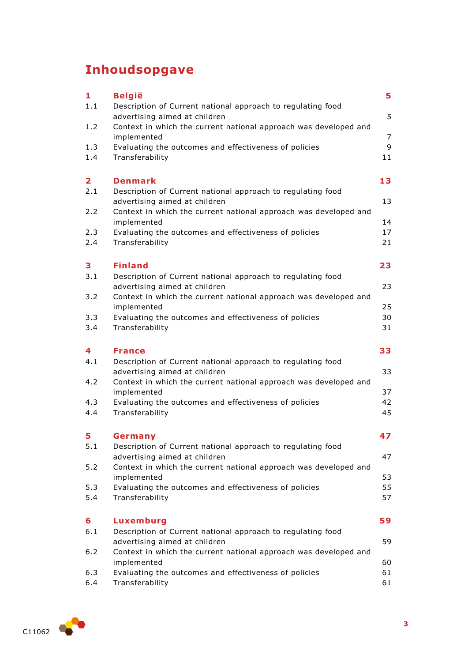## **Inhoudsopgave**

| 1                       | <b>België</b>                                                                                | 5                   |
|-------------------------|----------------------------------------------------------------------------------------------|---------------------|
| 1.1                     | Description of Current national approach to regulating food<br>advertising aimed at children | 5                   |
| 1.2                     | Context in which the current national approach was developed and                             |                     |
| 1.3                     | implemented<br>Evaluating the outcomes and effectiveness of policies                         | $\overline{7}$<br>9 |
| 1.4                     | Transferability                                                                              | 11                  |
| $\overline{\mathbf{2}}$ | <b>Denmark</b>                                                                               | 13                  |
| 2.1                     | Description of Current national approach to regulating food                                  |                     |
|                         | advertising aimed at children                                                                | 13                  |
| 2.2                     | Context in which the current national approach was developed and                             |                     |
| 2.3                     | implemented<br>Evaluating the outcomes and effectiveness of policies                         | 14<br>17            |
| 2.4                     | Transferability                                                                              | 21                  |
| 3                       | <b>Finland</b>                                                                               | 23                  |
| 3.1                     | Description of Current national approach to regulating food                                  |                     |
|                         | advertising aimed at children                                                                | 23                  |
| 3.2                     | Context in which the current national approach was developed and<br>implemented              | 25                  |
| 3.3                     | Evaluating the outcomes and effectiveness of policies                                        | 30                  |
| 3.4                     | Transferability                                                                              | 31                  |
|                         |                                                                                              |                     |
| 4                       | <b>France</b>                                                                                | 33                  |
| 4.1                     | Description of Current national approach to regulating food                                  |                     |
|                         | advertising aimed at children                                                                | 33                  |
| 4.2                     | Context in which the current national approach was developed and                             |                     |
| 4.3                     | implemented<br>Evaluating the outcomes and effectiveness of policies                         | 37<br>42            |
| 4.4                     | Transferability                                                                              | 45                  |
| 5                       | Germany                                                                                      | 47                  |
| 5.1                     | Description of Current national approach to regulating food                                  |                     |
|                         | advertising aimed at children                                                                | 47                  |
| 5.2                     | Context in which the current national approach was developed and<br>implemented              | 53                  |
| 5.3                     | Evaluating the outcomes and effectiveness of policies                                        | 55                  |
| 5.4                     | Transferability                                                                              |                     |
| 6                       | <b>Luxemburg</b>                                                                             |                     |
| 6.1                     | Description of Current national approach to regulating food                                  | 57<br>59            |
|                         | advertising aimed at children                                                                | 59                  |
| 6.2                     | Context in which the current national approach was developed and<br>implemented              | 60                  |
| 6.3<br>6.4              | Evaluating the outcomes and effectiveness of policies<br>Transferability                     | 61<br>61            |

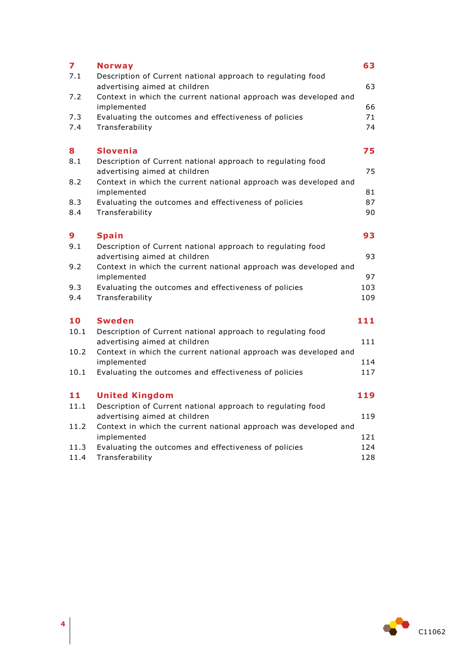| $\overline{\mathbf{z}}$ | <b>Norway</b>                                                                                | 63  |
|-------------------------|----------------------------------------------------------------------------------------------|-----|
| 7.1                     | Description of Current national approach to regulating food<br>advertising aimed at children | 63  |
| 7.2                     | Context in which the current national approach was developed and<br>implemented              | 66  |
| 7.3                     | Evaluating the outcomes and effectiveness of policies                                        | 71  |
| 7.4                     | Transferability                                                                              | 74  |
| 8                       | <b>Slovenia</b>                                                                              | 75  |
| 8.1                     | Description of Current national approach to regulating food                                  |     |
|                         | advertising aimed at children                                                                | 75  |
| 8.2                     | Context in which the current national approach was developed and<br>implemented              | 81  |
| 8.3                     | Evaluating the outcomes and effectiveness of policies                                        | 87  |
| 8.4                     | Transferability                                                                              | 90  |
| 9                       | <b>Spain</b>                                                                                 | 93  |
| 9.1                     | Description of Current national approach to regulating food                                  |     |
|                         | advertising aimed at children                                                                | 93  |
| 9.2                     | Context in which the current national approach was developed and<br>implemented              | 97  |
| 9.3                     | Evaluating the outcomes and effectiveness of policies                                        | 103 |
| 9.4                     | Transferability                                                                              | 109 |
| 10                      | <b>Sweden</b>                                                                                | 111 |
| 10.1                    | Description of Current national approach to regulating food                                  |     |
|                         | advertising aimed at children                                                                | 111 |
| 10.2                    | Context in which the current national approach was developed and<br>implemented              | 114 |
| 10.1                    | Evaluating the outcomes and effectiveness of policies                                        | 117 |
| 11                      | <b>United Kingdom</b>                                                                        | 119 |
| 11.1                    | Description of Current national approach to regulating food                                  |     |
|                         | advertising aimed at children                                                                | 119 |
| 11.2                    | Context in which the current national approach was developed and                             |     |
|                         | implemented                                                                                  | 121 |
| 11.3                    | Evaluating the outcomes and effectiveness of policies                                        | 124 |
| 11.4                    | Transferability                                                                              | 128 |

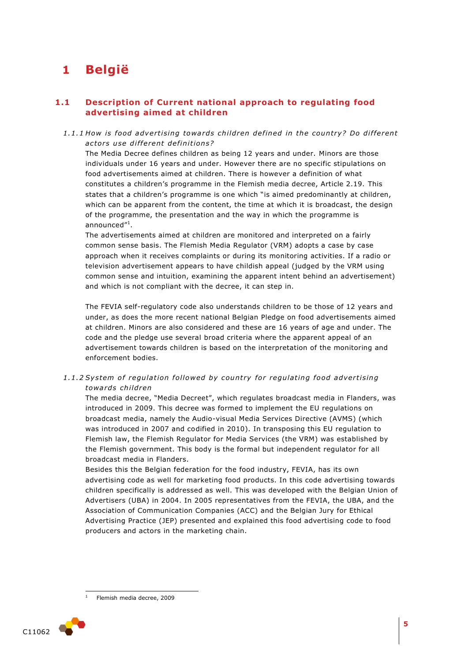## <span id="page-4-0"></span>**1 België**

## <span id="page-4-1"></span>**1.1 Description of Current national approach to regulating food advertising aimed at children**

1.1.1 How is food advertising towards children defined in the country? Do different *ac to rs u se di f fe rent de fini tion s?* 

The Media Decree defines children as being 12 years and under. Minors are those individuals under 16 years and under. However there are no specific stipulations on food advertisements aimed at children. There is however a definition of what constitutes a children's programme in the Flemish media decree, Article 2.19. This states that a children's programme is one which "is aimed predominantly at children, which can be apparent from the content, the time at which it is broadcast, the design of the programme, the presentation and the way in which the programme is announced"<sup>1</sup>.

The advertisements aimed at children are monitored and interpreted on a fairly common sense basis. The Flemish Media Regulator (VRM) adopts a case by case approach when it receives complaints or during its monitoring activities. If a radio or television advertisement appears to have childish appeal (judged by the VRM using common sense and intuition, examining the apparent intent behind an advertisement) and which is not compliant with the decree, it can step in.

The FEVIA self-regulatory code also understands children to be those of 12 years and under, as does the more recent national Belgian Pledge on food advertisements aimed at children. Minors are also considered and these are 16 years of age and under. The code and the pledge use several broad criteria where the apparent appeal of an advertisement towards children is based on the interpretation of the monitoring and enforcement bodies.

## 1.1.2 System of regulation followed by country for regulating food advertising *towa rds child ren*

The media decree, "Media Decreet", which regulates broadcast media in Flanders, was introduced in 2009. This decree was formed to implement the EU regulations on broadcast media, namely the Audio-visual Media Services Directive (AVMS) (which was introduced in 2007 and codified in 2010). In transposing this EU regulation to Flemish law, the Flemish Regulator for Media Services (the VRM) was established by the Flemish government. This body is the formal but independent regulator for all broadcast media in Flanders.

Besides this the Belgian federation for the food industry, FEVIA, has its own advertising code as well for marketing food products. In this code advertising towards children specifically is addressed as well. This was developed with the Belgian Union of Advertisers (UBA) in 2004. In 2005 representatives from the FEVIA, the UBA, and the Association of Communication Companies (ACC) and the Belgian Jury for Ethical Advertising Practice (JEP) presented and explained this food advertising code to food producers and actors in the marketing chain.

Flemish media decree, 2009



1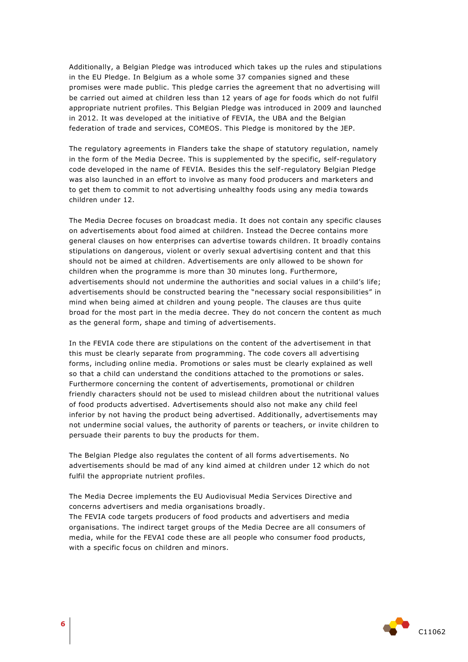Additionally, a Belgian Pledge was introduced which takes up the rules and stipulations in the EU Pledge. In Belgium as a whole some 37 companies signed and these promises were made public. This pledge carries the agreement that no advertising will be carried out aimed at children less than 12 years of age for foods which do not fulfil appropriate nutrient profiles. This Belgian Pledge was introduced in 2009 and launched in 2012. It was developed at the initiative of FEVIA, the UBA and the Belgian federation of trade and services, COMEOS. This Pledge is monitored by the JEP.

The regulatory agreements in Flanders take the shape of statutory regulation, namely in the form of the Media Decree. This is supplemented by the specific, self-regulatory code developed in the name of FEVIA. Besides this the self-regulatory Belgian Pledge was also launched in an effort to involve as many food producers and marketers and to get them to commit to not advertising unhealthy foods using any media towards children under 12.

The Media Decree focuses on broadcast media. It does not contain any specific clauses on advertisements about food aimed at children. Instead the Decree contains more general clauses on how enterprises can advertise towards children. It broadly contains stipulations on dangerous, violent or overly sexual advertising content and that this should not be aimed at children. Advertisements are only allowed to be shown for children when the programme is more than 30 minutes long. Furthermore, advertisements should not undermine the authorities and social values in a child's life; advertisements should be constructed bearing the "necessary social responsibilities" in mind when being aimed at children and young people. The clauses are thus quite broad for the most part in the media decree. They do not concern the content as much as the general form, shape and timing of advertisements.

In the FEVIA code there are stipulations on the content of the advertisement in that this must be clearly separate from programming. The code covers all advertising forms, including online media. Promotions or sales must be clearly explained as well so that a child can understand the conditions attached to the promotions or sales. Furthermore concerning the content of advertisements, promotional or children friendly characters should not be used to mislead children about the nutritional values of food products advertised. Advertisements should also not make any child feel inferior by not having the product being advertised. Additionally, advertisements may not undermine social values, the authority of parents or teachers, or invite children to persuade their parents to buy the products for them.

The Belgian Pledge also regulates the content of all forms advertisements. No advertisements should be mad of any kind aimed at children under 12 which do not fulfil the appropriate nutrient profiles.

The Media Decree implements the EU Audiovisual Media Services Directive and concerns advertisers and media organisations broadly. The FEVIA code targets producers of food products and advertisers and media organisations. The indirect target groups of the Media Decree are all consumers of media, while for the FEVAI code these are all people who consumer food products, with a specific focus on children and minors.

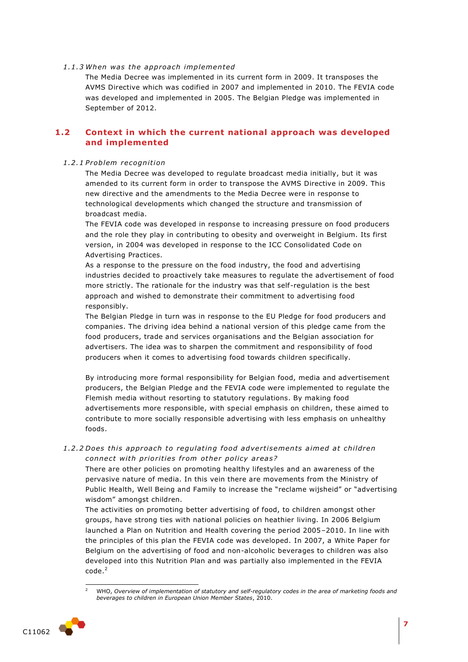#### *1 .1 .3 When was the app roa ch implemented*

The Media Decree was implemented in its current form in 2009. It transposes the AVMS Directive which was codified in 2007 and implemented in 2010. The FEVIA code was developed and implemented in 2005. The Belgian Pledge was implemented in September of 2012.

## <span id="page-6-0"></span>**1.2 Context in which the current national approach was developed and implemented**

#### *1 .2 .1 P roblem recognition*

The Media Decree was developed to regulate broadcast media initially, but it was amended to its current form in order to transpose the AVMS Directive in 2009. This new directive and the amendments to the Media Decree were in response to technological developments which changed the structure and transmission of broadcast media.

The FEVIA code was developed in response to increasing pressure on food producers and the role they play in contributing to obesity and overweight in Belgium. Its first version, in 2004 was developed in response to the ICC Consolidated Code on Advertising Practices.

As a response to the pressure on the food industry, the food and advertising industries decided to proactively take measures to regulate the advertisement of food more strictly. The rationale for the industry was that self-regulation is the best approach and wished to demonstrate their commitment to advertising food responsibly.

The Belgian Pledge in turn was in response to the EU Pledge for food producers and companies. The driving idea behind a national version of this pledge came from the food producers, trade and services organisations and the Belgian association for advertisers. The idea was to sharpen the commitment and responsibility of food producers when it comes to advertising food towards children specifically.

By introducing more formal responsibility for Belgian food, media and advertisement producers, the Belgian Pledge and the FEVIA code were implemented to regulate the Flemish media without resorting to statutory regulations. By making food advertisements more responsible, with special emphasis on children, these aimed to contribute to more socially responsible advertising with less emphasis on unhealthy foods.

## 1.2.2 Does this approach to regulating food advertisements aimed at children connect with priorities from other policy areas?

There are other policies on promoting healthy lifestyles and an awareness of the pervasive nature of media. In this vein there are movements from the Ministry of Public Health, Well Being and Family to increase the "reclame wijsheid" or "advertising wisdom" amongst children.

The activities on promoting better advertising of food, to children amongst other groups, have strong ties with national policies on heathier living. In 2006 Belgium launched a Plan on Nutrition and Health covering the period 2005–2010. In line with the principles of this plan the FEVIA code was developed. In 2007, a White Paper for Belgium on the advertising of food and non-alcoholic beverages to children was also developed into this Nutrition Plan and was partially also implemented in the FEVIA  $code<sup>2</sup>$ 

<sup>1</sup> <sup>2</sup> WHO, *Overview of implementation of statutory and self-regulatory codes in the area of marketing foods and beverages to children in European Union Member States*, 2010.

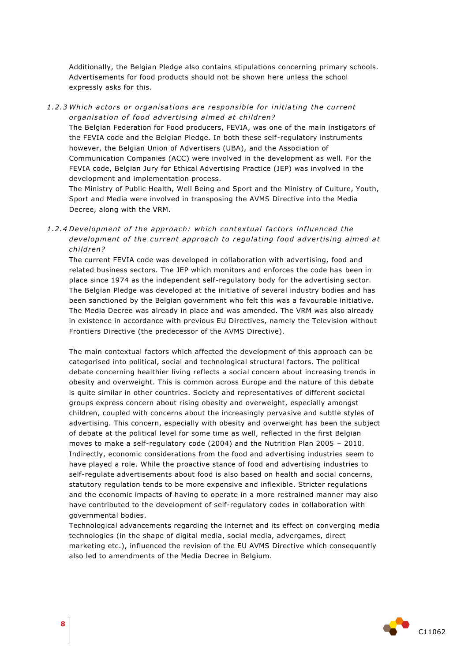Additionally, the Belgian Pledge also contains stipulations concerning primary schools. Advertisements for food products should not be shown here unless the school expressly asks for this.

#### 1.2.3 Which actors or organisations are responsible for initiating the current *organisation of food advertising aimed at children?*

The Belgian Federation for Food producers, FEVIA, was one of the main instigators of the FEVIA code and the Belgian Pledge. In both these self-regulatory instruments however, the Belgian Union of Advertisers (UBA), and the Association of Communication Companies (ACC) were involved in the development as well. For the FEVIA code, Belgian Jury for Ethical Advertising Practice (JEP) was involved in the development and implementation process.

The Ministry of Public Health, Well Being and Sport and the Ministry of Culture, Youth, Sport and Media were involved in transposing the AVMS Directive into the Media Decree, along with the VRM.

1.2.4 Development of the approach: which contextual factors influenced the development of the current approach to regulating food advertising aimed at *child ren?* 

The current FEVIA code was developed in collaboration with advertising, food and related business sectors. The JEP which monitors and enforces the code has been in place since 1974 as the independent self-regulatory body for the advertising sector. The Belgian Pledge was developed at the initiative of several industry bodies and has been sanctioned by the Belgian government who felt this was a favourable initiative. The Media Decree was already in place and was amended. The VRM was also already in existence in accordance with previous EU Directives, namely the Television without Frontiers Directive (the predecessor of the AVMS Directive).

The main contextual factors which affected the development of this approach can be categorised into political, social and technological structural factors. The political debate concerning healthier living reflects a social concern about increasing trends in obesity and overweight. This is common across Europe and the nature of this debate is quite similar in other countries. Society and representatives of different societal groups express concern about rising obesity and overweight, especially amongst children, coupled with concerns about the increasingly pervasive and subtle styles of advertising. This concern, especially with obesity and overweight has been the subject of debate at the political level for some time as well, reflected in the first Belgian moves to make a self-regulatory code (2004) and the Nutrition Plan 2005 – 2010. Indirectly, economic considerations from the food and advertising industries seem to have played a role. While the proactive stance of food and advertising industries to self-regulate advertisements about food is also based on health and social concerns, statutory regulation tends to be more expensive and inflexible. Stricter regulations and the economic impacts of having to operate in a more restrained manner may also have contributed to the development of self-regulatory codes in collaboration with governmental bodies.

Technological advancements regarding the internet and its effect on converging media technologies (in the shape of digital media, social media, advergames, direct marketing etc.), influenced the revision of the EU AVMS Directive which consequently also led to amendments of the Media Decree in Belgium.

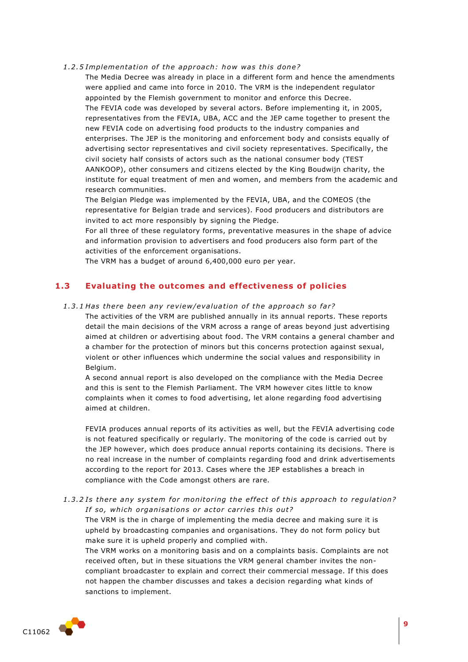1.2.5 Implementation of the approach: how was this done?

The Media Decree was already in place in a different form and hence the amendments were applied and came into force in 2010. The VRM is the independent regulator appointed by the Flemish government to monitor and enforce this Decree. The FEVIA code was developed by several actors. Before implementing it, in 2005, representatives from the FEVIA, UBA, ACC and the JEP came together to present the new FEVIA code on advertising food products to the industry companies and enterprises. The JEP is the monitoring and enforcement body and consists equally of advertising sector representatives and civil society representatives. Specifically, the civil society half consists of actors such as the national consumer body (TEST AANKOOP), other consumers and citizens elected by the King Boudwijn charity, the institute for equal treatment of men and women, and members from the academic and research communities.

The Belgian Pledge was implemented by the FEVIA, UBA, and the COMEOS (the representative for Belgian trade and services). Food producers and distributors are invited to act more responsibly by signing the Pledge.

For all three of these regulatory forms, preventative measures in the shape of advice and information provision to advertisers and food producers also form part of the activities of the enforcement organisations.

<span id="page-8-0"></span>The VRM has a budget of around 6,400,000 euro per year.

## **1.3 Evaluating the outcomes and effectiveness of policies**

#### 1.3.1 Has there been any review/evaluation of the approach so far?

The activities of the VRM are published annually in its annual reports. These reports detail the main decisions of the VRM across a range of areas beyond just advertising aimed at children or advertising about food. The VRM contains a general chamber and a chamber for the protection of minors but this concerns protection against sexual, violent or other influences which undermine the social values and responsibility in Belgium.

A second annual report is also developed on the compliance with the Media Decree and this is sent to the Flemish Parliament. The VRM however cites little to know complaints when it comes to food advertising, let alone regarding food advertising aimed at children.

FEVIA produces annual reports of its activities as well, but the FEVIA advertising code is not featured specifically or regularly. The monitoring of the code is carried out by the JEP however, which does produce annual reports containing its decisions. There is no real increase in the number of complaints regarding food and drink advertisements according to the report for 2013. Cases where the JEP establishes a breach in compliance with the Code amongst others are rare.

1.3.2 Is there any system for monitoring the effect of this approach to regulation? If so, which organisations or actor carries this out?

The VRM is the in charge of implementing the media decree and making sure it is upheld by broadcasting companies and organisations. They do not form policy but make sure it is upheld properly and complied with.

The VRM works on a monitoring basis and on a complaints basis. Complaints are not received often, but in these situations the VRM general chamber invites the noncompliant broadcaster to explain and correct their commercial message. If this does not happen the chamber discusses and takes a decision regarding what kinds of sanctions to implement.

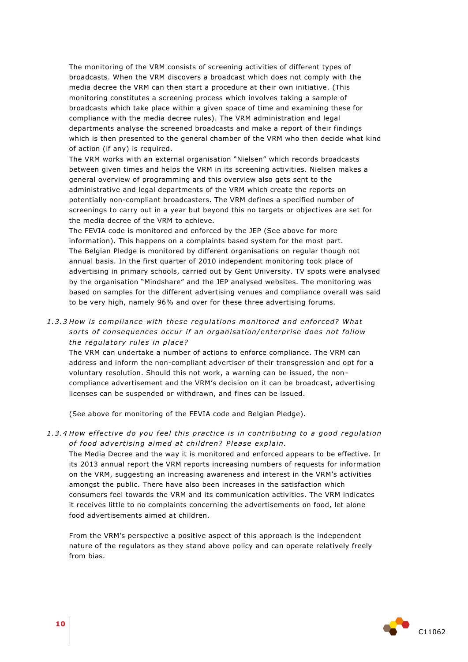The monitoring of the VRM consists of screening activities of different types of broadcasts. When the VRM discovers a broadcast which does not comply with the media decree the VRM can then start a procedure at their own initiative. (This monitoring constitutes a screening process which involves taking a sample of broadcasts which take place within a given space of time and examining these for compliance with the media decree rules). The VRM administration and legal departments analyse the screened broadcasts and make a report of their findings which is then presented to the general chamber of the VRM who then decide what kind of action (if any) is required.

The VRM works with an external organisation "Nielsen" which records broadcasts between given times and helps the VRM in its screening activities. Nielsen makes a general overview of programming and this overview also gets sent to the administrative and legal departments of the VRM which create the reports on potentially non-compliant broadcasters. The VRM defines a specified number of screenings to carry out in a year but beyond this no targets or objectives are set for the media decree of the VRM to achieve.

The FEVIA code is monitored and enforced by the JEP (See above for more information). This happens on a complaints based system for the most part. The Belgian Pledge is monitored by different organisations on regular though not annual basis. In the first quarter of 2010 independent monitoring took place of advertising in primary schools, carried out by Gent University. TV spots were analysed by the organisation "Mindshare" and the JEP analysed websites. The monitoring was based on samples for the different advertising venues and compliance overall was said to be very high, namely 96% and over for these three advertising forums.

1.3.3 How is compliance with these regulations monitored and enforced? What sorts of consequences occur if an organisation/enterprise does not follow *the regulatory rules in place?* 

The VRM can undertake a number of actions to enforce compliance. The VRM can address and inform the non-compliant advertiser of their transgression and opt for a voluntary resolution. Should this not work, a warning can be issued, the noncompliance advertisement and the VRM's decision on it can be broadcast, advertising licenses can be suspended or withdrawn, and fines can be issued.

(See above for monitoring of the FEVIA code and Belgian Pledge).

1.3.4 How effective do you feel this practice is in contributing to a good regulation of food advertising aimed at children? Please explain.

The Media Decree and the way it is monitored and enforced appears to be effective. In its 2013 annual report the VRM reports increasing numbers of requests for information on the VRM, suggesting an increasing awareness and interest in the VRM's activities amongst the public. There have also been increases in the satisfaction which consumers feel towards the VRM and its communication activities. The VRM indicates it receives little to no complaints concerning the advertisements on food, let alone food advertisements aimed at children.

From the VRM's perspective a positive aspect of this approach is the independent nature of the regulators as they stand above policy and can operate relatively freely from bias.

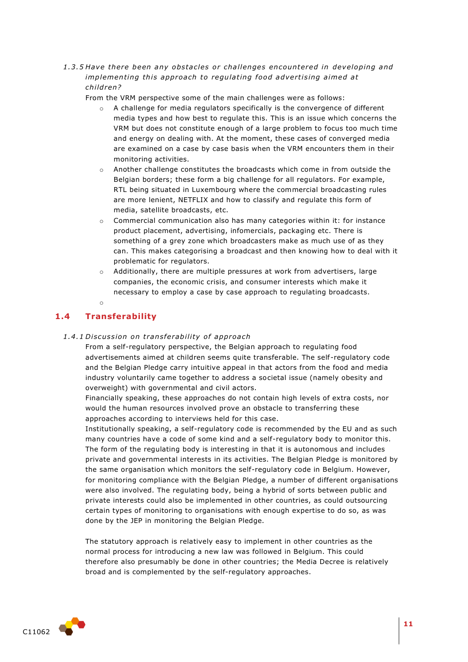1.3.5 Have there been any obstacles or challenges encountered in developing and *implementing this approach to regulating food advertising aimed at child ren?*

From the VRM perspective some of the main challenges were as follows:

- o A challenge for media regulators specifically is the convergence of different media types and how best to regulate this. This is an issue which concerns the VRM but does not constitute enough of a large problem to focus too much time and energy on dealing with. At the moment, these cases of converged media are examined on a case by case basis when the VRM encounters them in their monitoring activities.
- $\circ$  Another challenge constitutes the broadcasts which come in from outside the Belgian borders; these form a big challenge for all regulators. For example, RTL being situated in Luxembourg where the commercial broadcasting rules are more lenient, NETFLIX and how to classify and regulate this form of media, satellite broadcasts, etc.
- $\circ$  Commercial communication also has many categories within it: for instance product placement, advertising, infomercials, packaging etc. There is something of a grey zone which broadcasters make as much use of as they can. This makes categorising a broadcast and then knowing how to deal with it problematic for regulators.
- o Additionally, there are multiple pressures at work from advertisers, large companies, the economic crisis, and consumer interests which make it necessary to employ a case by case approach to regulating broadcasts.

<span id="page-10-0"></span>o

## **1.4 Transferability**

#### *1 .4 .1 Di scus sion on t rans fe rabili ty o f app roach*

From a self-regulatory perspective, the Belgian approach to regulating food advertisements aimed at children seems quite transferable. The self-regulatory code and the Belgian Pledge carry intuitive appeal in that actors from the food and media industry voluntarily came together to address a societal issue (namely obesity and overweight) with governmental and civil actors.

Financially speaking, these approaches do not contain high levels of extra costs, nor would the human resources involved prove an obstacle to transferring these approaches according to interviews held for this case.

Institutionally speaking, a self-regulatory code is recommended by the EU and as such many countries have a code of some kind and a self-regulatory body to monitor this. The form of the regulating body is interesting in that it is autonomous and includes private and governmental interests in its activities. The Belgian Pledge is monitored by the same organisation which monitors the self-regulatory code in Belgium. However, for monitoring compliance with the Belgian Pledge, a number of different organisations were also involved. The regulating body, being a hybrid of sorts between public and private interests could also be implemented in other countries, as could outsourcing certain types of monitoring to organisations with enough expertise to do so, as was done by the JEP in monitoring the Belgian Pledge.

The statutory approach is relatively easy to implement in other countries as the normal process for introducing a new law was followed in Belgium. This could therefore also presumably be done in other countries; the Media Decree is relatively broad and is complemented by the self-regulatory approaches.

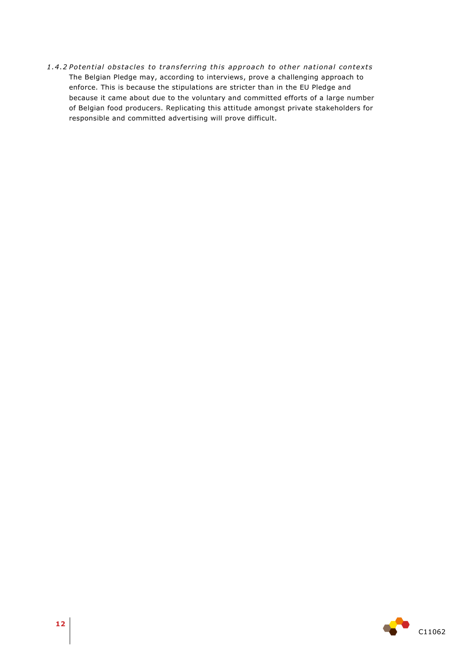1.4.2 Potential obstacles to transferring this approach to other national contexts The Belgian Pledge may, according to interviews, prove a challenging approach to enforce. This is because the stipulations are stricter than in the EU Pledge and because it came about due to the voluntary and committed efforts of a large number of Belgian food producers. Replicating this attitude amongst private stakeholders for responsible and committed advertising will prove difficult.

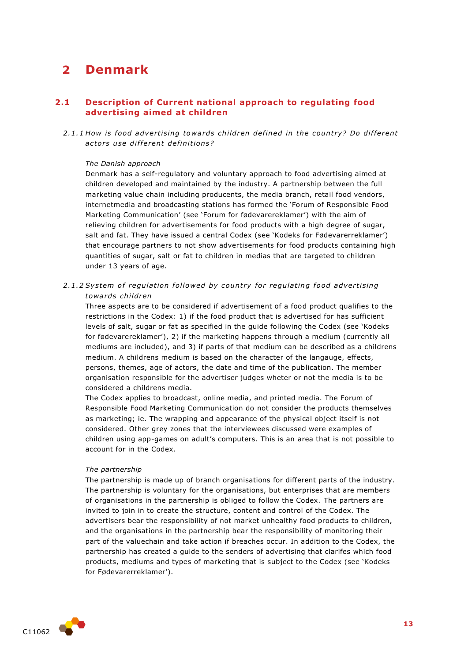## <span id="page-12-0"></span>**2 Denmark**

## <span id="page-12-1"></span>**2.1 Description of Current national approach to regulating food advertising aimed at children**

2.1.1 How is food advertising towards children defined in the country? Do different *ac to rs u se di f fe rent de fini tion s?* 

#### *The Danish approach*

Denmark has a self-regulatory and voluntary approach to food advertising aimed at children developed and maintained by the industry. A partnership between the full marketing value chain including producents, the media branch, retail food vendors, internetmedia and broadcasting stations has formed the 'Forum of Responsible Food Marketing Communication' (see 'Forum for fødevarereklamer') with the aim of relieving children for advertisements for food products with a high degree of sugar, salt and fat. They have issued a central Codex (see 'Kodeks for Fødevarerreklamer') that encourage partners to not show advertisements for food products containing high quantities of sugar, salt or fat to children in medias that are targeted to children under 13 years of age.

2.1.2 System of regulation followed by country for regulating food advertising *towa rds child ren*

Three aspects are to be considered if advertisement of a food product qualifies to the restrictions in the Codex: 1) if the food product that is advertised for has sufficient levels of salt, sugar or fat as specified in the guide following the Codex (see 'Kodeks for fødevarereklamer'), 2) if the marketing happens through a medium (currently all mediums are included), and 3) if parts of that medium can be described as a childrens medium. A childrens medium is based on the character of the langauge, effects, persons, themes, age of actors, the date and time of the publication. The member organisation responsible for the advertiser judges wheter or not the media is to be considered a childrens media.

The Codex applies to broadcast, online media, and printed media. The Forum of Responsible Food Marketing Communication do not consider the products themselves as marketing; ie. The wrapping and appearance of the physical object itself is not considered. Other grey zones that the interviewees discussed were examples of children using app-games on adult's computers. This is an area that is not possible to account for in the Codex.

#### *The partnership*

The partnership is made up of branch organisations for different parts of the industry. The partnership is voluntary for the organisations, but enterprises that are members of organisations in the partnership is obliged to follow the Codex. The partners are invited to join in to create the structure, content and control of the Codex. The advertisers bear the responsibility of not market unhealthy food products to children, and the organisations in the partnership bear the responsibility of monitoring their part of the valuechain and take action if breaches occur. In addition to the Codex, the partnership has created a guide to the senders of advertising that clarifes which food products, mediums and types of marketing that is subject to the Codex (see 'Kodeks for Fødevarerreklamer').

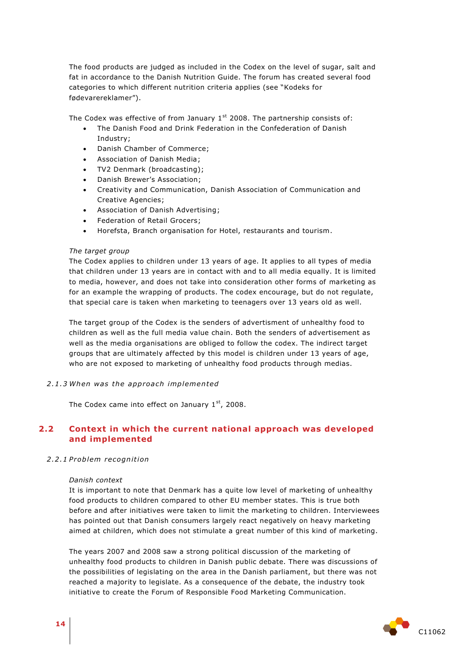The food products are judged as included in the Codex on the level of sugar, salt and fat in accordance to the Danish Nutrition Guide. The forum has created several food categories to which different nutrition criteria applies (see "Kodeks for fødevarereklamer").

The Codex was effective of from January  $1<sup>st</sup>$  2008. The partnership consists of:

- The Danish Food and Drink Federation in the Confederation of Danish Industry;
- Danish Chamber of Commerce;
- Association of Danish Media;
- TV2 Denmark (broadcasting);
- Danish Brewer's Association;
- Creativity and Communication, Danish Association of Communication and Creative Agencies;
- Association of Danish Advertising;
- Federation of Retail Grocers;
- Horefsta, Branch organisation for Hotel, restaurants and tourism.

#### *The target group*

The Codex applies to children under 13 years of age. It applies to all types of media that children under 13 years are in contact with and to all media equally. It is limited to media, however, and does not take into consideration other forms of marketing as for an example the wrapping of products. The codex encourage, but do not regulate, that special care is taken when marketing to teenagers over 13 years old as well.

The target group of the Codex is the senders of advertisment of unhealthy food to children as well as the full media value chain. Both the senders of advertisement as well as the media organisations are obliged to follow the codex. The indirect target groups that are ultimately affected by this model is children under 13 years of age, who are not exposed to marketing of unhealthy food products through medias.

*2 .1 .3 When was the app roa ch implemented*

<span id="page-13-0"></span>The Codex came into effect on January  $1<sup>st</sup>$ , 2008.

## **2.2 Context in which the current national approach was developed and implemented**

#### *2 .2 .1 P roblem recognition*

#### *Danish context*

It is important to note that Denmark has a quite low level of marketing of unhealthy food products to children compared to other EU member states. This is true both before and after initiatives were taken to limit the marketing to children. Interviewees has pointed out that Danish consumers largely react negatively on heavy marketing aimed at children, which does not stimulate a great number of this kind of marketing.

The years 2007 and 2008 saw a strong political discussion of the marketing of unhealthy food products to children in Danish public debate. There was discussions of the possibilities of legislating on the area in the Danish parliament, but there was not reached a majority to legislate. As a consequence of the debate, the industry took initiative to create the Forum of Responsible Food Marketing Communication.

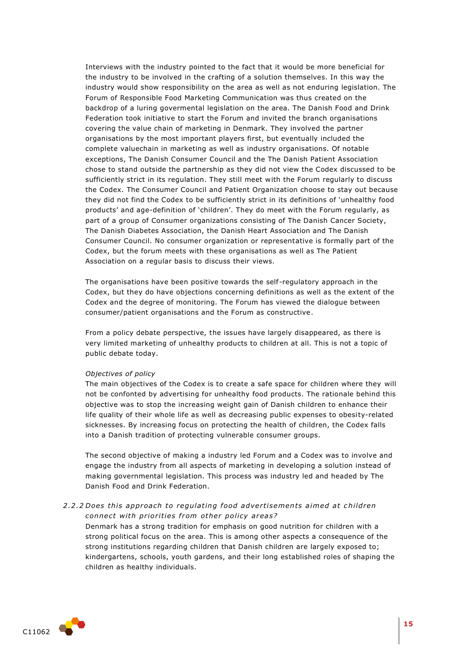Interviews with the industry pointed to the fact that it would be more beneficial for the industry to be involved in the crafting of a solution themselves. In this way the industry would show responsibility on the area as well as not enduring legislation. The Forum of Responsible Food Marketing Communication was thus created on the backdrop of a luring govermental legislation on the area. The Danish Food and Drink Federation took initiative to start the Forum and invited the branch organisations covering the value chain of marketing in Denmark. They involved the partner organisations by the most important players first, but eventually included the complete valuechain in marketing as well as industry organisations. Of notable exceptions, The Danish Consumer Council and the The Danish Patient Association chose to stand outside the partnership as they did not view the Codex discussed to be sufficiently strict in its regulation. They still meet with the Forum regularly to discuss the Codex. The Consumer Council and Patient Organization choose to stay out because they did not find the Codex to be sufficiently strict in its definitions of 'unhealthy food products' and age-definition of 'children'. They do meet with the Forum regularly, as part of a group of Consumer organizations consisting of The Danish Cancer Society, The Danish Diabetes Association, the Danish Heart Association and The Danish Consumer Council. No consumer organization or representative is formally part of the Codex, but the forum meets with these organisations as well as The Patient Association on a regular basis to discuss their views.

The organisations have been positive towards the self-regulatory approach in the Codex, but they do have objections concerning definitions as well as the extent of the Codex and the degree of monitoring. The Forum has viewed the dialogue between consumer/patient organisations and the Forum as constructive.

From a policy debate perspective, the issues have largely disappeared, as there is very limited marketing of unhealthy products to children at all. This is not a topic of public debate today.

#### *Objectives of policy*

The main objectives of the Codex is to create a safe space for children where they will not be confonted by advertising for unhealthy food products. The rationale behind this objective was to stop the increasing weight gain of Danish children to enhance their life quality of their whole life as well as decreasing public expenses to obesity-related sicknesses. By increasing focus on protecting the health of children, the Codex falls into a Danish tradition of protecting vulnerable consumer groups.

The second objective of making a industry led Forum and a Codex was to involve and engage the industry from all aspects of marketing in developing a solution instead of making governmental legislation. This process was industry led and headed by The Danish Food and Drink Federation.

### 2.2.2 Does this approach to regulating food advertisements aimed at children *connect with priorities from other policy areas?*

Denmark has a strong tradition for emphasis on good nutrition for children with a strong political focus on the area. This is among other aspects a consequence of the strong institutions regarding children that Danish children are largely exposed to; kindergartens, schools, youth gardens, and their long established roles of shaping the children as healthy individuals.

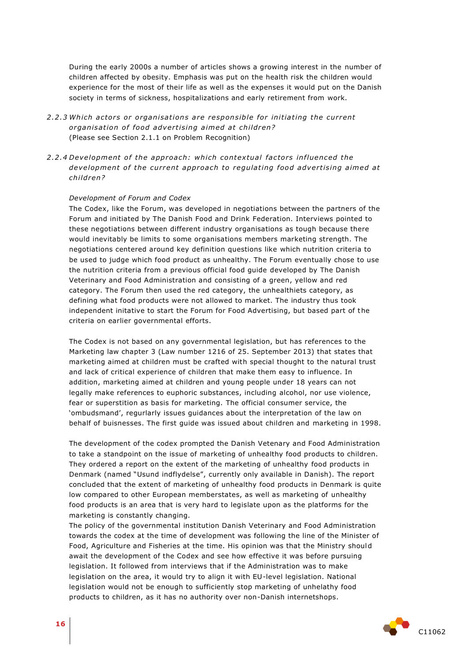During the early 2000s a number of articles shows a growing interest in the number of children affected by obesity. Emphasis was put on the health risk the children would experience for the most of their life as well as the expenses it would put on the Danish society in terms of sickness, hospitalizations and early retirement from work.

- 2.2.3 Which actors or organisations are responsible for initiating the current organisation of food advertising aimed at children? (Please see Section 2.1.1 on Problem Recognition)
- 2.2.4 Development of the approach: which contextual factors influenced the development of the current approach to regulating food advertising aimed at *child ren?*

#### *Development of Forum and Codex*

The Codex, like the Forum, was developed in negotiations between the partners of the Forum and initiated by The Danish Food and Drink Federation. Interviews pointed to these negotiations between different industry organisations as tough because there would inevitably be limits to some organisations members marketing strength. The negotiations centered around key definition questions like which nutrition criteria to be used to judge which food product as unhealthy. The Forum eventually chose to use the nutrition criteria from a previous official food guide developed by The Danish Veterinary and Food Administration and consisting of a green, yellow and red category. The Forum then used the red category, the unhealthiets category, as defining what food products were not allowed to market. The industry thus took independent initative to start the Forum for Food Advertising, but based part of the criteria on earlier governmental efforts.

The Codex is not based on any governmental legislation, but has references to the Marketing law chapter 3 (Law number 1216 of 25. September 2013) that states that marketing aimed at children must be crafted with special thought to the natural trust and lack of critical experience of children that make them easy to influence. In addition, marketing aimed at children and young people under 18 years can not legally make references to euphoric substances, including alcohol, nor use violence, fear or superstition as basis for marketing. The official consumer service, the 'ombudsmand', regurlarly issues guidances about the interpretation of the law on behalf of buisnesses. The first guide was issued about children and marketing in 1998.

The development of the codex prompted the Danish Vetenary and Food Administration to take a standpoint on the issue of marketing of unhealthy food products to children. They ordered a report on the extent of the marketing of unhealthy food products in Denmark (named "Usund indflydelse", currently only available in Danish). The report concluded that the extent of marketing of unhealthy food products in Denmark is quite low compared to other European memberstates, as well as marketing of unhealthy food products is an area that is very hard to legislate upon as the platforms for the marketing is constantly changing.

The policy of the governmental institution Danish Veterinary and Food Administration towards the codex at the time of development was following the line of the Minister of Food, Agriculture and Fisheries at the time. His opinion was that the Ministry should await the development of the Codex and see how effective it was before pursuing legislation. It followed from interviews that if the Administration was to make legislation on the area, it would try to align it with EU-level legislation. National legislation would not be enough to sufficiently stop marketing of unhelathy food products to children, as it has no authority over non-Danish internetshops.

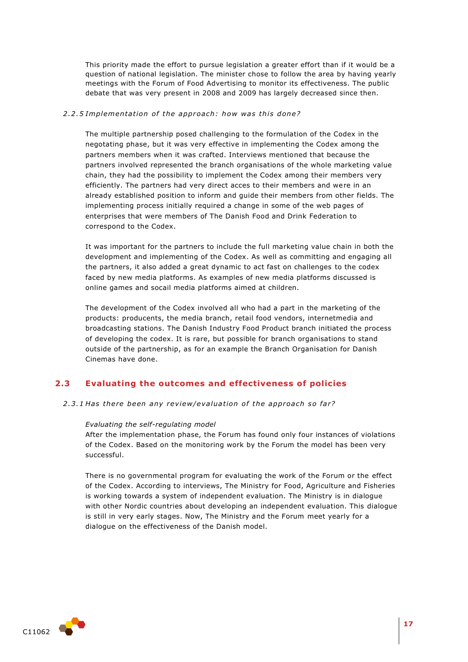This priority made the effort to pursue legislation a greater effort than if it would be a question of national legislation. The minister chose to follow the area by having yearly meetings with the Forum of Food Advertising to monitor its effectiveness. The public debate that was very present in 2008 and 2009 has largely decreased since then.

#### 2.2.5 Implementation of the approach: how was this done?

The multiple partnership posed challenging to the formulation of the Codex in the negotating phase, but it was very effective in implementing the Codex among the partners members when it was crafted. Interviews mentioned that because the partners involved represented the branch organisations of the whole marketing value chain, they had the possibility to implement the Codex among their members very efficiently. The partners had very direct acces to their members and were in an already established position to inform and guide their members from other fields. The implementing process initially required a change in some of the web pages of enterprises that were members of The Danish Food and Drink Federation to correspond to the Codex.

It was important for the partners to include the full marketing value chain in both the development and implementing of the Codex. As well as committing and engaging all the partners, it also added a great dynamic to act fast on challenges to the codex faced by new media platforms. As examples of new media platforms discussed is online games and socail media platforms aimed at children.

The development of the Codex involved all who had a part in the marketing of the products: producents, the media branch, retail food vendors, internetmedia and broadcasting stations. The Danish Industry Food Product branch initiated the process of developing the codex. It is rare, but possible for branch organisations to stand outside of the partnership, as for an example the Branch Organisation for Danish Cinemas have done.

## <span id="page-16-0"></span>**2.3 Evaluating the outcomes and effectiveness of policies**

2.3.1 Has there been any review/evaluation of the approach so far?

#### *Evaluating the self-regulating model*

After the implementation phase, the Forum has found only four instances of violations of the Codex. Based on the monitoring work by the Forum the model has been very successful.

There is no governmental program for evaluating the work of the Forum or the effect of the Codex. According to interviews, The Ministry for Food, Agriculture and Fisheries is working towards a system of independent evaluation. The Ministry is in dialogue with other Nordic countries about developing an independent evaluation. This dialogue is still in very early stages. Now, The Ministry and the Forum meet yearly for a dialogue on the effectiveness of the Danish model.

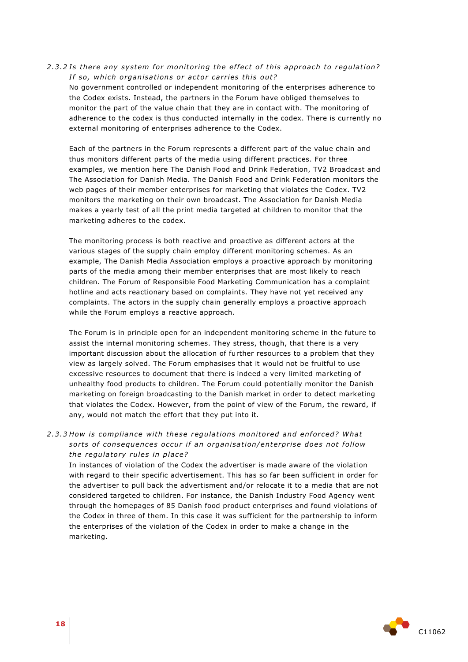### 2.3.2 Is there any system for monitoring the effect of this approach to requlation? *If so, which organisations or actor carries this out?*

No government controlled or independent monitoring of the enterprises adherence to the Codex exists. Instead, the partners in the Forum have obliged themselves to monitor the part of the value chain that they are in contact with. The monitoring of adherence to the codex is thus conducted internally in the codex. There is currently no external monitoring of enterprises adherence to the Codex.

Each of the partners in the Forum represents a different part of the value chain and thus monitors different parts of the media using different practices. For three examples, we mention here The Danish Food and Drink Federation, TV2 Broadcast and The Association for Danish Media. The Danish Food and Drink Federation monitors the web pages of their member enterprises for marketing that violates the Codex. TV2 monitors the marketing on their own broadcast. The Association for Danish Media makes a yearly test of all the print media targeted at children to monitor that the marketing adheres to the codex.

The monitoring process is both reactive and proactive as different actors at the various stages of the supply chain employ different monitoring schemes. As an example, The Danish Media Association employs a proactive approach by monitoring parts of the media among their member enterprises that are most likely to reach children. The Forum of Responsible Food Marketing Communication has a complaint hotline and acts reactionary based on complaints. They have not yet received any complaints. The actors in the supply chain generally employs a proactive approach while the Forum employs a reactive approach.

The Forum is in principle open for an independent monitoring scheme in the future to assist the internal monitoring schemes. They stress, though, that there is a very important discussion about the allocation of further resources to a problem that they view as largely solved. The Forum emphasises that it would not be fruitful to use excessive resources to document that there is indeed a very limited marketing of unhealthy food products to children. The Forum could potentially monitor the Danish marketing on foreign broadcasting to the Danish market in order to detect marketing that violates the Codex. However, from the point of view of the Forum, the reward, if any, would not match the effort that they put into it.

## 2.3.3 How is compliance with these regulations monitored and enforced? What sorts of consequences occur if an organisation/enterprise does not follow *the regulatory rules in place?*

In instances of violation of the Codex the advertiser is made aware of the violation with regard to their specific advertisement. This has so far been sufficient in order for the advertiser to pull back the advertisment and/or relocate it to a media that are not considered targeted to children. For instance, the Danish Industry Food Agency went through the homepages of 85 Danish food product enterprises and found violations of the Codex in three of them. In this case it was sufficient for the partnership to inform the enterprises of the violation of the Codex in order to make a change in the marketing.

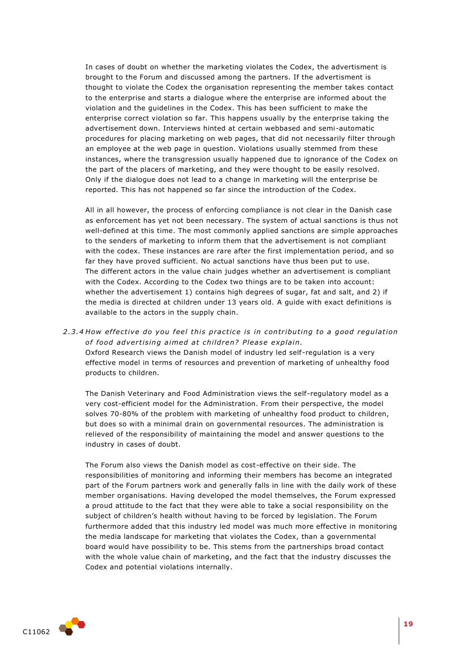In cases of doubt on whether the marketing violates the Codex, the advertisment is brought to the Forum and discussed among the partners. If the advertisment is thought to violate the Codex the organisation representing the member takes contact to the enterprise and starts a dialogue where the enterprise are informed about the violation and the guidelines in the Codex. This has been sufficient to make the enterprise correct violation so far. This happens usually by the enterprise taking the advertisement down. Interviews hinted at certain webbased and semi-automatic procedures for placing marketing on web pages, that did not necessarily filter through an employee at the web page in question. Violations usually stemmed from these instances, where the transgression usually happened due to ignorance of the Codex on the part of the placers of marketing, and they were thought to be easily resolved. Only if the dialogue does not lead to a change in marketing will the enterprise be reported. This has not happened so far since the introduction of the Codex.

All in all however, the process of enforcing compliance is not clear in the Danish case as enforcement has yet not been necessary. The system of actual sanctions is thus not well-defined at this time. The most commonly applied sanctions are simple approaches to the senders of marketing to inform them that the advertisement is not compliant with the codex. These instances are rare after the first implementation period, and so far they have proved sufficient. No actual sanctions have thus been put to use. The different actors in the value chain judges whether an advertisement is compliant with the Codex. According to the Codex two things are to be taken into account: whether the advertisement 1) contains high degrees of sugar, fat and salt, and 2) if the media is directed at children under 13 years old. A guide with exact definitions is available to the actors in the supply chain.

2.3.4 How effective do you feel this practice is in contributing to a good regulation of food advertising aimed at children? Please explain. Oxford Research views the Danish model of industry led self-regulation is a very effective model in terms of resources and prevention of marketing of unhealthy food products to children.

The Danish Veterinary and Food Administration views the self-regulatory model as a very cost-efficient model for the Administration. From their perspective, the model solves 70-80% of the problem with marketing of unhealthy food product to children, but does so with a minimal drain on governmental resources. The administration is relieved of the responsibility of maintaining the model and answer questions to the industry in cases of doubt.

The Forum also views the Danish model as cost-effective on their side. The responsibilities of monitoring and informing their members has become an integrated part of the Forum partners work and generally falls in line with the daily work of these member organisations. Having developed the model themselves, the Forum expressed a proud attitude to the fact that they were able to take a social responsibility on the subject of children's health without having to be forced by legislation. The Forum furthermore added that this industry led model was much more effective in monitoring the media landscape for marketing that violates the Codex, than a governmental board would have possibility to be. This stems from the partnerships broad contact with the whole value chain of marketing, and the fact that the industry discusses the Codex and potential violations internally.

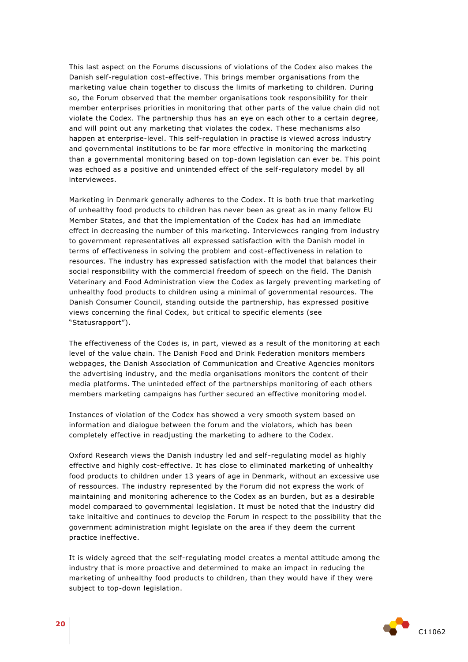This last aspect on the Forums discussions of violations of the Codex also makes the Danish self-regulation cost-effective. This brings member organisations from the marketing value chain together to discuss the limits of marketing to children. During so, the Forum observed that the member organisations took responsibility for their member enterprises priorities in monitoring that other parts of the value chain did not violate the Codex. The partnership thus has an eye on each other to a certain degree, and will point out any marketing that violates the codex. These mechanisms also happen at enterprise-level. This self-regulation in practise is viewed across industry and governmental institutions to be far more effective in monitoring the marketing than a governmental monitoring based on top-down legislation can ever be. This point was echoed as a positive and unintended effect of the self-regulatory model by all interviewees.

Marketing in Denmark generally adheres to the Codex. It is both true that marketing of unhealthy food products to children has never been as great as in many fellow EU Member States, and that the implementation of the Codex has had an immediate effect in decreasing the number of this marketing. Interviewees ranging from industry to government representatives all expressed satisfaction with the Danish model in terms of effectiveness in solving the problem and cost-effectiveness in relation to resources. The industry has expressed satisfaction with the model that balances their social responsibility with the commercial freedom of speech on the field. The Danish Veterinary and Food Administration view the Codex as largely preventing marketing of unhealthy food products to children using a minimal of governmental resources. The Danish Consumer Council, standing outside the partnership, has expressed positive views concerning the final Codex, but critical to specific elements (see "Statusrapport").

The effectiveness of the Codes is, in part, viewed as a result of the monitoring at each level of the value chain. The Danish Food and Drink Federation monitors members webpages, the Danish Association of Communication and Creative Agencies monitors the advertising industry, and the media organisations monitors the content of their media platforms. The uninteded effect of the partnerships monitoring of each others members marketing campaigns has further secured an effective monitoring model.

Instances of violation of the Codex has showed a very smooth system based on information and dialogue between the forum and the violators, which has been completely effective in readjusting the marketing to adhere to the Codex.

Oxford Research views the Danish industry led and self-regulating model as highly effective and highly cost-effective. It has close to eliminated marketing of unhealthy food products to children under 13 years of age in Denmark, without an excessive use of ressources. The industry represented by the Forum did not express the work of maintaining and monitoring adherence to the Codex as an burden, but as a desirable model comparaed to governmental legislation. It must be noted that the industry did take initaitive and continues to develop the Forum in respect to the possibility that the government administration might legislate on the area if they deem the current practice ineffective.

It is widely agreed that the self-regulating model creates a mental attitude among the industry that is more proactive and determined to make an impact in reducing the marketing of unhealthy food products to children, than they would have if they were subject to top-down legislation.

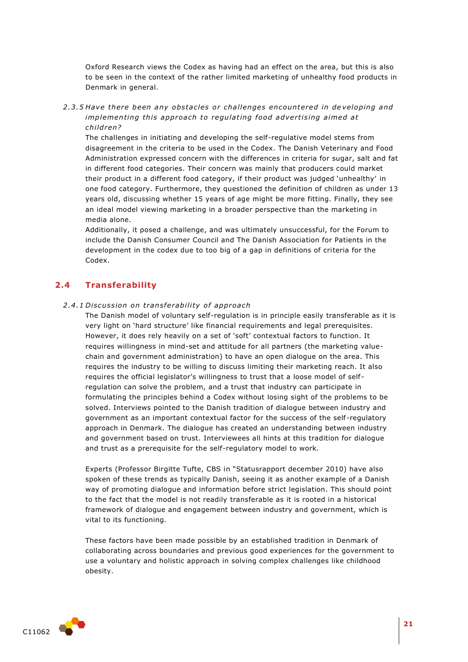Oxford Research views the Codex as having had an effect on the area, but this is also to be seen in the context of the rather limited marketing of unhealthy food products in Denmark in general.

2.3.5 Have there been any obstacles or challenges encountered in developing and *implementing this approach to regulating food advertising aimed at child ren?*

The challenges in initiating and developing the self-regulative model stems from disagreement in the criteria to be used in the Codex. The Danish Veterinary and Food Administration expressed concern with the differences in criteria for sugar, salt and fat in different food categories. Their concern was mainly that producers could market their product in a different food category, if their product was judged 'unhealthy' in one food category. Furthermore, they questioned the definition of children as under 13 years old, discussing whether 15 years of age might be more fitting. Finally, they see an ideal model viewing marketing in a broader perspective than the marketing in media alone.

Additionally, it posed a challenge, and was ultimately unsuccessful, for the Forum to include the Danish Consumer Council and The Danish Association for Patients in the development in the codex due to too big of a gap in definitions of criteria for the Codex.

## <span id="page-20-0"></span>**2.4 Transferability**

#### 2.4.1 Discussion on transferability of approach

The Danish model of voluntary self-regulation is in principle easily transferable as it is very light on 'hard structure' like financial requirements and legal prerequisites. However, it does rely heavily on a set of 'soft' contextual factors to function. It requires willingness in mind-set and attitude for all partners (the marketing valuechain and government administration) to have an open dialogue on the area. This requires the industry to be willing to discuss limiting their marketing reach. It also requires the official legislator's willingness to trust that a loose model of self regulation can solve the problem, and a trust that industry can participate in formulating the principles behind a Codex without losing sight of the problems to be solved. Interviews pointed to the Danish tradition of dialogue between industry and government as an important contextual factor for the success of the self -regulatory approach in Denmark. The dialogue has created an understanding between industry and government based on trust. Interviewees all hints at this tradition for dialogue and trust as a prerequisite for the self-regulatory model to work.

Experts (Professor Birgitte Tufte, CBS in "Statusrapport december 2010) have also spoken of these trends as typically Danish, seeing it as another example of a Danish way of promoting dialogue and information before strict legislation. This should point to the fact that the model is not readily transferable as it is rooted in a historical framework of dialogue and engagement between industry and government, which is vital to its functioning.

These factors have been made possible by an established tradition in Denmark of collaborating across boundaries and previous good experiences for the government to use a voluntary and holistic approach in solving complex challenges like childhood obesity.

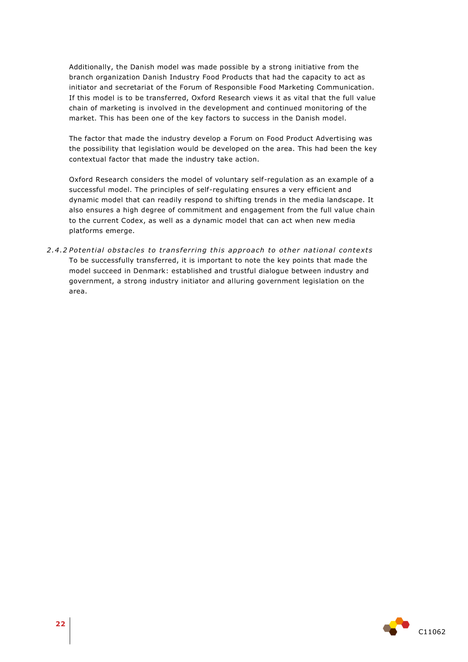Additionally, the Danish model was made possible by a strong initiative from the branch organization Danish Industry Food Products that had the capacity to act as initiator and secretariat of the Forum of Responsible Food Marketing Communication. If this model is to be transferred, Oxford Research views it as vital that the full value chain of marketing is involved in the development and continued monitoring of the market. This has been one of the key factors to success in the Danish model.

The factor that made the industry develop a Forum on Food Product Advertising was the possibility that legislation would be developed on the area. This had been the key contextual factor that made the industry take action.

Oxford Research considers the model of voluntary self-regulation as an example of a successful model. The principles of self-regulating ensures a very efficient and dynamic model that can readily respond to shifting trends in the media landscape. It also ensures a high degree of commitment and engagement from the full value chain to the current Codex, as well as a dynamic model that can act when new media platforms emerge.

2.4.2 Potential obstacles to transferring this approach to other national contexts To be successfully transferred, it is important to note the key points that made the model succeed in Denmark: established and trustful dialogue between industry and government, a strong industry initiator and alluring government legislation on the area.

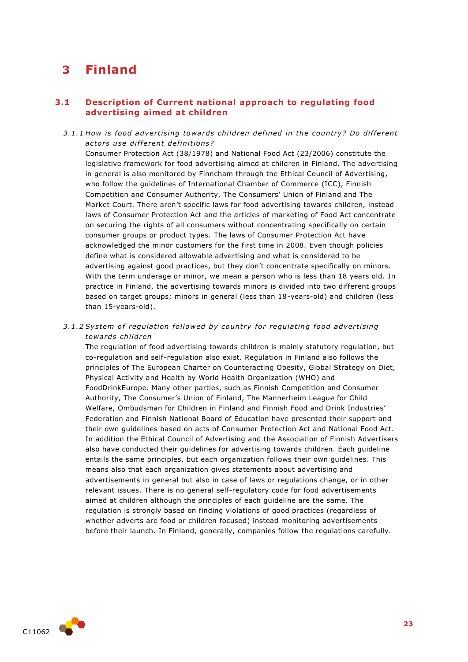## <span id="page-22-0"></span>**3 Finland**

## <span id="page-22-1"></span>**3.1 Description of Current national approach to regulating food advertising aimed at children**

3.1.1 How is food advertising towards children defined in the country? Do different *ac to rs u se di f fe rent de fini tion s?* 

Consumer Protection Act (38/1978) and National Food Act (23/2006) constitute the legislative framework for food advertising aimed at children in Finland. The advertising in general is also monitored by Finncham through the Ethical Council of Advertising, who follow the guidelines of International Chamber of Commerce (ICC), Finnish Competition and Consumer Authority, The Consumers' Union of Finland and The Market Court. There aren't specific laws for food advertising towards children, instead laws of Consumer Protection Act and the articles of marketing of Food Act concentrate on securing the rights of all consumers without concentrating specifically on certain consumer groups or product types. The laws of Consumer Protection Act have acknowledged the minor customers for the first time in 2008. Even though policies define what is considered allowable advertising and what is considered to be advertising against good practices, but they don't concentrate specifically on minors. With the term underage or minor, we mean a person who is less than 18 years old. In practice in Finland, the advertising towards minors is divided into two different groups based on target groups; minors in general (less than 18-years-old) and children (less than 15-years-old).

3.1.2 System of regulation followed by country for regulating food advertising *towa rds child ren*

The regulation of food advertising towards children is mainly statutory regulation, but co-regulation and self-regulation also exist. Regulation in Finland also follows the principles of The European Charter on Counteracting Obesity, Global Strategy on Diet, Physical Activity and Health by World Health Organization (WHO) and FoodDrinkEurope. Many other parties, such as Finnish Competition and Consumer Authority, The Consumer's Union of Finland, The Mannerheim League for Child Welfare, Ombudsman for Children in Finland and Finnish Food and Drink Industries' Federation and Finnish National Board of Education have presented their support and their own guidelines based on acts of Consumer Protection Act and National Food Act. In addition the Ethical Council of Advertising and the Association of Finnish Advertisers also have conducted their guidelines for advertising towards children. Each guideline entails the same principles, but each organization follows their own guidelines. This means also that each organization gives statements about advertising and advertisements in general but also in case of laws or regulations change, or in other relevant issues. There is no general self-regulatory code for food advertisements aimed at children although the principles of each guideline are the same. The regulation is strongly based on finding violations of good practices (regardless of whether adverts are food or children focused) instead monitoring advertisements before their launch. In Finland, generally, companies follow the regulations carefully.

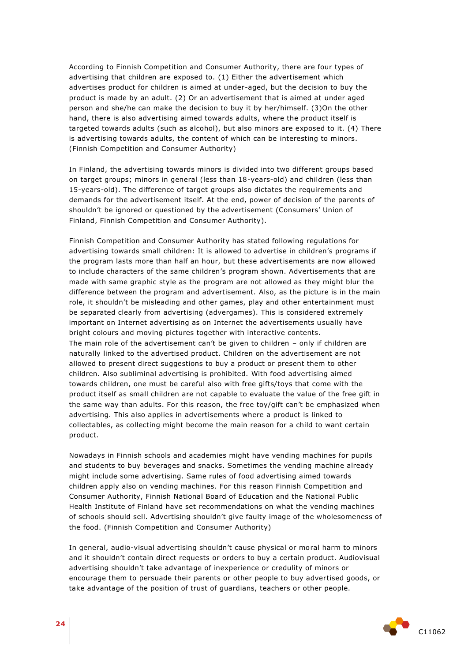According to Finnish Competition and Consumer Authority, there are four types of advertising that children are exposed to. (1) Either the advertisement which advertises product for children is aimed at under-aged, but the decision to buy the product is made by an adult. (2) Or an advertisement that is aimed at under aged person and she/he can make the decision to buy it by her/himself. (3)On the other hand, there is also advertising aimed towards adults, where the product itself is targeted towards adults (such as alcohol), but also minors are exposed to it. (4) There is advertising towards adults, the content of which can be interesting to minors. (Finnish Competition and Consumer Authority)

In Finland, the advertising towards minors is divided into two different groups based on target groups; minors in general (less than 18-years-old) and children (less than 15-years-old). The difference of target groups also dictates the requirements and demands for the advertisement itself. At the end, power of decision of the parents of shouldn't be ignored or questioned by the advertisement (Consumers' Union of Finland, Finnish Competition and Consumer Authority).

Finnish Competition and Consumer Authority has stated following regulations for advertising towards small children: It is allowed to advertise in children's programs if the program lasts more than half an hour, but these advertisements are now allowed to include characters of the same children's program shown. Advertisements that are made with same graphic style as the program are not allowed as they might blur the difference between the program and advertisement. Also, as the picture is in the main role, it shouldn't be misleading and other games, play and other entertainment must be separated clearly from advertising (advergames). This is considered extremely important on Internet advertising as on Internet the advertisements usually have bright colours and moving pictures together with interactive contents. The main role of the advertisement can't be given to children – only if children are naturally linked to the advertised product. Children on the advertisement are not allowed to present direct suggestions to buy a product or present them to other children. Also subliminal advertising is prohibited. With food advertising aimed towards children, one must be careful also with free gifts/toys that come with the product itself as small children are not capable to evaluate the value of the free gift in the same way than adults. For this reason, the free toy/gift can't be emphasized when advertising. This also applies in advertisements where a product is linked to collectables, as collecting might become the main reason for a child to want certain product.

Nowadays in Finnish schools and academies might have vending machines for pupils and students to buy beverages and snacks. Sometimes the vending machine already might include some advertising. Same rules of food advertising aimed towards children apply also on vending machines. For this reason Finnish Competition and Consumer Authority, Finnish National Board of Education and the National Public Health Institute of Finland have set recommendations on what the vending machines of schools should sell. Advertising shouldn't give faulty image of the wholesomeness of the food. (Finnish Competition and Consumer Authority)

In general, audio-visual advertising shouldn't cause physical or moral harm to minors and it shouldn't contain direct requests or orders to buy a certain product. Audiovisual advertising shouldn't take advantage of inexperience or credulity of minors or encourage them to persuade their parents or other people to buy advertised goods, or take advantage of the position of trust of guardians, teachers or other people.

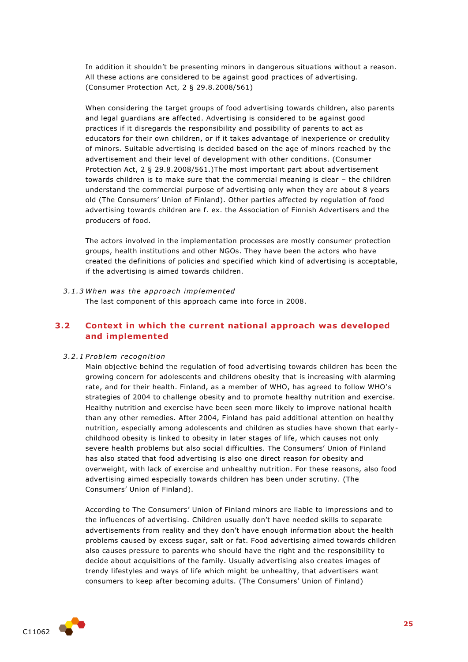In addition it shouldn't be presenting minors in dangerous situations without a reason. All these actions are considered to be against good practices of advertising. (Consumer Protection Act, 2 § 29.8.2008/561)

When considering the target groups of food advertising towards children, also parents and legal guardians are affected. Advertising is considered to be against good practices if it disregards the responsibility and possibility of parents to act as educators for their own children, or if it takes advantage of inexperience or credulity of minors. Suitable advertising is decided based on the age of minors reached by the advertisement and their level of development with other conditions. (Consumer Protection Act, 2 § 29.8.2008/561.)The most important part about advertisement towards children is to make sure that the commercial meaning is clear – the children understand the commercial purpose of advertising only when they are about 8 years old (The Consumers' Union of Finland). Other parties affected by regulation of food advertising towards children are f. ex. the Association of Finnish Advertisers and the producers of food.

The actors involved in the implementation processes are mostly consumer protection groups, health institutions and other NGOs. They have been the actors who have created the definitions of policies and specified which kind of advertising is acceptable, if the advertising is aimed towards children.

*3 .1 .3 When was the app roa ch implemented* The last component of this approach came into force in 2008.

## <span id="page-24-0"></span>**3.2 Context in which the current national approach was developed and implemented**

#### *3 .2 .1 P roblem recognition*

Main objective behind the regulation of food advertising towards children has been the growing concern for adolescents and childrens obesity that is increasing with alarming rate, and for their health. Finland, as a member of WHO, has agreed to follow WHO's strategies of 2004 to challenge obesity and to promote healthy nutrition and exercise. Healthy nutrition and exercise have been seen more likely to improve national health than any other remedies. After 2004, Finland has paid additional attention on healthy nutrition, especially among adolescents and children as studies have shown that earlychildhood obesity is linked to obesity in later stages of life, which causes not only severe health problems but also social difficulties. The Consumers' Union of Finland has also stated that food advertising is also one direct reason for obesity and overweight, with lack of exercise and unhealthy nutrition. For these reasons, also food advertising aimed especially towards children has been under scrutiny. (The Consumers' Union of Finland).

According to The Consumers' Union of Finland minors are liable to impressions and to the influences of advertising. Children usually don't have needed skills to separate advertisements from reality and they don't have enough information about the health problems caused by excess sugar, salt or fat. Food advertising aimed towards children also causes pressure to parents who should have the right and the responsibility to decide about acquisitions of the family. Usually advertising also creates images of trendy lifestyles and ways of life which might be unhealthy, that advertisers want consumers to keep after becoming adults. (The Consumers' Union of Finland)

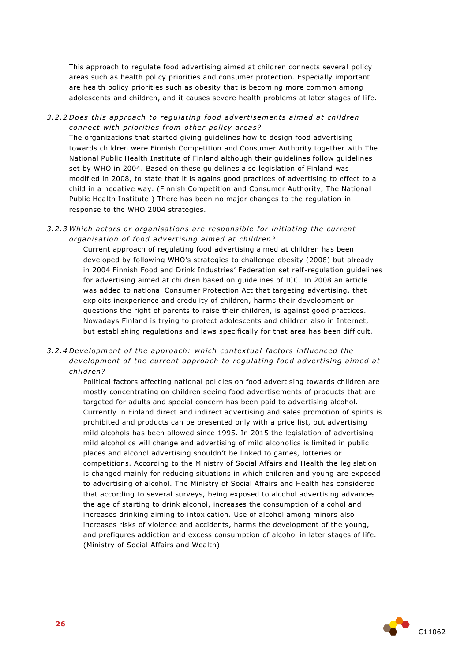This approach to regulate food advertising aimed at children connects several policy areas such as health policy priorities and consumer protection. Especially important are health policy priorities such as obesity that is becoming more common among adolescents and children, and it causes severe health problems at later stages of life.

## *3 .2 .2 Does thi s approach to regula ting food adve rti semen ts aimed a t children connect with priorities from other policy areas?*

The organizations that started giving guidelines how to design food advertising towards children were Finnish Competition and Consumer Authority together with The National Public Health Institute of Finland although their guidelines follow guidelines set by WHO in 2004. Based on these guidelines also legislation of Finland was modified in 2008, to state that it is agains good practices of advertising to effect to a child in a negative way. (Finnish Competition and Consumer Authority, The National Public Health Institute.) There has been no major changes to the regulation in response to the WHO 2004 strategies.

### 3.2.3 Which actors or organisations are responsible for initiating the current organisation of food advertising aimed at children?

Current approach of regulating food advertising aimed at children has been developed by following WHO's strategies to challenge obesity (2008) but already in 2004 Finnish Food and Drink Industries' Federation set relf-regulation guidelines for advertising aimed at children based on guidelines of ICC. In 2008 an article was added to national Consumer Protection Act that targeting advertising, that exploits inexperience and credulity of children, harms their development or questions the right of parents to raise their children, is against good practices. Nowadays Finland is trying to protect adolescents and children also in Internet, but establishing regulations and laws specifically for that area has been difficult.

## 3.2.4 Development of the approach: which contextual factors influenced the development of the current approach to regulating food advertising aimed at *child ren?*

Political factors affecting national policies on food advertising towards children are mostly concentrating on children seeing food advertisements of products that are targeted for adults and special concern has been paid to advertising alcohol. Currently in Finland direct and indirect advertising and sales promotion of spirits is prohibited and products can be presented only with a price list, but advertising mild alcohols has been allowed since 1995. In 2015 the legislation of advertising mild alcoholics will change and advertising of mild alcoholics is limited in public places and alcohol advertising shouldn't be linked to games, lotteries or competitions. According to the Ministry of Social Affairs and Health the legislation is changed mainly for reducing situations in which children and young are exposed to advertising of alcohol. The Ministry of Social Affairs and Health has considered that according to several surveys, being exposed to alcohol advertising advances the age of starting to drink alcohol, increases the consumption of alcohol and increases drinking aiming to intoxication. Use of alcohol among minors also increases risks of violence and accidents, harms the development of the young, and prefigures addiction and excess consumption of alcohol in later stages of life. (Ministry of Social Affairs and Wealth)

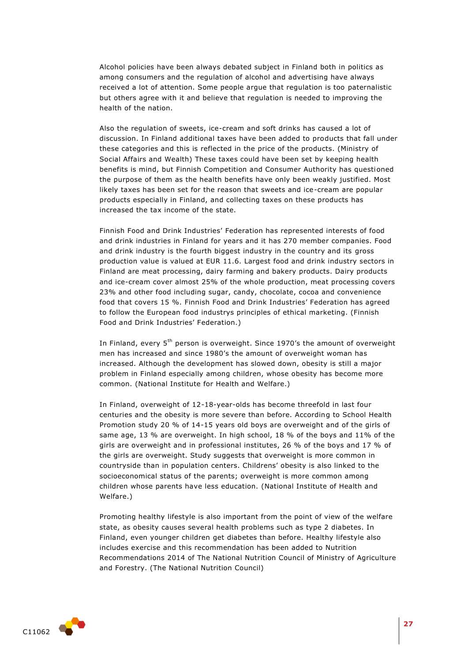Alcohol policies have been always debated subject in Finland both in politics as among consumers and the regulation of alcohol and advertising have always received a lot of attention. Some people argue that regulation is too paternalistic but others agree with it and believe that regulation is needed to improving the health of the nation.

Also the regulation of sweets, ice-cream and soft drinks has caused a lot of discussion. In Finland additional taxes have been added to products that fall under these categories and this is reflected in the price of the products. (Ministry of Social Affairs and Wealth) These taxes could have been set by keeping health benefits is mind, but Finnish Competition and Consumer Authority has questioned the purpose of them as the health benefits have only been weakly justified. Most likely taxes has been set for the reason that sweets and ice-cream are popular products especially in Finland, and collecting taxes on these products has increased the tax income of the state.

Finnish Food and Drink Industries' Federation has represented interests of food and drink industries in Finland for years and it has 270 member companies. Food and drink industry is the fourth biggest industry in the country and its gross production value is valued at EUR 11.6. Largest food and drink industry sectors in Finland are meat processing, dairy farming and bakery products. Dairy products and ice-cream cover almost 25% of the whole production, meat processing covers 23% and other food including sugar, candy, chocolate, cocoa and convenience food that covers 15 %. Finnish Food and Drink Industries' Federation has agreed to follow the European food industrys principles of ethical marketing. (Finnish Food and Drink Industries' Federation.)

In Finland, every 5<sup>th</sup> person is overweight. Since 1970's the amount of overweight men has increased and since 1980's the amount of overweight woman has increased. Although the development has slowed down, obesity is still a major problem in Finland especially among children, whose obesity has become more common. (National Institute for Health and Welfare.)

In Finland, overweight of 12-18-year-olds has become threefold in last four centuries and the obesity is more severe than before. According to School Health Promotion study 20 % of 14-15 years old boys are overweight and of the girls of same age, 13 % are overweight. In high school, 18 % of the boys and 11% of the girls are overweight and in professional institutes, 26 % of the boys and 17 % of the girls are overweight. Study suggests that overweight is more common in countryside than in population centers. Childrens' obesity is also linked to the socioeconomical status of the parents; overweight is more common among children whose parents have less education. (National Institute of Health and Welfare.)

Promoting healthy lifestyle is also important from the point of view of the welfare state, as obesity causes several health problems such as type 2 diabetes. In Finland, even younger children get diabetes than before. Healthy lifestyle also includes exercise and this recommendation has been added to Nutrition Recommendations 2014 of The National Nutrition Council of Ministry of Agriculture and Forestry. (The National Nutrition Council)

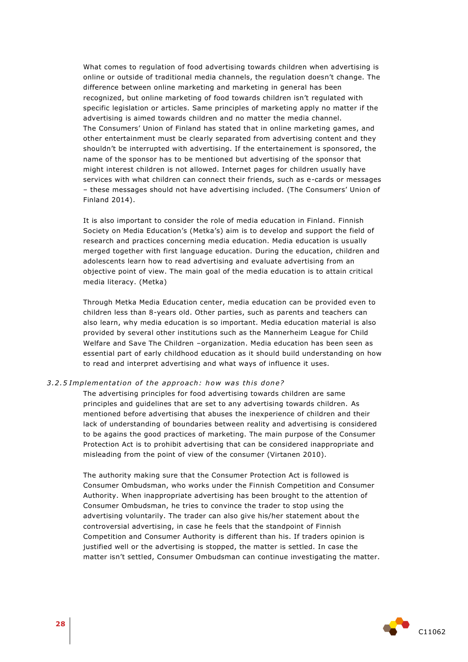What comes to regulation of food advertising towards children when advertising is online or outside of traditional media channels, the regulation doesn't change. The difference between online marketing and marketing in general has been recognized, but online marketing of food towards children isn't regulated with specific legislation or articles. Same principles of marketing apply no matter if the advertising is aimed towards children and no matter the media channel. The Consumers' Union of Finland has stated that in online marketing games, and other entertainment must be clearly separated from advertising content and they shouldn't be interrupted with advertising. If the entertainement is sponsored, the name of the sponsor has to be mentioned but advertising of the sponsor that might interest children is not allowed. Internet pages for children usually have services with what children can connect their friends, such as e-cards or messages – these messages should not have advertising included. (The Consumers' Union of Finland 2014).

It is also important to consider the role of media education in Finland. Finnish Society on Media Education's (Metka's) aim is to develop and support the field of research and practices concerning media education. Media education is usually merged together with first language education. During the education, children and adolescents learn how to read advertising and evaluate advertising from an objective point of view. The main goal of the media education is to attain critical media literacy. (Metka)

Through Metka Media Education center, media education can be provided even to children less than 8-years old. Other parties, such as parents and teachers can also learn, why media education is so important. Media education material is also provided by several other institutions such as the Mannerheim League for Child Welfare and Save The Children -organization. Media education has been seen as essential part of early childhood education as it should build understanding on how to read and interpret advertising and what ways of influence it uses.

#### 3.2.5 Implementation of the approach: how was this done?

The advertising principles for food advertising towards children are same principles and guidelines that are set to any advertising towards children. As mentioned before advertising that abuses the inexperience of children and their lack of understanding of boundaries between reality and advertising is considered to be agains the good practices of marketing. The main purpose of the Consumer Protection Act is to prohibit advertising that can be considered inappropriate and misleading from the point of view of the consumer (Virtanen 2010).

The authority making sure that the Consumer Protection Act is followed is Consumer Ombudsman, who works under the Finnish Competition and Consumer Authority. When inappropriate advertising has been brought to the attention of Consumer Ombudsman, he tries to convince the trader to stop using the advertising voluntarily. The trader can also give his/her statement about the controversial advertising, in case he feels that the standpoint of Finnish Competition and Consumer Authority is different than his. If traders opinion is justified well or the advertising is stopped, the matter is settled. In case the matter isn't settled, Consumer Ombudsman can continue investigating the matter.

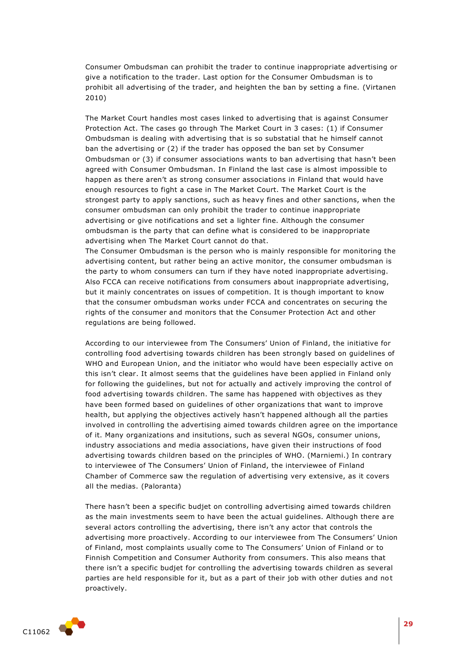Consumer Ombudsman can prohibit the trader to continue inappropriate advertising or give a notification to the trader. Last option for the Consumer Ombudsman is to prohibit all advertising of the trader, and heighten the ban by setting a fine. (Virtanen 2010)

The Market Court handles most cases linked to advertising that is against Consumer Protection Act. The cases go through The Market Court in 3 cases: (1) if Consumer Ombudsman is dealing with advertising that is so substatial that he himself cannot ban the advertising or (2) if the trader has opposed the ban set by Consumer Ombudsman or (3) if consumer associations wants to ban advertising that hasn't been agreed with Consumer Ombudsman. In Finland the last case is almost impossible to happen as there aren't as strong consumer associations in Finland that would have enough resources to fight a case in The Market Court. The Market Court is the strongest party to apply sanctions, such as heavy fines and other sanctions, when the consumer ombudsman can only prohibit the trader to continue inappropriate advertising or give notifications and set a lighter fine. Although the consumer ombudsman is the party that can define what is considered to be inappropriate advertising when The Market Court cannot do that.

The Consumer Ombudsman is the person who is mainly responsible for monitoring the advertising content, but rather being an active monitor, the consumer ombudsman is the party to whom consumers can turn if they have noted inappropriate advertising. Also FCCA can receive notifications from consumers about inappropriate advertising, but it mainly concentrates on issues of competition. It is though important to know that the consumer ombudsman works under FCCA and concentrates on securing the rights of the consumer and monitors that the Consumer Protection Act and other regulations are being followed.

According to our interviewee from The Consumers' Union of Finland, the initiative for controlling food advertising towards children has been strongly based on guidelines of WHO and European Union, and the initiator who would have been especially active on this isn't clear. It almost seems that the guidelines have been applied in Finland only for following the guidelines, but not for actually and actively improving the control of food advertising towards children. The same has happened with objectives as they have been formed based on guidelines of other organizations that want to improve health, but applying the objectives actively hasn't happened although all the parties involved in controlling the advertising aimed towards children agree on the importance of it. Many organizations and insitutions, such as several NGOs, consumer unions, industry associations and media associations, have given their instructions of food advertising towards children based on the principles of WHO. (Marniemi.) In contrary to interviewee of The Consumers' Union of Finland, the interviewee of Finland Chamber of Commerce saw the regulation of advertising very extensive, as it covers all the medias. (Paloranta)

There hasn't been a specific budjet on controlling advertising aimed towards children as the main investments seem to have been the actual guidelines. Although there are several actors controlling the advertising, there isn't any actor that controls the advertising more proactively. According to our interviewee from The Consumers' Union of Finland, most complaints usually come to The Consumers' Union of Finland or to Finnish Competition and Consumer Authority from consumers. This also means that there isn't a specific budjet for controlling the advertising towards children as several parties are held responsible for it, but as a part of their job with other duties and not proactively.

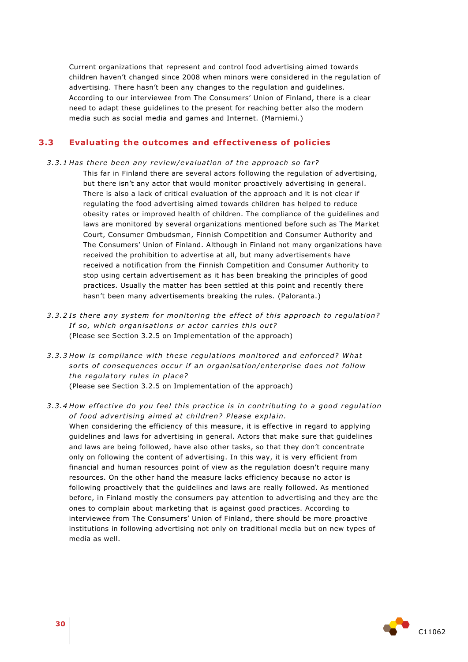Current organizations that represent and control food advertising aimed towards children haven't changed since 2008 when minors were considered in the regulation of advertising. There hasn't been any changes to the regulation and guidelines. According to our interviewee from The Consumers' Union of Finland, there is a clear need to adapt these guidelines to the present for reaching better also the modern media such as social media and games and Internet. (Marniemi.)

## <span id="page-29-0"></span>**3.3 Evaluating the outcomes and effectiveness of policies**

3.3.1 Has there been any review/evaluation of the approach so far?

This far in Finland there are several actors following the regulation of advertising, but there isn't any actor that would monitor proactively advertising in general. There is also a lack of critical evaluation of the approach and it is not clear if regulating the food advertising aimed towards children has helped to reduce obesity rates or improved health of children. The compliance of the guidelines and laws are monitored by several organizations mentioned before such as The Market Court, Consumer Ombudsman, Finnish Competition and Consumer Authority and The Consumers' Union of Finland. Although in Finland not many organizations have received the prohibition to advertise at all, but many advertisements have received a notification from the Finnish Competition and Consumer Authority to stop using certain advertisement as it has been breaking the principles of good practices. Usually the matter has been settled at this point and recently there hasn't been many advertisements breaking the rules. (Paloranta.)

- 3.3.2 Is there any system for monitoring the effect of this approach to regulation? *If so, which organisations or actor carries this out?* (Please see Section 3.2.5 on Implementation of the approach)
- *3 .3 .3 How is compliance with these regula tions monito red and en for ced? Wha t*  sorts of consequences occur if an organisation/enterprise does not follow *the regulatory rules in place?* (Please see Section 3.2.5 on Implementation of the approach)

## 3.3.4 How effective do you feel this practice is in contributing to a good regulation of food advertising aimed at children? Please explain.

When considering the efficiency of this measure, it is effective in regard to applying guidelines and laws for advertising in general. Actors that make sure that guidelines and laws are being followed, have also other tasks, so that they don't concentrate only on following the content of advertising. In this way, it is very efficient from financial and human resources point of view as the regulation doesn't require many resources. On the other hand the measure lacks efficiency because no actor is following proactively that the guidelines and laws are really followed. As mentioned before, in Finland mostly the consumers pay attention to advertising and they are the ones to complain about marketing that is against good practices. According to interviewee from The Consumers' Union of Finland, there should be more proactive institutions in following advertising not only on traditional media but on new types of media as well.

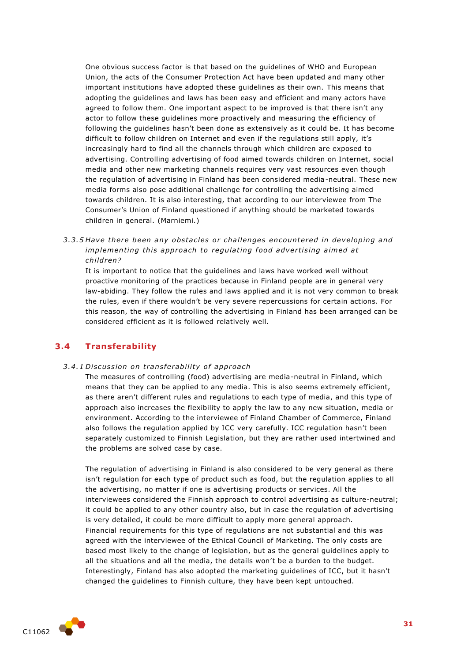One obvious success factor is that based on the guidelines of WHO and European Union, the acts of the Consumer Protection Act have been updated and many other important institutions have adopted these guidelines as their own. This means that adopting the guidelines and laws has been easy and efficient and many actors have agreed to follow them. One important aspect to be improved is that there isn't any actor to follow these guidelines more proactively and measuring the efficiency of following the guidelines hasn't been done as extensively as it could be. It has become difficult to follow children on Internet and even if the regulations still apply, it's increasingly hard to find all the channels through which children are exposed to advertising. Controlling advertising of food aimed towards children on Internet, social media and other new marketing channels requires very vast resources even though the regulation of advertising in Finland has been considered media-neutral. These new media forms also pose additional challenge for controlling the advertising aimed towards children. It is also interesting, that according to our interviewee from The Consumer's Union of Finland questioned if anything should be marketed towards children in general. (Marniemi.)

3.3.5 Have there been any obstacles or challenges encountered in developing and *implementing this approach to regulating food advertising aimed at child ren?*

It is important to notice that the guidelines and laws have worked well without proactive monitoring of the practices because in Finland people are in general very law-abiding. They follow the rules and laws applied and it is not very common to break the rules, even if there wouldn't be very severe repercussions for certain actions. For this reason, the way of controlling the advertising in Finland has been arranged can be considered efficient as it is followed relatively well.

## <span id="page-30-0"></span>**3.4 Transferability**

#### *3 .4 .1 Di scus sion on t rans fe rabili ty o f app roach*

The measures of controlling (food) advertising are media-neutral in Finland, which means that they can be applied to any media. This is also seems extremely efficient, as there aren't different rules and regulations to each type of media, and this type of approach also increases the flexibility to apply the law to any new situation, media or environment. According to the interviewee of Finland Chamber of Commerce, Finland also follows the regulation applied by ICC very carefully. ICC regulation hasn't been separately customized to Finnish Legislation, but they are rather used intertwined and the problems are solved case by case.

The regulation of advertising in Finland is also considered to be very general as there isn't regulation for each type of product such as food, but the regulation applies to all the advertising, no matter if one is advertising products or services. All the interviewees considered the Finnish approach to control advertising as culture-neutral; it could be applied to any other country also, but in case the regulation of advertising is very detailed, it could be more difficult to apply more general approach. Financial requirements for this type of regulations are not substantial and this was agreed with the interviewee of the Ethical Council of Marketing. The only costs are based most likely to the change of legislation, but as the general guidelines apply to all the situations and all the media, the details won't be a burden to the budget. Interestingly, Finland has also adopted the marketing guidelines of ICC, but it hasn't changed the guidelines to Finnish culture, they have been kept untouched.

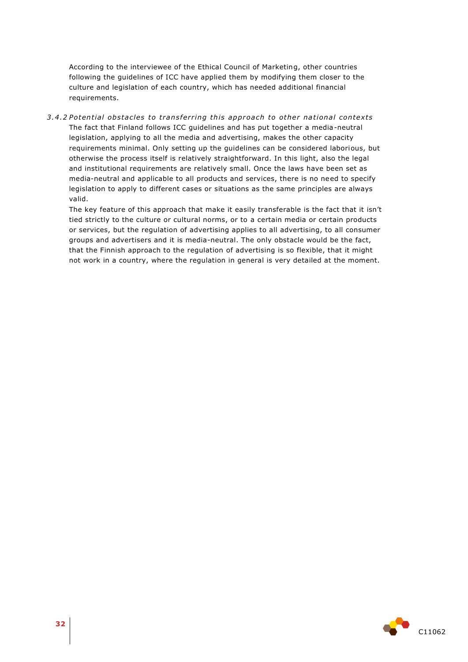According to the interviewee of the Ethical Council of Marketing, other countries following the guidelines of ICC have applied them by modifying them closer to the culture and legislation of each country, which has needed additional financial requirements.

*3 .4 .2 Poten tial obs tacles to tran s fer ring this app roach to othe r national con text s* The fact that Finland follows ICC guidelines and has put together a media-neutral legislation, applying to all the media and advertising, makes the other capacity requirements minimal. Only setting up the guidelines can be considered laborious, but otherwise the process itself is relatively straightforward. In this light, also the legal and institutional requirements are relatively small. Once the laws have been set as media-neutral and applicable to all products and services, there is no need to specify legislation to apply to different cases or situations as the same principles are always valid.

The key feature of this approach that make it easily transferable is the fact that it isn't tied strictly to the culture or cultural norms, or to a certain media or certain products or services, but the regulation of advertising applies to all advertising, to all consumer groups and advertisers and it is media-neutral. The only obstacle would be the fact, that the Finnish approach to the regulation of advertising is so flexible, that it might not work in a country, where the regulation in general is very detailed at the moment.

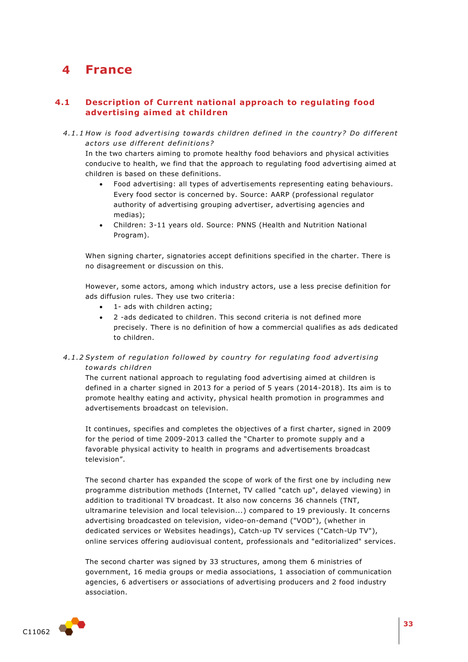## <span id="page-32-0"></span>**4 France**

## <span id="page-32-1"></span>**4.1 Description of Current national approach to regulating food advertising aimed at children**

4.1.1 How is food advertising towards children defined in the country? Do different *ac to rs u se di f fe rent de fini tion s?* 

In the two charters aiming to promote healthy food behaviors and physical activities conducive to health, we find that the approach to regulating food advertising aimed at children is based on these definitions.

- Food advertising: all types of advertisements representing eating behaviours. Every food sector is concerned by. Source: AARP (professional regulator authority of advertising grouping advertiser, advertising agencies and medias);
- Children: 3-11 years old. Source: PNNS (Health and Nutrition National Program).

When signing charter, signatories accept definitions specified in the charter. There is no disagreement or discussion on this.

However, some actors, among which industry actors, use a less precise definition for ads diffusion rules. They use two criteria:

- 1- ads with children acting;
- 2 -ads dedicated to children. This second criteria is not defined more precisely. There is no definition of how a commercial qualifies as ads dedicated to children.

## 4.1.2 System of regulation followed by country for regulating food advertising *towa rds child ren*

The current national approach to regulating food advertising aimed at children is defined in a charter signed in 2013 for a period of 5 years (2014-2018). Its aim is to promote healthy eating and activity, physical health promotion in programmes and advertisements broadcast on television.

It continues, specifies and completes the objectives of a first charter, signed in 2009 for the period of time 2009-2013 called the "Charter to promote supply and a favorable physical activity to health in programs and advertisements broadcast television".

The second charter has expanded the scope of work of the first one by including new programme distribution methods (Internet, TV called "catch up", delayed viewing) in addition to traditional TV broadcast. It also now concerns 36 channels (TNT, ultramarine television and local television...) compared to 19 previously. It concerns advertising broadcasted on television, video-on-demand ("VOD"), (whether in dedicated services or Websites headings), Catch-up TV services ("Catch-Up TV"), online services offering audiovisual content, professionals and "editorialized" services.

The second charter was signed by 33 structures, among them 6 ministries of government, 16 media groups or media associations, 1 association of communication agencies, 6 advertisers or associations of advertising producers and 2 food industry association.

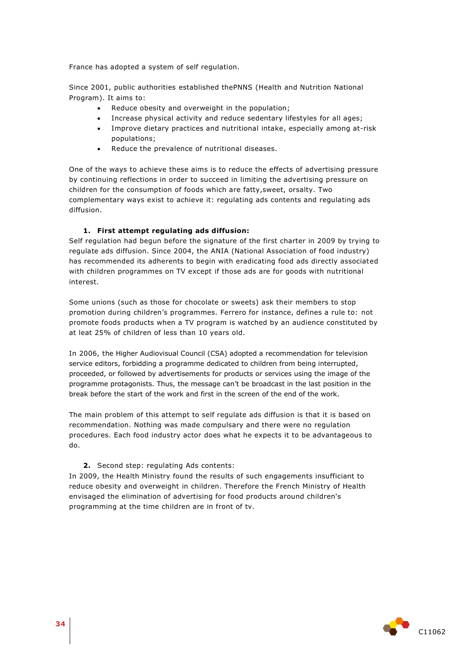France has adopted a system of self regulation.

Since 2001, public authorities established thePNNS (Health and Nutrition National Program). It aims to:

- Reduce obesity and overweight in the population;
- Increase physical activity and reduce sedentary lifestyles for all ages;
- Improve dietary practices and nutritional intake, especially among at-risk populations;
- Reduce the prevalence of nutritional diseases.

One of the ways to achieve these aims is to reduce the effects of advertising pressure by continuing reflections in order to succeed in limiting the advertising pressure on children for the consumption of foods which are fatty,sweet, orsalty. Two complementary ways exist to achieve it: regulating ads contents and regulating ads diffusion.

### **1. First attempt regulating ads diffusion:**

Self regulation had begun before the signature of the first charter in 2009 by trying to regulate ads diffusion. Since 2004, the ANIA (National Association of food industry) has recommended its adherents to begin with eradicating food ads directly associated with children programmes on TV except if those ads are for goods with nutritional interest.

Some unions (such as those for chocolate or sweets) ask their members to stop promotion during children's programmes. Ferrero for instance, defines a rule to: not promote foods products when a TV program is watched by an audience constituted by at leat 25% of children of less than 10 years old.

In 2006, the Higher Audiovisual Council (CSA) adopted a recommendation for television service editors, forbidding a programme dedicated to children from being interrupted, proceeded, or followed by advertisements for products or services using the image of the programme protagonists. Thus, the message can't be broadcast in the last position in the break before the start of the work and first in the screen of the end of the work.

The main problem of this attempt to self regulate ads diffusion is that it is based on recommendation. Nothing was made compulsary and there were no regulation procedures. Each food industry actor does what he expects it to be advantageous to do.

#### **2.** Second step: regulating Ads contents:

In 2009, the Health Ministry found the results of such engagements insufficiant to reduce obesity and overweight in children. Therefore the French Ministry of Health envisaged the elimination of advertising for food products around children's programming at the time children are in front of tv.

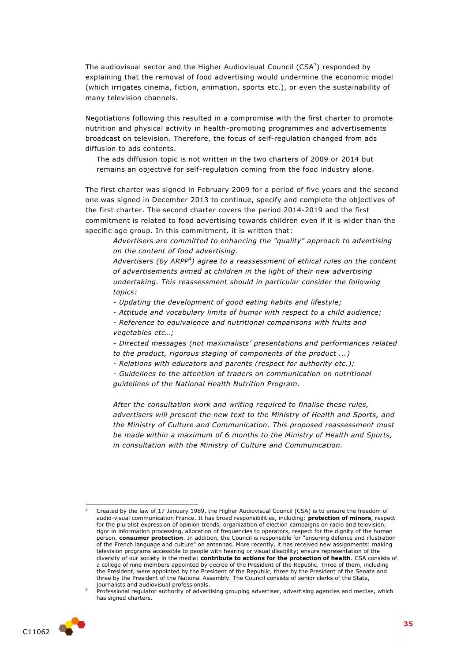The audiovisual sector and the Higher Audiovisual Council (CSA $^3$ ) responded by explaining that the removal of food advertising would undermine the economic model (which irrigates cinema, fiction, animation, sports etc.), or even the sustainability of many television channels.

Negotiations following this resulted in a compromise with the first charter to promote nutrition and physical activity in health-promoting programmes and advertisements broadcast on television. Therefore, the focus of self-regulation changed from ads diffusion to ads contents.

The ads diffusion topic is not written in the two charters of 2009 or 2014 but remains an objective for self-regulation coming from the food industry alone.

The first charter was signed in February 2009 for a period of five years and the second one was signed in December 2013 to continue, specify and complete the objectives of the first charter. The second charter covers the period 2014-2019 and the first commitment is related to food advertising towards children even if it is wider than the specific age group. In this commitment, it is written that:

*Advertisers are committed to enhancing the "quality" approach to advertising on the content of food advertising.*

*Advertisers (by ARPP<sup>4</sup> ) agree to a reassessment of ethical rules on the content of advertisements aimed at children in the light of their new advertising undertaking. This reassessment should in particular consider the following topics:*

- *- Updating the development of good eating habits and lifestyle;*
- *- Attitude and vocabulary limits of humor with respect to a child audience;*
- *- Reference to equivalence and nutritional comparisons with fruits and vegetables etc…;*

*- Directed messages (not maximalists' presentations and performances related to the product, rigorous staging of components of the product ...)*

*- Relations with educators and parents (respect for authority etc.);*

*- Guidelines to the attention of traders on communication on nutritional guidelines of the National Health Nutrition Program.*

*After the consultation work and writing required to finalise these rules, advertisers will present the new text to the Ministry of Health and Sports, and the Ministry of Culture and Communication. This proposed reassessment must be made within a maximum of 6 months to the Ministry of Health and Sports, in consultation with the Ministry of Culture and Communication.*

Professional regulator authority of advertising grouping advertiser, advertising agencies and medias, which has signed charters.



1

Created by the law of 17 January 1989, the Higher Audiovisual Council (CSA) is to ensure the freedom of audio-visual communication France. It has broad responsibilities, including: **protection of minors**, respect for the pluralist expression of opinion trends, organization of election campaigns on radio and television, rigor in information processing, allocation of frequencies to operators, respect for the dignity of the human person, **consumer protection**. In addition, the Council is responsible for "ensuring defence and illustration of the French language and culture" on antennas. More recently, it has received new assignments: making television programs accessible to people with hearing or visual disability; ensure representation of the diversity of our society in the media; **contribute to actions for the protection of health**. CSA consists of a college of nine members appointed by decree of the President of the Republic. Three of them, including the President, were appointed by the President of the Republic, three by the President of the Senate and three by the President of the National Assembly. The Council consists of senior clerks of the State, journalists and audiovisual professionals.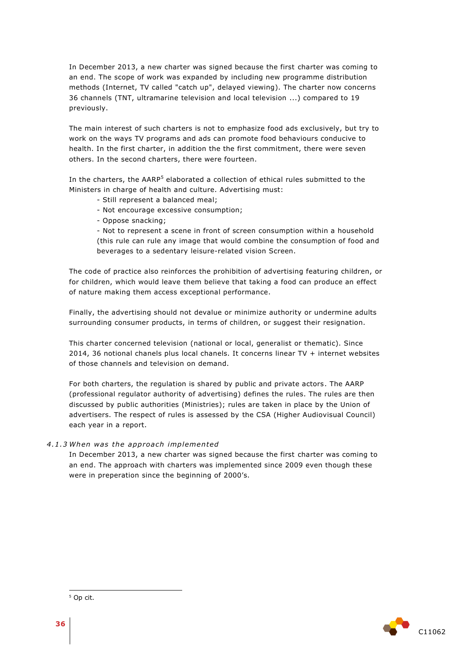In December 2013, a new charter was signed because the first charter was coming to an end. The scope of work was expanded by including new programme distribution methods (Internet, TV called "catch up", delayed viewing). The charter now concerns 36 channels (TNT, ultramarine television and local television ...) compared to 19 previously.

The main interest of such charters is not to emphasize food ads exclusively, but try to work on the ways TV programs and ads can promote food behaviours conducive to health. In the first charter, in addition the the first commitment, there were seven others. In the second charters, there were fourteen.

In the charters, the AARP<sup>5</sup> elaborated a collection of ethical rules submitted to the Ministers in charge of health and culture. Advertising must:

- Still represent a balanced meal;
- Not encourage excessive consumption;
- Oppose snacking;

- Not to represent a scene in front of screen consumption within a household (this rule can rule any image that would combine the consumption of food and beverages to a sedentary leisure-related vision Screen.

The code of practice also reinforces the prohibition of advertising featuring children, or for children, which would leave them believe that taking a food can produce an effect of nature making them access exceptional performance.

Finally, the advertising should not devalue or minimize authority or undermine adults surrounding consumer products, in terms of children, or suggest their resignation.

This charter concerned television (national or local, generalist or thematic). Since 2014, 36 notional chanels plus local chanels. It concerns linear TV + internet websites of those channels and television on demand.

For both charters, the regulation is shared by public and private actors. The AARP (professional regulator authority of advertising) defines the rules. The rules are then discussed by public authorities (Ministries); rules are taken in place by the Union of advertisers. The respect of rules is assessed by the CSA (Higher Audiovisual Council) each year in a report.

#### *4 .1 .3 When was the app roa ch implemented*

<span id="page-35-0"></span>In December 2013, a new charter was signed because the first charter was coming to an end. The approach with charters was implemented since 2009 even though these were in preperation since the beginning of 2000's.



ł

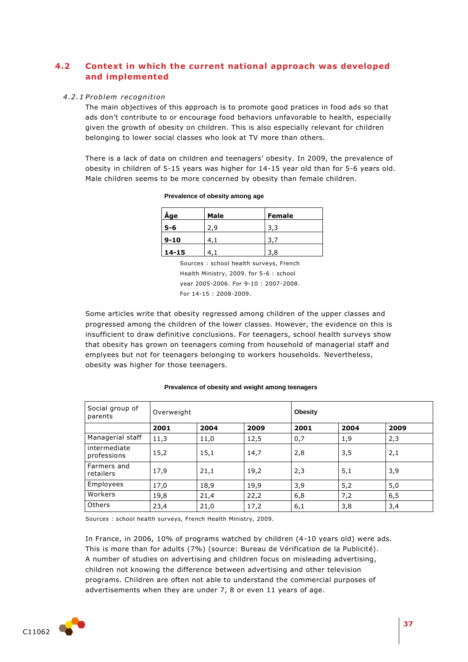# **4.2 Context in which the current national approach was developed and implemented**

#### *4 .2 .1 P roblem recognition*

The main objectives of this approach is to promote good pratices in food ads so that ads don't contribute to or encourage food behaviors unfavorable to health, especially given the growth of obesity on children. This is also especially relevant for children belonging to lower social classes who look at TV more than others.

There is a lack of data on children and teenagers' obesity. In 2009, the prevalence of obesity in children of 5-15 years was higher for 14-15 year old than for 5-6 years old. Male children seems to be more concerned by obesity than female children.

| Âge       | Male | <b>Female</b> |  |  |
|-----------|------|---------------|--|--|
| 5-6       | 2.9  | 3.3           |  |  |
| $9 - 10$  |      |               |  |  |
| $14 - 15$ |      | 3,8           |  |  |

#### **Prevalence of obesity among age**

Sources : school health surveys, French Health Ministry, 2009. for 5-6 : school year 2005-2006. For 9-10 : 2007-2008. For 14-15 : 2008-2009.

Some articles write that obesity regressed among children of the upper classes and progressed among the children of the lower classes. However, the evidence on this is insufficient to draw definitive conclusions. For teenagers, school health surveys show that obesity has grown on teenagers coming from household of managerial staff and emplyees but not for teenagers belonging to workers households. Nevertheless, obesity was higher for those teenagers.

| Social group of<br>parents  | Overweight |      |      | <b>Obesity</b> |      |      |
|-----------------------------|------------|------|------|----------------|------|------|
|                             | 2001       | 2004 | 2009 | 2001           | 2004 | 2009 |
| Managerial staff            | 11,3       | 11,0 | 12,5 | 0,7            | 1,9  | 2,3  |
| intermediate<br>professions | 15,2       | 15,1 | 14,7 | 2,8            | 3,5  | 2,1  |
| Farmers and<br>retailers    | 17,9       | 21,1 | 19,2 | 2,3            | 5,1  | 3,9  |
| Employees                   | 17,0       | 18,9 | 19,9 | 3,9            | 5,2  | 5,0  |
| Workers                     | 19,8       | 21,4 | 22,2 | 6,8            | 7,2  | 6,5  |
| Others                      | 23,4       | 21,0 | 17,2 | 6,1            | 3,8  | 3,4  |

#### **Prevalence of obesity and weight among teenagers**

Sources : school health surveys, French Health Ministry, 2009.

In France, in 2006, 10% of programs watched by children (4-10 years old) were ads. This is more than for adults (7%) (source: Bureau de Vérification de la Publicité). A number of studies on advertising and children focus on misleading advertising, children not knowing the difference between advertising and other television programs. Children are often not able to understand the commercial purposes of advertisements when they are under 7, 8 or even 11 years of age.

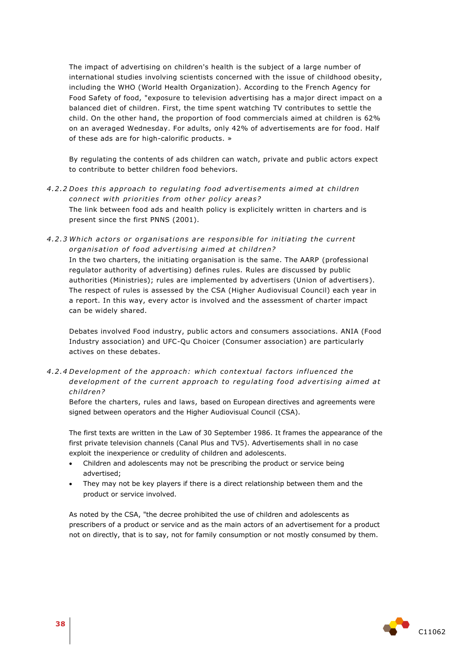The impact of advertising on children's health is the subject of a large number of international studies involving scientists concerned with the issue of childhood obesity, including the WHO (World Health Organization). According to the French Agency for Food Safety of food, "exposure to television advertising has a major direct impact on a balanced diet of children. First, the time spent watching TV contributes to settle the child. On the other hand, the proportion of food commercials aimed at children is 62% on an averaged Wednesday. For adults, only 42% of advertisements are for food. Half of these ads are for high-calorific products. »

By regulating the contents of ads children can watch, private and public actors expect to contribute to better children food beheviors.

- 4.2.2 Does this approach to regulating food advertisements aimed at children *connect with priorities from other policy areas?* The link between food ads and health policy is explicitely written in charters and is present since the first PNNS (2001).
- 4.2.3 Which actors or organisations are responsible for initiating the current *organisation of food advertising aimed at children?*

In the two charters, the initiating organisation is the same. The AARP (professional regulator authority of advertising) defines rules. Rules are discussed by public authorities (Ministries); rules are implemented by advertisers (Union of advertisers). The respect of rules is assessed by the CSA (Higher Audiovisual Council) each year in a report. In this way, every actor is involved and the assessment of charter impact can be widely shared.

Debates involved Food industry, public actors and consumers associations. ANIA (Food Industry association) and UFC-Qu Choicer (Consumer association) are particularly actives on these debates.

*4 .2 .4 Development o f the app roach: whi ch contex tual fac to rs in fluenced the development of the current approach to regulating food advertising aimed at child ren?* 

Before the charters, rules and laws, based on European directives and agreements were signed between operators and the Higher Audiovisual Council (CSA).

The first texts are written in the Law of 30 September 1986. It frames the appearance of the first private television channels (Canal Plus and TV5). Advertisements shall in no case exploit the inexperience or credulity of children and adolescents.

- Children and adolescents may not be prescribing the product or service being advertised;
- They may not be key players if there is a direct relationship between them and the product or service involved.

As noted by the CSA, "the decree prohibited the use of children and adolescents as prescribers of a product or service and as the main actors of an advertisement for a product not on directly, that is to say, not for family consumption or not mostly consumed by them.

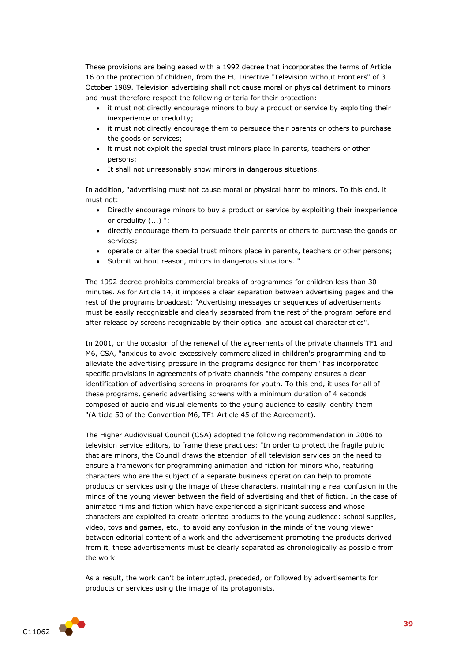These provisions are being eased with a 1992 decree that incorporates the terms of Article 16 on the protection of children, from the EU Directive "Television without Frontiers" of 3 October 1989. Television advertising shall not cause moral or physical detriment to minors and must therefore respect the following criteria for their protection:

- it must not directly encourage minors to buy a product or service by exploiting their inexperience or credulity;
- it must not directly encourage them to persuade their parents or others to purchase the goods or services;
- it must not exploit the special trust minors place in parents, teachers or other persons;
- It shall not unreasonably show minors in dangerous situations.

In addition, "advertising must not cause moral or physical harm to minors. To this end, it must not:

- Directly encourage minors to buy a product or service by exploiting their inexperience or credulity (...) ";
- directly encourage them to persuade their parents or others to purchase the goods or services;
- operate or alter the special trust minors place in parents, teachers or other persons;
- Submit without reason, minors in dangerous situations. "

The 1992 decree prohibits commercial breaks of programmes for children less than 30 minutes. As for Article 14, it imposes a clear separation between advertising pages and the rest of the programs broadcast: "Advertising messages or sequences of advertisements must be easily recognizable and clearly separated from the rest of the program before and after release by screens recognizable by their optical and acoustical characteristics".

In 2001, on the occasion of the renewal of the agreements of the private channels TF1 and M6, CSA, "anxious to avoid excessively commercialized in children's programming and to alleviate the advertising pressure in the programs designed for them" has incorporated specific provisions in agreements of private channels "the company ensures a clear identification of advertising screens in programs for youth. To this end, it uses for all of these programs, generic advertising screens with a minimum duration of 4 seconds composed of audio and visual elements to the young audience to easily identify them. "(Article 50 of the Convention M6, TF1 Article 45 of the Agreement).

The Higher Audiovisual Council (CSA) adopted the following recommendation in 2006 to television service editors, to frame these practices: "In order to protect the fragile public that are minors, the Council draws the attention of all television services on the need to ensure a framework for programming animation and fiction for minors who, featuring characters who are the subject of a separate business operation can help to promote products or services using the image of these characters, maintaining a real confusion in the minds of the young viewer between the field of advertising and that of fiction. In the case of animated films and fiction which have experienced a significant success and whose characters are exploited to create oriented products to the young audience: school supplies, video, toys and games, etc., to avoid any confusion in the minds of the young viewer between editorial content of a work and the advertisement promoting the products derived from it, these advertisements must be clearly separated as chronologically as possible from the work.

As a result, the work can't be interrupted, preceded, or followed by advertisements for products or services using the image of its protagonists.

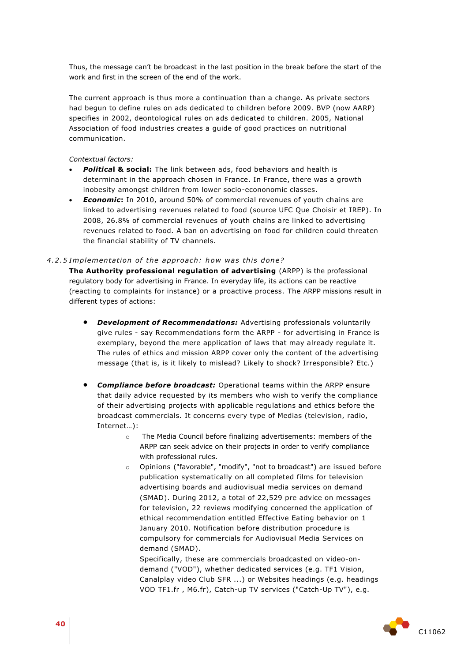Thus, the message can't be broadcast in the last position in the break before the start of the work and first in the screen of the end of the work.

The current approach is thus more a continuation than a change. As private sectors had begun to define rules on ads dedicated to children before 2009. BVP (now AARP) specifies in 2002, deontological rules on ads dedicated to children. 2005, National Association of food industries creates a guide of good practices on nutritional communication.

*Contextual factors:*

- *Politica***l & social:** The link between ads, food behaviors and health is determinant in the approach chosen in France. In France, there was a growth inobesity amongst children from lower socio-econonomic classes.
- *Economic***:** In 2010, around 50% of commercial revenues of youth chains are linked to advertising revenues related to food (source UFC Que Choisir et IREP). In 2008, 26.8% of commercial revenues of youth chains are linked to advertising revenues related to food. A ban on advertising on food for children could threaten the financial stability of TV channels.

#### 4.2.5 Implementation of the approach: how was this done?

**The Authority professional regulation of advertising** (ARPP) is the professional regulatory body for advertising in France. In everyday life, its actions can be reactive (reacting to complaints for instance) or a proactive process. The ARPP missions result in different types of actions:

- *Development of Recommendations:* Advertising professionals voluntarily give rules - say Recommendations form the ARPP - for advertising in France is exemplary, beyond the mere application of laws that may already regulate it. The rules of ethics and mission ARPP cover only the content of the advertising message (that is, is it likely to mislead? Likely to shock? Irresponsible? Etc.)
- *Compliance before broadcast:* Operational teams within the ARPP ensure that daily advice requested by its members who wish to verify the compliance of their advertising projects with applicable regulations and ethics before the broadcast commercials. It concerns every type of Medias (television, radio, Internet…):
	- o The Media Council before finalizing advertisements: members of the ARPP can seek advice on their projects in order to verify compliance with professional rules.
	- o Opinions ("favorable", "modify", "not to broadcast") are issued before publication systematically on all completed films for television advertising boards and audiovisual media services on demand (SMAD). During 2012, a total of 22,529 pre advice on messages for television, 22 reviews modifying concerned the application of ethical recommendation entitled Effective Eating behavior on 1 January 2010. Notification before distribution procedure is compulsory for commercials for Audiovisual Media Services on demand (SMAD).

Specifically, these are commercials broadcasted on video-ondemand ("VOD"), whether dedicated services (e.g. TF1 Vision, Canalplay video Club SFR ...) or Websites headings (e.g. headings VOD TF1.fr , M6.fr), Catch-up TV services ("Catch-Up TV"), e.g.

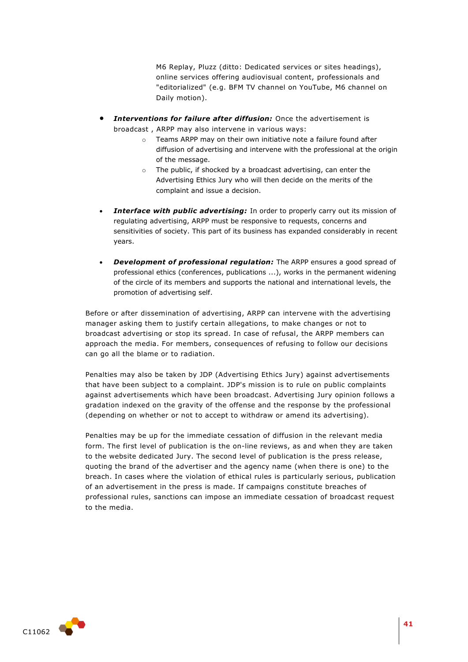M6 Replay, Pluzz (ditto: Dedicated services or sites headings), online services offering audiovisual content, professionals and "editorialized" (e.g. BFM TV channel on YouTube, M6 channel on Daily motion).

- *Interventions for failure after diffusion:* Once the advertisement is broadcast , ARPP may also intervene in various ways:
	- o Teams ARPP may on their own initiative note a failure found after diffusion of advertising and intervene with the professional at the origin of the message.
	- o The public, if shocked by a broadcast advertising, can enter the Advertising Ethics Jury who will then decide on the merits of the complaint and issue a decision.
- *Interface with public advertising:* In order to properly carry out its mission of regulating advertising, ARPP must be responsive to requests, concerns and sensitivities of society. This part of its business has expanded considerably in recent years.
- *Development of professional regulation:* The ARPP ensures a good spread of professional ethics (conferences, publications ...), works in the permanent widening of the circle of its members and supports the national and international levels, the promotion of advertising self.

Before or after dissemination of advertising, ARPP can intervene with the advertising manager asking them to justify certain allegations, to make changes or not to broadcast advertising or stop its spread. In case of refusal, the ARPP members can approach the media. For members, consequences of refusing to follow our decisions can go all the blame or to radiation.

Penalties may also be taken by JDP (Advertising Ethics Jury) against advertisements that have been subject to a complaint. JDP's mission is to rule on public complaints against advertisements which have been broadcast. Advertising Jury opinion follows a gradation indexed on the gravity of the offense and the response by the professional (depending on whether or not to accept to withdraw or amend its advertising).

Penalties may be up for the immediate cessation of diffusion in the relevant media form. The first level of publication is the on-line reviews, as and when they are taken to the website dedicated Jury. The second level of publication is the press release, quoting the brand of the advertiser and the agency name (when there is one) to the breach. In cases where the violation of ethical rules is particularly serious, publication of an advertisement in the press is made. If campaigns constitute breaches of professional rules, sanctions can impose an immediate cessation of broadcast request to the media.

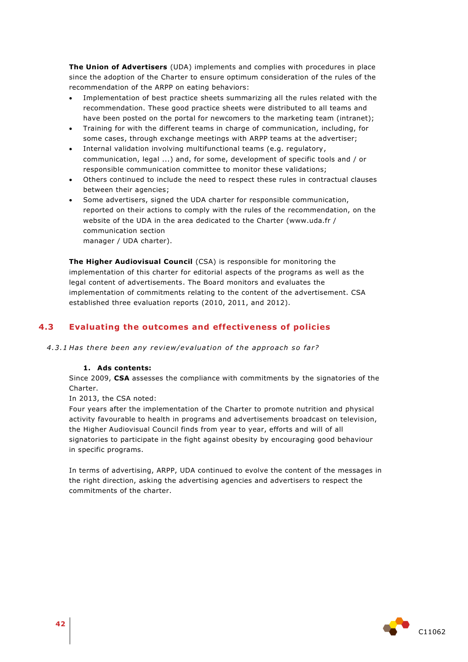**The Union of Advertisers** (UDA) implements and complies with procedures in place since the adoption of the Charter to ensure optimum consideration of the rules of the recommendation of the ARPP on eating behaviors:

- Implementation of best practice sheets summarizing all the rules related with the recommendation. These good practice sheets were distributed to all teams and have been posted on the portal for newcomers to the marketing team (intranet);
- Training for with the different teams in charge of communication, including, for some cases, through exchange meetings with ARPP teams at the advertiser;
- Internal validation involving multifunctional teams (e.g. regulatory, communication, legal ...) and, for some, development of specific tools and / or responsible communication committee to monitor these validations;
- Others continued to include the need to respect these rules in contractual clauses between their agencies;
- Some advertisers, signed the UDA charter for responsible communication, reported on their actions to comply with the rules of the recommendation, on the website of the UDA in the area dedicated to the Charter (www.uda.fr / communication section

manager / UDA charter).

**The Higher Audiovisual Council** (CSA) is responsible for monitoring the implementation of this charter for editorial aspects of the programs as well as the legal content of advertisements. The Board monitors and evaluates the implementation of commitments relating to the content of the advertisement. CSA established three evaluation reports (2010, 2011, and 2012).

# **4.3 Evaluating the outcomes and effectiveness of policies**

4.3.1 Has there been any review/evaluation of the approach so far?

#### **1. Ads contents:**

Since 2009, **CSA** assesses the compliance with commitments by the signatories of the Charter.

In 2013, the CSA noted:

Four years after the implementation of the Charter to promote nutrition and physical activity favourable to health in programs and advertisements broadcast on television, the Higher Audiovisual Council finds from year to year, efforts and will of all signatories to participate in the fight against obesity by encouraging good behaviour in specific programs.

In terms of advertising, ARPP, UDA continued to evolve the content of the messages in the right direction, asking the advertising agencies and advertisers to respect the commitments of the charter.

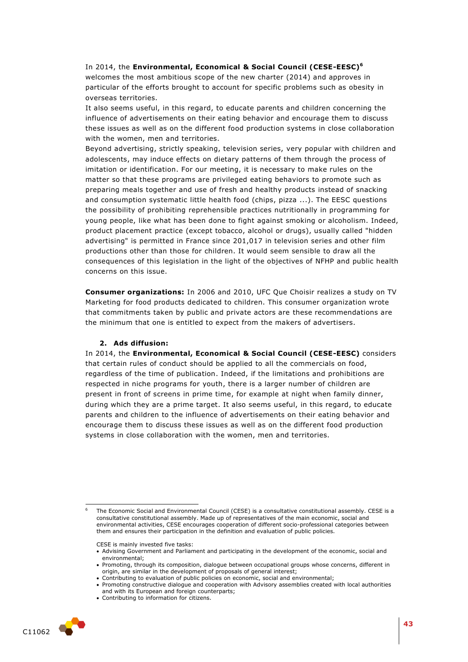In 2014, the **Environmental, Economical & Social Council (CESE-EESC) 6** welcomes the most ambitious scope of the new charter (2014) and approves in particular of the efforts brought to account for specific problems such as obesity in overseas territories.

It also seems useful, in this regard, to educate parents and children concerning the influence of advertisements on their eating behavior and encourage them to discuss these issues as well as on the different food production systems in close collaboration with the women, men and territories.

Beyond advertising, strictly speaking, television series, very popular with children and adolescents, may induce effects on dietary patterns of them through the process of imitation or identification. For our meeting, it is necessary to make rules on the matter so that these programs are privileged eating behaviors to promote such as preparing meals together and use of fresh and healthy products instead of snacking and consumption systematic little health food (chips, pizza ...). The EESC questions the possibility of prohibiting reprehensible practices nutritionally in programming for young people, like what has been done to fight against smoking or alcoholism. Indeed, product placement practice (except tobacco, alcohol or drugs), usually called "hidden advertising" is permitted in France since 201,017 in television series and other film productions other than those for children. It would seem sensible to draw all the consequences of this legislation in the light of the objectives of NFHP and public health concerns on this issue.

**Consumer organizations:** In 2006 and 2010, UFC Que Choisir realizes a study on TV Marketing for food products dedicated to children. This consumer organization wrote that commitments taken by public and private actors are these recommendations are the minimum that one is entitled to expect from the makers of advertisers.

#### **2. Ads diffusion:**

In 2014, the **Environmental, Economical & Social Council (CESE-EESC)** considers that certain rules of conduct should be applied to all the commercials on food, regardless of the time of publication. Indeed, if the limitations and prohibitions are respected in niche programs for youth, there is a larger number of children are present in front of screens in prime time, for example at night when family dinner, during which they are a prime target. It also seems useful, in this regard, to educate parents and children to the influence of advertisements on their eating behavior and encourage them to discuss these issues as well as on the different food production systems in close collaboration with the women, men and territories.

CESE is mainly invested five tasks:

Contributing to information for citizens.



1

The Economic Social and Environmental Council (CESE) is a consultative constitutional assembly. CESE is a consultative constitutional assembly. Made up of representatives of the main economic, social and environmental activities, CESE encourages cooperation of different socio-professional categories between them and ensures their participation in the definition and evaluation of public policies.

Advising Government and Parliament and participating in the development of the economic, social and environmental;

Promoting, through its composition, dialogue between occupational groups whose concerns, different in origin, are similar in the development of proposals of general interest;

Contributing to evaluation of public policies on economic, social and environmental;

Promoting constructive dialogue and cooperation with Advisory assemblies created with local authorities and with its European and foreign counterparts;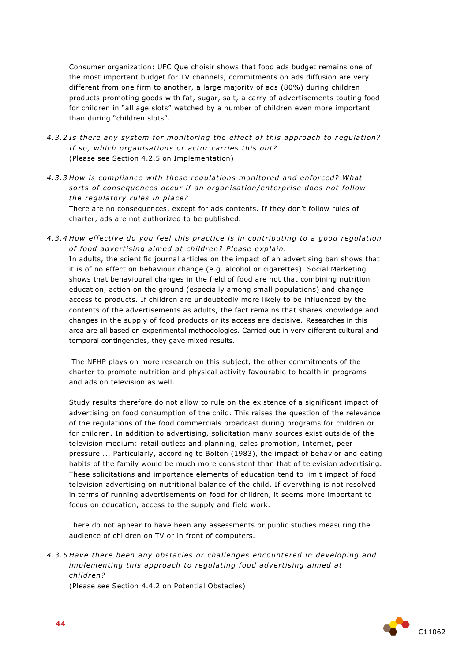Consumer organization: UFC Que choisir shows that food ads budget remains one of the most important budget for TV channels, commitments on ads diffusion are very different from one firm to another, a large majority of ads (80%) during children products promoting goods with fat, sugar, salt, a carry of advertisements touting food for children in "all age slots" watched by a number of children even more important than during "children slots".

- 4.3.2 Is there any system for monitoring the effect of this approach to regulation? *If so, which organisations or actor carries this out?* (Please see Section 4.2.5 on Implementation)
- *4 .3 .3 How is compliance with these regula tions monito red and en for ced? Wha t*  sorts of consequences occur if an organisation/enterprise does not follow *the regulatory rules in place?*

There are no consequences, except for ads contents. If they don't follow rules of charter, ads are not authorized to be published.

*4 .3 .4 How e f fe ctive do you feel this p rac tice i s in con tribu ting to a good regula tion*  of food advertising aimed at children? Please explain. In adults, the scientific journal articles on the impact of an advertising ban shows that it is of no effect on behaviour change (e.g. alcohol or cigarettes). Social Marketing shows that behavioural changes in the field of food are not that combining nutrition

education, action on the ground (especially among small populations) and change access to products. If children are undoubtedly more likely to be influenced by the contents of the advertisements as adults, the fact remains that shares knowledge and changes in the supply of food products or its access are decisive. Researches in this area are all based on experimental methodologies. Carried out in very different cultural and temporal contingencies, they gave mixed results.

The NFHP plays on more research on this subject, the other commitments of the charter to promote nutrition and physical activity favourable to health in programs and ads on television as well.

Study results therefore do not allow to rule on the existence of a significant impact of advertising on food consumption of the child. This raises the question of the relevance of the regulations of the food commercials broadcast during programs for children or for children. In addition to advertising, solicitation many sources exist outside of the television medium: retail outlets and planning, sales promotion, Internet, peer pressure ... Particularly, according to Bolton (1983), the impact of behavior and eating habits of the family would be much more consistent than that of television advertising. These solicitations and importance elements of education tend to limit impact of food television advertising on nutritional balance of the child. If everything is not resolved in terms of running advertisements on food for children, it seems more important to focus on education, access to the supply and field work.

There do not appear to have been any assessments or public studies measuring the audience of children on TV or in front of computers.

4.3.5 Have there been any obstacles or challenges encountered in developing and *implementing this approach to regulating food advertising aimed at child ren?*

(Please see Section 4.4.2 on Potential Obstacles)

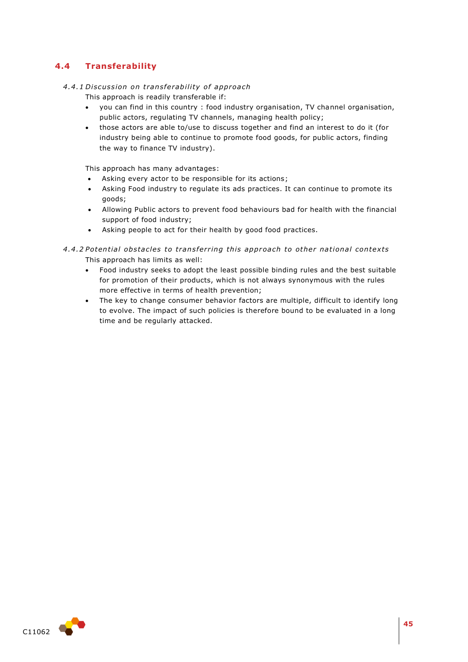# **4.4 Transferability**

## *4 .4 .1 Di scus sion on t rans fe rabili ty o f app roach*

This approach is readily transferable if:

- you can find in this country : food industry organisation, TV channel organisation, public actors, regulating TV channels, managing health policy;
- those actors are able to/use to discuss together and find an interest to do it (for industry being able to continue to promote food goods, for public actors, finding the way to finance TV industry).

This approach has many advantages:

- Asking every actor to be responsible for its actions;
- Asking Food industry to regulate its ads practices. It can continue to promote its goods;
- Allowing Public actors to prevent food behaviours bad for health with the financial support of food industry;
- Asking people to act for their health by good food practices.

*4 .4 .2 Poten tial obs tacles to tran s fer ring this app roach to othe r na tional con text s* This approach has limits as well:

- Food industry seeks to adopt the least possible binding rules and the best suitable for promotion of their products, which is not always synonymous with the rules more effective in terms of health prevention;
- The key to change consumer behavior factors are multiple, difficult to identify long to evolve. The impact of such policies is therefore bound to be evaluated in a long time and be regularly attacked.

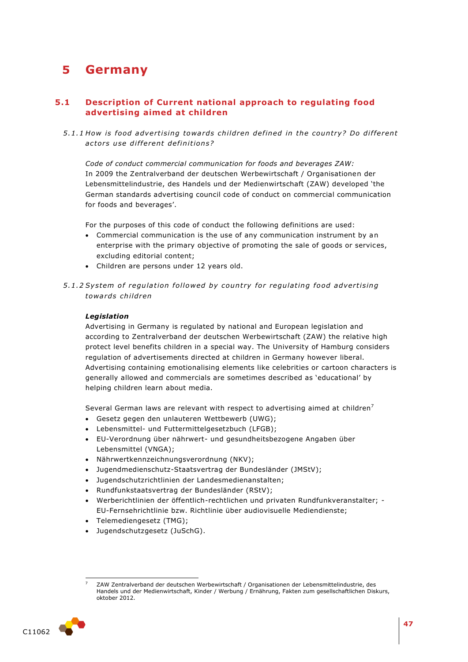# **5 Germany**

# **5.1 Description of Current national approach to regulating food advertising aimed at children**

5.1.1 How is food advertising towards children defined in the country? Do different *ac to rs u se di f fe rent de fini tion s?* 

*Code of conduct commercial communication for foods and beverages ZAW:* In 2009 the Zentralverband der deutschen Werbewirtschaft / Organisationen der Lebensmittelindustrie, des Handels und der Medienwirtschaft (ZAW) developed 'the German standards advertising council code of conduct on commercial communication for foods and beverages'.

For the purposes of this code of conduct the following definitions are used:

- Commercial communication is the use of any communication instrument by an enterprise with the primary objective of promoting the sale of goods or services, excluding editorial content;
- Children are persons under 12 years old.
- 5.1.2 System of regulation followed by country for regulating food advertising *towa rds child ren*

#### *Legislation*

Advertising in Germany is regulated by national and European legislation and according to Zentralverband der deutschen Werbewirtschaft (ZAW) the relative high protect level benefits children in a special way. The University of Hamburg considers regulation of advertisements directed at children in Germany however liberal. Advertising containing emotionalising elements like celebrities or cartoon characters is generally allowed and commercials are sometimes described as 'educational' by helping children learn about media.

Several German laws are relevant with respect to advertising aimed at children<sup>7</sup>

- Gesetz gegen den unlauteren Wettbewerb (UWG);
- Lebensmittel- und Futtermittelgesetzbuch (LFGB);
- EU-Verordnung über nährwert- und gesundheitsbezogene Angaben über Lebensmittel (VNGA);
- Nährwertkennzeichnungsverordnung (NKV);
- Jugendmedienschutz-Staatsvertrag der Bundesländer (JMStV);
- Jugendschutzrichtlinien der Landesmedienanstalten;
- Rundfunkstaatsvertrag der Bundesländer (RStV);
- Werberichtlinien der öffentlich-rechtlichen und privaten Rundfunkveranstalter; EU-Fernsehrichtlinie bzw. Richtlinie über audiovisuelle Mediendienste;
- Telemediengesetz (TMG);
- Jugendschutzgesetz (JuSchG).

ł <sup>7</sup> ZAW Zentralverband der deutschen Werbewirtschaft / Organisationen der Lebensmittelindustrie, des Handels und der Medienwirtschaft, Kinder / Werbung / Ernährung, Fakten zum gesellschaftlichen Diskurs, oktober 2012.

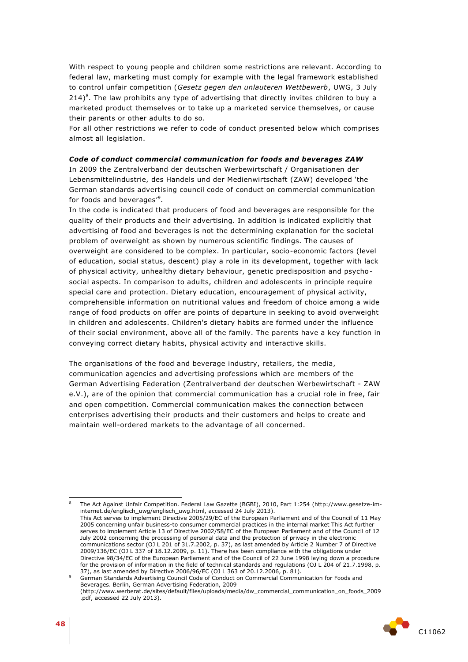With respect to young people and children some restrictions are relevant. According to federal law, marketing must comply for example with the legal framework established to control unfair competition (*Gesetz gegen den unlauteren Wettbewerb*, UWG, 3 July  $214)$ <sup>8</sup>. The law prohibits any type of advertising that directly invites children to buy a marketed product themselves or to take up a marketed service themselves, or cause their parents or other adults to do so.

For all other restrictions we refer to code of conduct presented below which comprises almost all legislation.

#### *Code of conduct commercial communication for foods and beverages ZAW*

In 2009 the Zentralverband der deutschen Werbewirtschaft / Organisationen der Lebensmittelindustrie, des Handels und der Medienwirtschaft (ZAW) developed 'the German standards advertising council code of conduct on commercial communication for foods and beverages'<sup>9</sup>.

In the code is indicated that producers of food and beverages are responsible for the quality of their products and their advertising. In addition is indicated explicitly that advertising of food and beverages is not the determining explanation for the societal problem of overweight as shown by numerous scientific findings. The causes of overweight are considered to be complex. In particular, socio-economic factors (level of education, social status, descent) play a role in its development, together with lack of physical activity, unhealthy dietary behaviour, genetic predisposition and psychosocial aspects. In comparison to adults, children and adolescents in principle require special care and protection. Dietary education, encouragement of physical activity, comprehensible information on nutritional values and freedom of choice among a wide range of food products on offer are points of departure in seeking to avoid overweight in children and adolescents. Children's dietary habits are formed under the influence of their social environment, above all of the family. The parents have a key function in conveying correct dietary habits, physical activity and interactive skills.

The organisations of the food and beverage industry, retailers, the media, communication agencies and advertising professions which are members of the German Advertising Federation (Zentralverband der deutschen Werbewirtschaft - ZAW e.V.), are of the opinion that commercial communication has a crucial role in free, fair and open competition. Commercial communication makes the connection between enterprises advertising their products and their customers and helps to create and maintain well-ordered markets to the advantage of all concerned.

<sup>8</sup> The Act Against Unfair Competition. Federal Law Gazette (BGBI), 2010, Part 1:254 (http://www.gesetze-iminternet.de/englisch\_uwg/englisch\_uwg.html, accessed 24 July 2013). This Act serves to implement Directive 2005/29/EC of the European Parliament and of the Council of 11 May 2005 concerning unfair business-to consumer commercial practices in the internal market This Act further serves to implement Article 13 of Directive 2002/58/EC of the European Parliament and of the Council of 12 July 2002 concerning the processing of personal data and the protection of privacy in the electronic communications sector (OJ L 201 of 31.7.2002, p. 37), as last amended by Article 2 Number 7 of Directive 2009/136/EC (OJ L 337 of 18.12.2009, p. 11). There has been compliance with the obligations under Directive 98/34/EC of the European Parliament and of the Council of 22 June 1998 laying down a procedure for the provision of information in the field of technical standards and regulations (OJ L 204 of 21.7.1998, p. 37), as last amended by Directive 2006/96/EC (OJ L 363 of 20.12.2006, p. 81).

<sup>9</sup> German Standards Advertising Council Code of Conduct on Commercial Communication for Foods and Beverages. Berlin, German Advertising Federation, 2009 (http://www.werberat.de/sites/default/files/uploads/media/dw\_commercial\_communication\_on\_foods\_2009 .pdf, accessed 22 July 2013).



-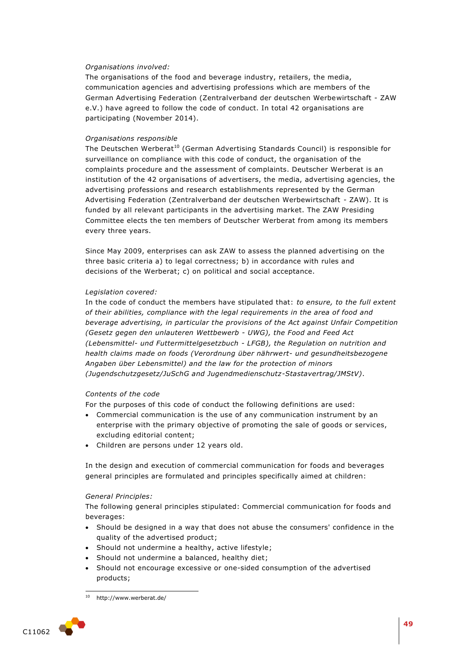## *Organisations involved:*

The organisations of the food and beverage industry, retailers, the media, communication agencies and advertising professions which are members of the German Advertising Federation (Zentralverband der deutschen Werbewirtschaft - ZAW e.V.) have agreed to follow the code of conduct. In total 42 organisations are participating (November 2014).

#### *Organisations responsible*

The Deutschen Werberat<sup>10</sup> (German Advertising Standards Council) is responsible for surveillance on compliance with this code of conduct, the organisation of the complaints procedure and the assessment of complaints. Deutscher Werberat is an institution of the 42 organisations of advertisers, the media, advertising agencies, the advertising professions and research establishments represented by the German Advertising Federation (Zentralverband der deutschen Werbewirtschaft - ZAW). It is funded by all relevant participants in the advertising market. The ZAW Presiding Committee elects the ten members of Deutscher Werberat from among its members every three years.

Since May 2009, enterprises can ask ZAW to assess the planned advertising on the three basic criteria a) to legal correctness; b) in accordance with rules and decisions of the Werberat; c) on political and social acceptance.

#### *Legislation covered:*

In the code of conduct the members have stipulated that: *to ensure, to the full extent of their abilities, compliance with the legal requirements in the area of food and beverage advertising, in particular the provisions of the Act against Unfair Competition (Gesetz gegen den unlauteren Wettbewerb - UWG), the Food and Feed Act (Lebensmittel- und Futtermittelgesetzbuch - LFGB), the Regulation on nutrition and health claims made on foods (Verordnung über nährwert- und gesundheitsbezogene Angaben über Lebensmittel) and the law for the protection of minors (Jugendschutzgesetz/JuSchG and Jugendmedienschutz-Stastavertrag/JMStV)*.

#### *Contents of the code*

For the purposes of this code of conduct the following definitions are used:

- Commercial communication is the use of any communication instrument by an enterprise with the primary objective of promoting the sale of goods or services, excluding editorial content;
- Children are persons under 12 years old.

In the design and execution of commercial communication for foods and beverages general principles are formulated and principles specifically aimed at children:

#### *General Principles:*

The following general principles stipulated: Commercial communication for foods and beverages:

- Should be designed in a way that does not abuse the consumers' confidence in the quality of the advertised product;
- Should not undermine a healthy, active lifestyle;
- Should not undermine a balanced, healthy diet;
- Should not encourage excessive or one-sided consumption of the advertised products;

<sup>1</sup> http://www.werberat.de/

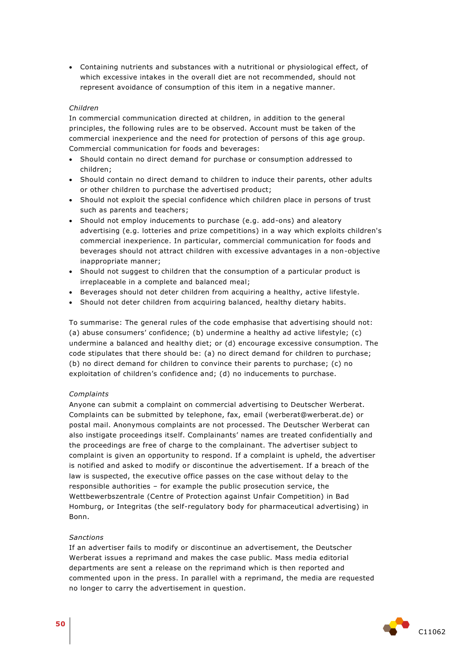Containing nutrients and substances with a nutritional or physiological effect, of which excessive intakes in the overall diet are not recommended, should not represent avoidance of consumption of this item in a negative manner.

#### *Children*

In commercial communication directed at children, in addition to the general principles, the following rules are to be observed. Account must be taken of the commercial inexperience and the need for protection of persons of this age group. Commercial communication for foods and beverages:

- Should contain no direct demand for purchase or consumption addressed to children;
- Should contain no direct demand to children to induce their parents, other adults or other children to purchase the advertised product;
- Should not exploit the special confidence which children place in persons of trust such as parents and teachers;
- Should not employ inducements to purchase (e.g. add-ons) and aleatory advertising (e.g. lotteries and prize competitions) in a way which exploits children's commercial inexperience. In particular, commercial communication for foods and beverages should not attract children with excessive advantages in a non-objective inappropriate manner;
- Should not suggest to children that the consumption of a particular product is irreplaceable in a complete and balanced meal;
- Beverages should not deter children from acquiring a healthy, active lifestyle.
- Should not deter children from acquiring balanced, healthy dietary habits.

To summarise: The general rules of the code emphasise that advertising should not: (a) abuse consumers' confidence; (b) undermine a healthy ad active lifestyle; (c) undermine a balanced and healthy diet; or (d) encourage excessive consumption. The code stipulates that there should be: (a) no direct demand for children to purchase; (b) no direct demand for children to convince their parents to purchase; (c) no exploitation of children's confidence and; (d) no inducements to purchase.

#### *Complaints*

Anyone can submit a complaint on commercial advertising to Deutscher Werberat. Complaints can be submitted by telephone, fax, email (werberat@werberat.de) or postal mail. Anonymous complaints are not processed. The Deutscher Werberat can also instigate proceedings itself. Complainants' names are treated confidentially and the proceedings are free of charge to the complainant. The advertiser subject to complaint is given an opportunity to respond. If a complaint is upheld, the advertiser is notified and asked to modify or discontinue the advertisement. If a breach of the law is suspected, the executive office passes on the case without delay to the responsible authorities – for example the public prosecution service, the Wettbewerbszentrale (Centre of Protection against Unfair Competition) in Bad Homburg, or Integritas (the self-regulatory body for pharmaceutical advertising) in Bonn.

#### *Sanctions*

If an advertiser fails to modify or discontinue an advertisement, the Deutscher Werberat issues a reprimand and makes the case public. Mass media editorial departments are sent a release on the reprimand which is then reported and commented upon in the press. In parallel with a reprimand, the media are requested no longer to carry the advertisement in question.

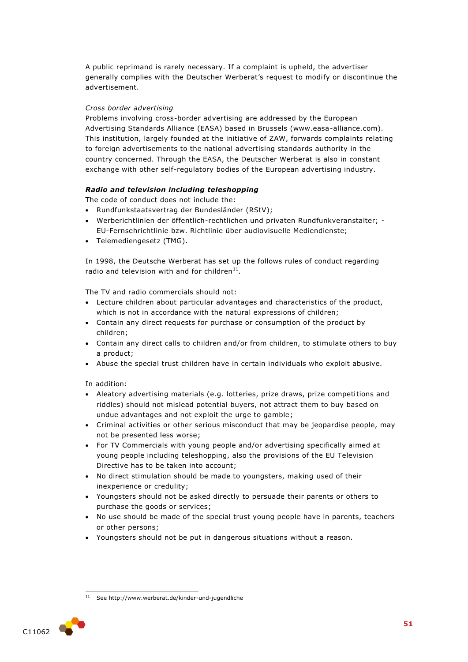A public reprimand is rarely necessary. If a complaint is upheld, the advertiser generally complies with the Deutscher Werberat's request to modify or discontinue the advertisement.

## *Cross border advertising*

Problems involving cross-border advertising are addressed by the European Advertising Standards Alliance (EASA) based in Brussels (www.easa-alliance.com). This institution, largely founded at the initiative of ZAW, forwards complaints relating to foreign advertisements to the national advertising standards authority in the country concerned. Through the EASA, the Deutscher Werberat is also in constant exchange with other self-regulatory bodies of the European advertising industry.

## *Radio and television including teleshopping*

The code of conduct does not include the:

- Rundfunkstaatsvertrag der Bundesländer (RStV);
- Werberichtlinien der öffentlich-rechtlichen und privaten Rundfunkveranstalter; EU-Fernsehrichtlinie bzw. Richtlinie über audiovisuelle Mediendienste;
- Telemediengesetz (TMG).

In 1998, the Deutsche Werberat has set up the follows rules of conduct regarding radio and television with and for children<sup>11</sup>.

The TV and radio commercials should not:

- Lecture children about particular advantages and characteristics of the product, which is not in accordance with the natural expressions of children;
- Contain any direct requests for purchase or consumption of the product by children;
- Contain any direct calls to children and/or from children, to stimulate others to buy a product;
- Abuse the special trust children have in certain individuals who exploit abusive.

In addition:

- Aleatory advertising materials (e.g. lotteries, prize draws, prize competitions and riddles) should not mislead potential buyers, not attract them to buy based on undue advantages and not exploit the urge to gamble;
- Criminal activities or other serious misconduct that may be jeopardise people, may not be presented less worse;
- For TV Commercials with young people and/or advertising specifically aimed at young people including teleshopping, also the provisions of the EU Television Directive has to be taken into account;
- No direct stimulation should be made to youngsters, making used of their inexperience or credulity;
- Youngsters should not be asked directly to persuade their parents or others to purchase the goods or services;
- No use should be made of the special trust young people have in parents, teachers or other persons;
- Youngsters should not be put in dangerous situations without a reason.

<sup>1</sup> See http://www.werberat.de/kinder-und-jugendliche

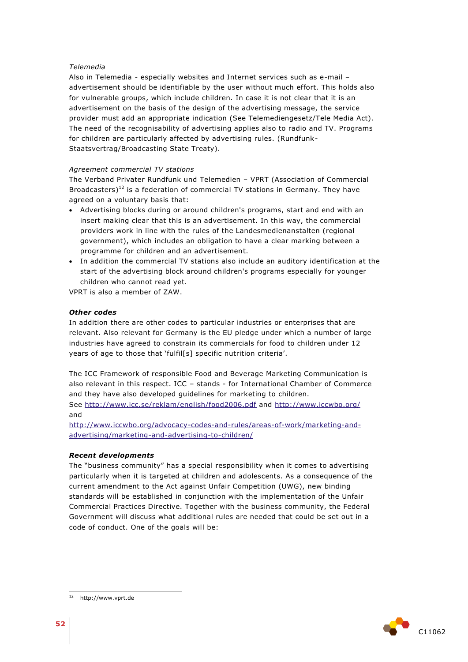## *Telemedia*

Also in Telemedia - especially websites and Internet services such as e-mail – advertisement should be identifiable by the user without much effort. This holds also for vulnerable groups, which include children. In case it is not clear that it is an advertisement on the basis of the design of the advertising message, the service provider must add an appropriate indication (See Telemediengesetz/Tele Media Act). The need of the recognisability of advertising applies also to radio and TV. Programs for children are particularly affected by advertising rules. (Rundfunk-Staatsvertrag/Broadcasting State Treaty).

#### *Agreement commercial TV stations*

The Verband Privater Rundfunk und Telemedien – VPRT (Association of Commercial Broadcasters)<sup>12</sup> is a federation of commercial TV stations in Germany. They have agreed on a voluntary basis that:

- Advertising blocks during or around children's programs, start and end with an insert making clear that this is an advertisement. In this way, the commercial providers work in line with the rules of the Landesmedienanstalten (regional government), which includes an obligation to have a clear marking between a programme for children and an advertisement.
- In addition the commercial TV stations also include an auditory identification at the start of the advertising block around children's programs especially for younger children who cannot read yet.

VPRT is also a member of ZAW.

#### *Other codes*

In addition there are other codes to particular industries or enterprises that are relevant. Also relevant for Germany is the EU pledge under which a number of large industries have agreed to constrain its commercials for food to children under 12 years of age to those that 'fulfil[s] specific nutrition criteria'.

The ICC Framework of responsible Food and Beverage Marketing Communication is also relevant in this respect. ICC – stands - for International Chamber of Commerce and they have also developed guidelines for marketing to children. See<http://www.icc.se/reklam/english/food2006.pdf> and<http://www.iccwbo.org/>

and

[http://www.iccwbo.org/advocacy-codes-and-rules/areas-of-work/marketing-and](http://www.iccwbo.org/advocacy-codes-and-rules/areas-of-work/marketing-and-advertising/marketing-and-advertising-to-children/)[advertising/marketing-and-advertising-to-children/](http://www.iccwbo.org/advocacy-codes-and-rules/areas-of-work/marketing-and-advertising/marketing-and-advertising-to-children/)

#### *Recent developments*

The "business community" has a special responsibility when it comes to advertising particularly when it is targeted at children and adolescents. As a consequence of the current amendment to the Act against Unfair Competition (UWG), new binding standards will be established in conjunction with the implementation of the Unfair Commercial Practices Directive. Together with the business community, the Federal Government will discuss what additional rules are needed that could be set out in a code of conduct. One of the goals will be:





1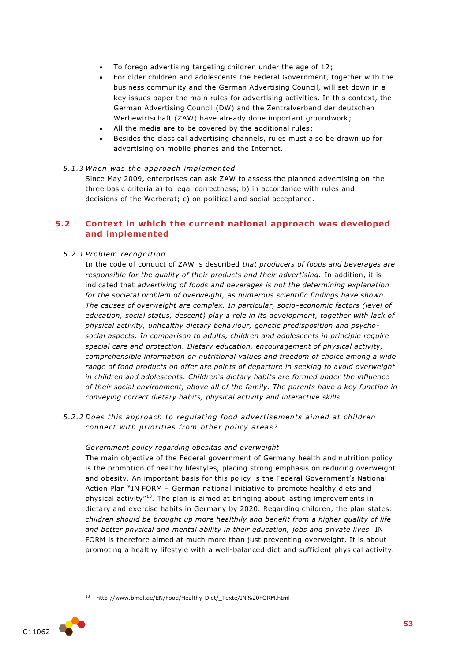- To forego advertising targeting children under the age of 12;
- For older children and adolescents the Federal Government, together with the business community and the German Advertising Council, will set down in a key issues paper the main rules for advertising activities. In this context, the German Advertising Council (DW) and the Zentralverband der deutschen Werbewirtschaft (ZAW) have already done important groundwork;
- All the media are to be covered by the additional rules;
- Besides the classical advertising channels, rules must also be drawn up for advertising on mobile phones and the Internet.

#### *5 .1 .3 When was the app roa ch implemented*

Since May 2009, enterprises can ask ZAW to assess the planned advertising on the three basic criteria a) to legal correctness; b) in accordance with rules and decisions of the Werberat; c) on political and social acceptance.

# **5.2 Context in which the current national approach was developed and implemented**

## *5 .2 .1 P roblem recognition*

In the code of conduct of ZAW is described *that producers of foods and beverages are responsible for the quality of their products and their advertising.* In addition, it is indicated that *advertising of foods and beverages is not the determining explanation for the societal problem of overweight, as numerous scientific findings have shown. The causes of overweight are complex. In particular, socio-economic factors (level of education, social status, descent) play a role in its development, together with lack of physical activity, unhealthy dietary behaviour, genetic predisposition and psychosocial aspects. In comparison to adults, children and adolescents in principle require special care and protection. Dietary education, encouragement of physical activity, comprehensible information on nutritional values and freedom of choice among a wide range of food products on offer are points of departure in seeking to avoid overweight in children and adolescents. Children's dietary habits are formed under the influence of their social environment, above all of the family. The parents have a key function in conveying correct dietary habits, physical activity and interactive skills.*

*5 .2 .2 Does thi s approach to regula ting food adve rti semen ts aimed a t children connect with priorities from other policy areas?* 

#### *Government policy regarding obesitas and overweight*

The main objective of the Federal government of Germany health and nutrition policy is the promotion of healthy lifestyles, placing strong emphasis on reducing overweight and obesity. An important basis for this policy is the Federal Government's National Action Plan "IN FORM – German national initiative to promote healthy diets and physical activity"<sup>13</sup>. The plan is aimed at bringing about lasting improvements in dietary and exercise habits in Germany by 2020. Regarding children, the plan states: *children should be brought up more healthily and benefit from a higher quality of life and better physical and mental ability in their education, jobs and private lives*. IN FORM is therefore aimed at much more than just preventing overweight. It is about promoting a healthy lifestyle with a well-balanced diet and sufficient physical activity.

<sup>1</sup> <sup>13</sup> http://www.bmel.de/EN/Food/Healthy-Diet/\_Texte/IN%20FORM.html

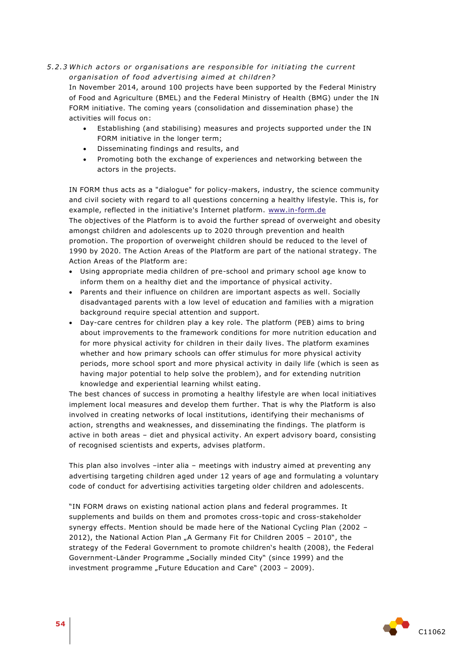## 5.2.3 Which actors or organisations are responsible for initiating the current *organisation of food advertising aimed at children?*

In November 2014, around 100 projects have been supported by the Federal Ministry of Food and Agriculture (BMEL) and the Federal Ministry of Health (BMG) under the IN FORM initiative. The coming years (consolidation and dissemination phase) the activities will focus on:

- Establishing (and stabilising) measures and projects supported under the IN FORM initiative in the longer term;
- Disseminating findings and results, and
- Promoting both the exchange of experiences and networking between the actors in the projects.

IN FORM thus acts as a "dialogue" for policy-makers, industry, the science community and civil society with regard to all questions concerning a healthy lifestyle. This is, for example, reflected in the initiative's Internet platform. [www.in-form.de](http://www.in-form.de/) The objectives of the Platform is to avoid the further spread of overweight and obesity amongst children and adolescents up to 2020 through prevention and health promotion. The proportion of overweight children should be reduced to the level of 1990 by 2020. The Action Areas of the Platform are part of the national strategy. The Action Areas of the Platform are:

- Using appropriate media children of pre-school and primary school age know to inform them on a healthy diet and the importance of physical activity.
- Parents and their influence on children are important aspects as well. Socially disadvantaged parents with a low level of education and families with a migration background require special attention and support.
- Day-care centres for children play a key role. The platform (PEB) aims to bring about improvements to the framework conditions for more nutrition education and for more physical activity for children in their daily lives. The platform examines whether and how primary schools can offer stimulus for more physical activity periods, more school sport and more physical activity in daily life (which is seen as having major potential to help solve the problem), and for extending nutrition knowledge and experiential learning whilst eating.

The best chances of success in promoting a healthy lifestyle are when local initiatives implement local measures and develop them further. That is why the Platform is also involved in creating networks of local institutions, identifying their mechanisms of action, strengths and weaknesses, and disseminating the findings. The platform is active in both areas – diet and physical activity. An expert advisory board, consisting of recognised scientists and experts, advises platform.

This plan also involves –inter alia – meetings with industry aimed at preventing any advertising targeting children aged under 12 years of age and formulating a voluntary code of conduct for advertising activities targeting older children and adolescents.

"IN FORM draws on existing national action plans and federal programmes. It supplements and builds on them and promotes cross-topic and cross-stakeholder synergy effects. Mention should be made here of the National Cycling Plan (2002 – 2012), the National Action Plan "A Germany Fit for Children 2005 - 2010", the strategy of the Federal Government to promote children's health (2008), the Federal Government-Länder Programme "Socially minded City" (since 1999) and the investment programme "Future Education and Care" (2003 - 2009).

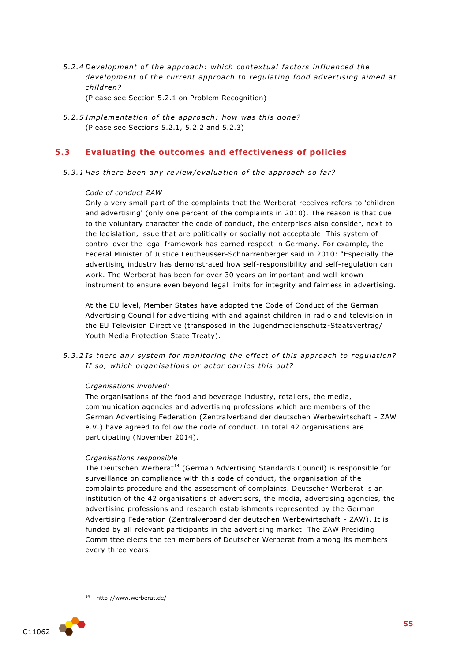5.2.4 Development of the approach: which contextual factors influenced the development of the current approach to regulating food advertising aimed at *child ren?* 

(Please see Section 5.2.1 on Problem Recognition)

5.2.5 Implementation of the approach: how was this done? (Please see Sections 5.2.1, 5.2.2 and 5.2.3)

# **5.3 Evaluating the outcomes and effectiveness of policies**

5.3.1 Has there been any review/evaluation of the approach so far?

### *Code of conduct ZAW*

Only a very small part of the complaints that the Werberat receives refers to 'children and advertising' (only one percent of the complaints in 2010). The reason is that due to the voluntary character the code of conduct, the enterprises also consider, next to the legislation, issue that are politically or socially not acceptable. This system of control over the legal framework has earned respect in Germany. For example, the Federal Minister of Justice Leutheusser-Schnarrenberger said in 2010: "Especially the advertising industry has demonstrated how self-responsibility and self-regulation can work. The Werberat has been for over 30 years an important and well-known instrument to ensure even beyond legal limits for integrity and fairness in advertising.

At the EU level, Member States have adopted the Code of Conduct of the German Advertising Council for advertising with and against children in radio and television in the EU Television Directive (transposed in the Jugendmedienschutz-Staatsvertrag/ Youth Media Protection State Treaty).

5.3.2 Is there any system for monitoring the effect of this approach to regulation? If so, which organisations or actor carries this out?

#### *Organisations involved:*

The organisations of the food and beverage industry, retailers, the media, communication agencies and advertising professions which are members of the German Advertising Federation (Zentralverband der deutschen Werbewirtschaft - ZAW e.V.) have agreed to follow the code of conduct. In total 42 organisations are participating (November 2014).

#### *Organisations responsible*

The Deutschen Werberat<sup>14</sup> (German Advertising Standards Council) is responsible for surveillance on compliance with this code of conduct, the organisation of the complaints procedure and the assessment of complaints. Deutscher Werberat is an institution of the 42 organisations of advertisers, the media, advertising agencies, the advertising professions and research establishments represented by the German Advertising Federation (Zentralverband der deutschen Werbewirtschaft - ZAW). It is funded by all relevant participants in the advertising market. The ZAW Presiding Committee elects the ten members of Deutscher Werberat from among its members every three years.

<sup>1</sup> http://www.werberat.de/

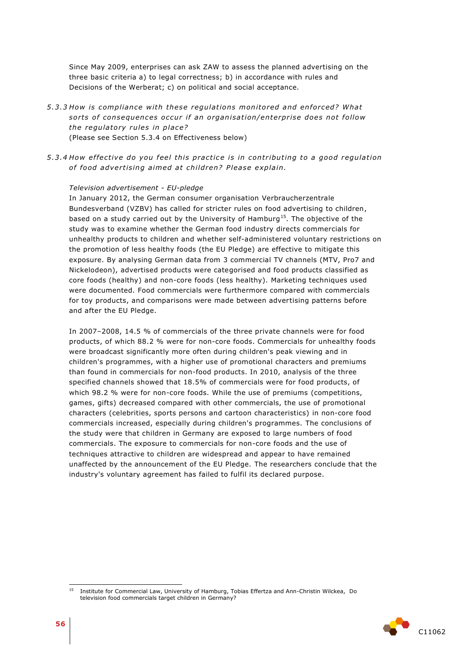Since May 2009, enterprises can ask ZAW to assess the planned advertising on the three basic criteria a) to legal correctness; b) in accordance with rules and Decisions of the Werberat; c) on political and social acceptance.

- *5 .3 .3 How is compliance with these regula tions monito red and en for ced? Wha t*  sorts of consequences occur if an organisation/enterprise does not follow *the regulatory rules in place?* (Please see Section 5.3.4 on Effectiveness below)
- *5 .3 .4 How e f fe ctive do you feel this p rac tic e i s in con tribu ting to a good regula tion*  of food advertising aimed at children? Please explain.

#### *Television advertisement - EU-pledge*

In January 2012, the German consumer organisation Verbraucherzentrale Bundesverband (VZBV) has called for stricter rules on food advertising to children, based on a study carried out by the University of Hamburg<sup>15</sup>. The objective of the study was to examine whether the German food industry directs commercials for unhealthy products to children and whether self-administered voluntary restrictions on the promotion of less healthy foods (the EU Pledge) are effective to mitigate this exposure. By analysing German data from 3 commercial TV channels (MTV, Pro7 and Nickelodeon), advertised products were categorised and food products classified as core foods (healthy) and non-core foods (less healthy). Marketing techniques used were documented. Food commercials were furthermore compared with commercials for toy products, and comparisons were made between advertising patterns before and after the EU Pledge.

In 2007–2008, 14.5 % of commercials of the three private channels were for food products, of which 88.2 % were for non-core foods. Commercials for unhealthy foods were broadcast significantly more often during children's peak viewing and in children's programmes, with a higher use of promotional characters and premiums than found in commercials for non-food products. In 2010, analysis of the three specified channels showed that 18.5% of commercials were for food products, of which 98.2 % were for non-core foods. While the use of premiums (competitions, games, gifts) decreased compared with other commercials, the use of promotional characters (celebrities, sports persons and cartoon characteristics) in non-core food commercials increased, especially during children's programmes. The conclusions of the study were that children in Germany are exposed to large numbers of food commercials. The exposure to commercials for non-core foods and the use of techniques attractive to children are widespread and appear to have remained unaffected by the announcement of the EU Pledge. The researchers conclude that the industry's voluntary agreement has failed to fulfil its declared purpose.

<sup>15</sup> <sup>15</sup> Institute for Commercial Law, University of Hamburg, Tobias Effertza and Ann-Christin Wilckea, Do television food commercials target children in Germany?

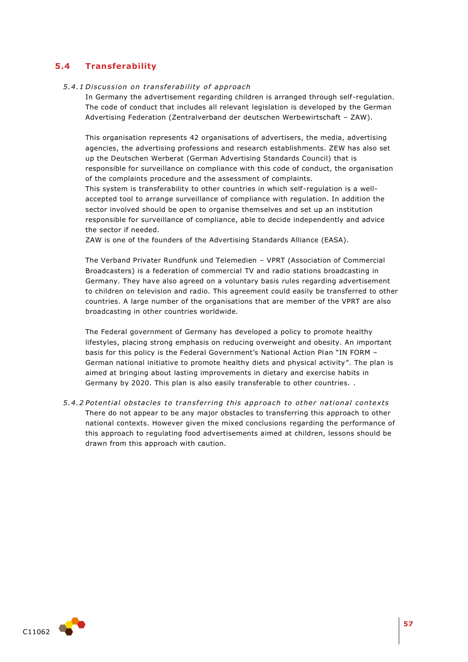# **5.4 Transferability**

## *5 .4 .1 Di scus sion on t rans fe rabili ty o f app roach*

In Germany the advertisement regarding children is arranged through self-regulation. The code of conduct that includes all relevant legislation is developed by the German Advertising Federation (Zentralverband der deutschen Werbewirtschaft – ZAW).

This organisation represents 42 organisations of advertisers, the media, advertising agencies, the advertising professions and research establishments. ZEW has also set up the Deutschen Werberat (German Advertising Standards Council) that is responsible for surveillance on compliance with this code of conduct, the organisation of the complaints procedure and the assessment of complaints.

This system is transferability to other countries in which self-regulation is a wellaccepted tool to arrange surveillance of compliance with regulation. In addition the sector involved should be open to organise themselves and set up an institution responsible for surveillance of compliance, able to decide independently and advice the sector if needed.

ZAW is one of the founders of the Advertising Standards Alliance (EASA).

The Verband Privater Rundfunk und Telemedien – VPRT (Association of Commercial Broadcasters) is a federation of commercial TV and radio stations broadcasting in Germany. They have also agreed on a voluntary basis rules regarding advertisement to children on television and radio. This agreement could easily be transferred to other countries. A large number of the organisations that are member of the VPRT are also broadcasting in other countries worldwide.

The Federal government of Germany has developed a policy to promote healthy lifestyles, placing strong emphasis on reducing overweight and obesity. An important basis for this policy is the Federal Government's National Action Plan "IN FORM – German national initiative to promote healthy diets and physical activity". The plan is aimed at bringing about lasting improvements in dietary and exercise habits in Germany by 2020. This plan is also easily transferable to other countries. .

*5 .4 .2 Poten tial obs tacles to tran s fer ring this app roach to othe r na tional con text s* There do not appear to be any major obstacles to transferring this approach to other national contexts. However given the mixed conclusions regarding the performance of this approach to regulating food advertisements aimed at children, lessons should be drawn from this approach with caution.

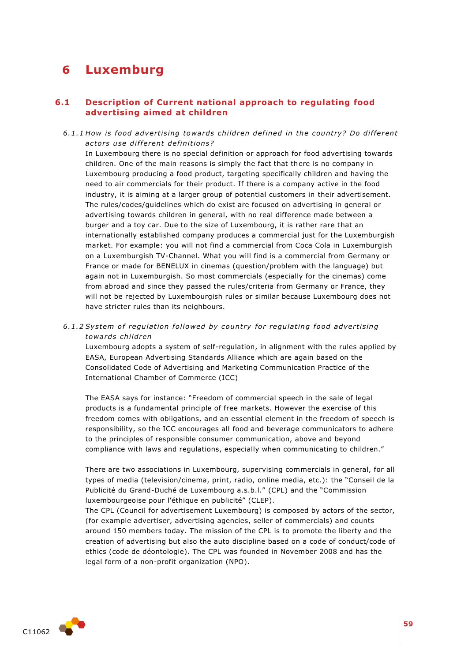# **6 Luxemburg**

# **6.1 Description of Current national approach to regulating food advertising aimed at children**

6.1.1 How is food advertising towards children defined in the country? Do different *ac to rs u se di f fe rent de fini tion s?* 

In Luxembourg there is no special definition or approach for food advertising towards children. One of the main reasons is simply the fact that there is no company in Luxembourg producing a food product, targeting specifically children and having the need to air commercials for their product. If there is a company active in the food industry, it is aiming at a larger group of potential customers in their advertisement. The rules/codes/guidelines which do exist are focused on advertising in general or advertising towards children in general, with no real difference made between a burger and a toy car. Due to the size of Luxembourg, it is rather rare that an internationally established company produces a commercial just for the Luxemburgish market. For example: you will not find a commercial from Coca Cola in Luxemburgish on a Luxemburgish TV-Channel. What you will find is a commercial from Germany or France or made for BENELUX in cinemas (question/problem with the language) but again not in Luxemburgish. So most commercials (especially for the cinemas) come from abroad and since they passed the rules/criteria from Germany or France, they will not be rejected by Luxembourgish rules or similar because Luxembourg does not have stricter rules than its neighbours.

6.1.2 System of regulation followed by country for regulating food advertising *towa rds child ren*

Luxembourg adopts a system of self-regulation, in alignment with the rules applied by EASA, European Advertising Standards Alliance which are again based on the Consolidated Code of Advertising and Marketing Communication Practice of the International Chamber of Commerce (ICC)

The EASA says for instance: "Freedom of commercial speech in the sale of legal products is a fundamental principle of free markets. However the exercise of this freedom comes with obligations, and an essential element in the freedom of speech is responsibility, so the ICC encourages all food and beverage communicators to adhere to the principles of responsible consumer communication, above and beyond compliance with laws and regulations, especially when communicating to children."

There are two associations in Luxembourg, supervising commercials in general, for all types of media (television/cinema, print, radio, online media, etc.): the "Conseil de la Publicité du Grand-Duché de Luxembourg a.s.b.l." (CPL) and the "Commission luxembourgeoise pour l'éthique en publicité" (CLEP).

The CPL (Council for advertisement Luxembourg) is composed by actors of the sector, (for example advertiser, advertising agencies, seller of commercials) and counts around 150 members today. The mission of the CPL is to promote the liberty and the creation of advertising but also the auto discipline based on a code of conduct/code of ethics (code de déontologie). The CPL was founded in November 2008 and has the legal form of a non-profit organization (NPO).

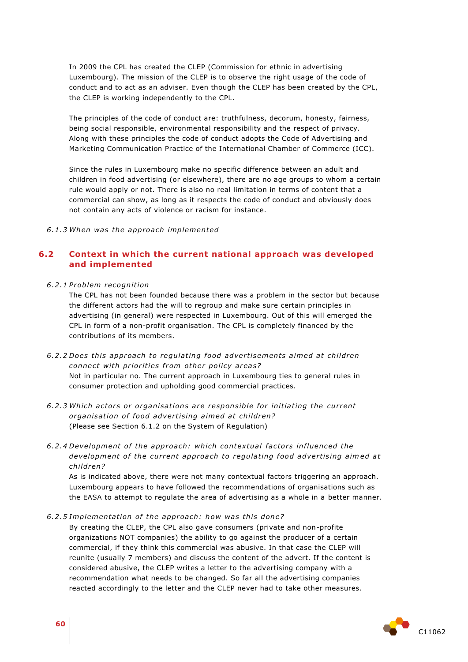In 2009 the CPL has created the CLEP (Commission for ethnic in advertising Luxembourg). The mission of the CLEP is to observe the right usage of the code of conduct and to act as an adviser. Even though the CLEP has been created by the CPL, the CLEP is working independently to the CPL.

The principles of the code of conduct are: truthfulness, decorum, honesty, fairness, being social responsible, environmental responsibility and the respect of privacy. Along with these principles the code of conduct adopts the Code of Advertising and Marketing Communication Practice of the International Chamber of Commerce (ICC).

Since the rules in Luxembourg make no specific difference between an adult and children in food advertising (or elsewhere), there are no age groups to whom a certain rule would apply or not. There is also no real limitation in terms of content that a commercial can show, as long as it respects the code of conduct and obviously does not contain any acts of violence or racism for instance.

*6 .1 .3 When was the app roa ch implemented*

# **6.2 Context in which the current national approach was developed and implemented**

*6 .2 .1 P roblem recognition*

The CPL has not been founded because there was a problem in the sector but because the different actors had the will to regroup and make sure certain principles in advertising (in general) were respected in Luxembourg. Out of this will emerged the CPL in form of a non-profit organisation. The CPL is completely financed by the contributions of its members.

6.2.2 Does this approach to regulating food advertisements aimed at children *connect with priorities from other policy areas?* Not in particular no. The current approach in Luxembourg ties to general rules in consumer protection and upholding good commercial practices.

- *6 .2 .3 Which a cto r s o r o rganisa tion s a re re spon sible fo r initia ting the cu r rent*  organisation of food advertising aimed at children? (Please see Section 6.1.2 on the System of Regulation)
- *6 .2 .4 Development o f the app roach: whi ch contex tual fac to rs in fluenced the development of the current approach to regulating food advertising aimed at child ren?*

As is indicated above, there were not many contextual factors triggering an approach. Luxembourg appears to have followed the recommendations of organisations such as the EASA to attempt to regulate the area of advertising as a whole in a better manner.

6.2.5 Implementation of the approach: how was this done?

By creating the CLEP, the CPL also gave consumers (private and non-profite organizations NOT companies) the ability to go against the producer of a certain commercial, if they think this commercial was abusive. In that case the CLEP will reunite (usually 7 members) and discuss the content of the advert. If the content is considered abusive, the CLEP writes a letter to the advertising company with a recommendation what needs to be changed. So far all the advertising companies reacted accordingly to the letter and the CLEP never had to take other measures.

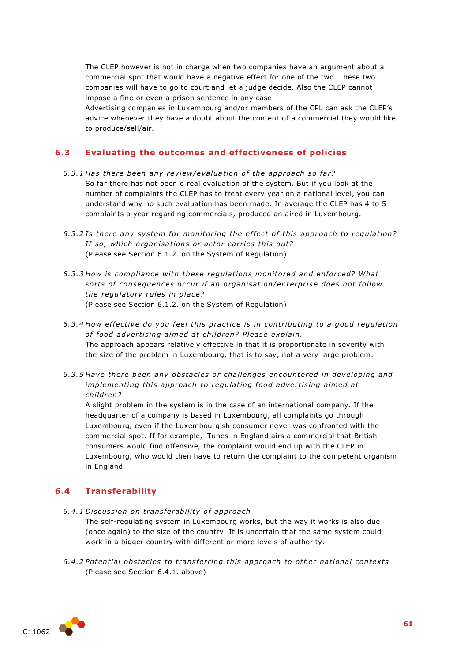The CLEP however is not in charge when two companies have an argument about a commercial spot that would have a negative effect for one of the two. These two companies will have to go to court and let a judge decide. Also the CLEP cannot impose a fine or even a prison sentence in any case.

Advertising companies in Luxembourg and/or members of the CPL can ask the CLEP's advice whenever they have a doubt about the content of a commercial they would like to produce/sell/air.

## **6.3 Evaluating the outcomes and effectiveness of policies**

- 6.3.1 Has there been any review/evaluation of the approach so far? So far there has not been e real evaluation of the system. But if you look at the number of complaints the CLEP has to treat every year on a national level, you can understand why no such evaluation has been made. In average the CLEP has 4 to 5 complaints a year regarding commercials, produced an aired in Luxembourg.
- 6.3.2 Is there any system for monitoring the effect of this approach to regulation? If so, which organisations or actor carries this out? (Please see Section 6.1.2. on the System of Regulation)
- *6 .3 .3 How is compliance with these regula tions monito red and en for ced? Wha t so rts o f con sequen ces o ccur i f an o rgani sa tion/ente rp ris e doe s not follow the regulatory rules in place?* (Please see Section 6.1.2. on the System of Regulation)
- 6.3.4 How effective do you feel this practice is in contributing to a good regulation of food advertising aimed at children? Please explain. The approach appears relatively effective in that it is proportionate in severity with the size of the problem in Luxembourg, that is to say, not a very large problem.
- 6.3.5 Have there been any obstacles or challenges encountered in developing and *implementing this approach to regulating food advertising aimed at child ren?*

A slight problem in the system is in the case of an international company. If the headquarter of a company is based in Luxembourg, all complaints go through Luxembourg, even if the Luxembourgish consumer never was confronted with the commercial spot. If for example, iTunes in England airs a commercial that British consumers would find offensive, the complaint would end up with the CLEP in Luxembourg, who would then have to return the complaint to the competent organism in England.

## **6.4 Transferability**

*6 .4 .1 Di scus sion on t rans fe rabili ty o f app roach*

The self-regulating system in Luxembourg works, but the way it works is also due (once again) to the size of the country. It is uncertain that the same system could work in a bigger country with different or more levels of authority.

*6 .4 .2 Poten tial obs tacles to tran s fer ring this app roach to othe r na tional con text s* (Please see Section 6.4.1. above)



**61**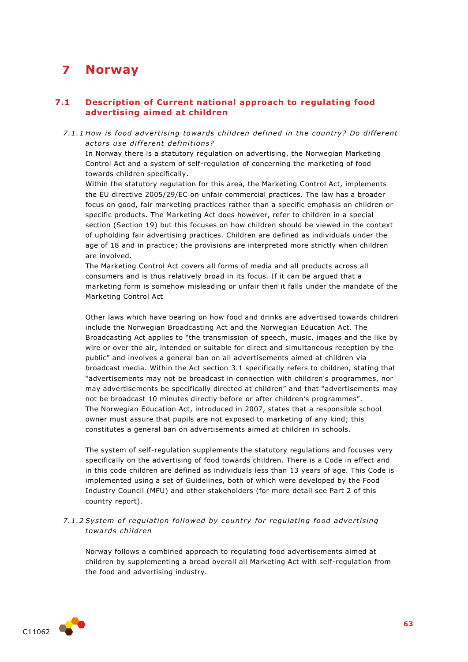# **7 Norway**

# **7.1 Description of Current national approach to regulating food advertising aimed at children**

*7.1.1* How is food advertising towards children defined in the country? Do different *ac to rs u se di f fe rent de fini tion s?* 

In Norway there is a statutory regulation on advertising, the Norwegian Marketing Control Act and a system of self-regulation of concerning the marketing of food towards children specifically.

Within the statutory regulation for this area, the Marketing Control Act, implements the EU directive 2005/29/EC on unfair commercial practices. The law has a broader focus on good, fair marketing practices rather than a specific emphasis on children or specific products. The Marketing Act does however, refer to children in a special section (Section 19) but this focuses on how children should be viewed in the context of upholding fair advertising practices. Children are defined as individuals under the age of 18 and in practice; the provisions are interpreted more strictly when children are involved.

The Marketing Control Act covers all forms of media and all products across all consumers and is thus relatively broad in its focus. If it can be argued that a marketing form is somehow misleading or unfair then it falls under the mandate of the Marketing Control Act

Other laws which have bearing on how food and drinks are advertised towards children include the Norwegian Broadcasting Act and the Norwegian Education Act. The Broadcasting Act applies to "the transmission of speech, music, images and the like by wire or over the air, intended or suitable for direct and simultaneous reception by the public" and involves a general ban on all advertisements aimed at children via broadcast media. Within the Act section 3.1 specifically refers to children, stating that "advertisements may not be broadcast in connection with children's programmes, nor may advertisements be specifically directed at children" and that "advertisements may not be broadcast 10 minutes directly before or after children's programmes". The Norwegian Education Act, introduced in 2007, states that a responsible school owner must assure that pupils are not exposed to marketing of any kind; this constitutes a general ban on advertisements aimed at children in schools.

The system of self-regulation supplements the statutory regulations and focuses very specifically on the advertising of food towards children. There is a Code in effect and in this code children are defined as individuals less than 13 years of age. This Code is implemented using a set of Guidelines, both of which were developed by the Food Industry Council (MFU) and other stakeholders (for more detail see Part 2 of this country report).

7.1.2 System of regulation followed by country for regulating food advertising *towa rds child ren*

Norway follows a combined approach to regulating food advertisements aimed at children by supplementing a broad overall all Marketing Act with self-regulation from the food and advertising industry.

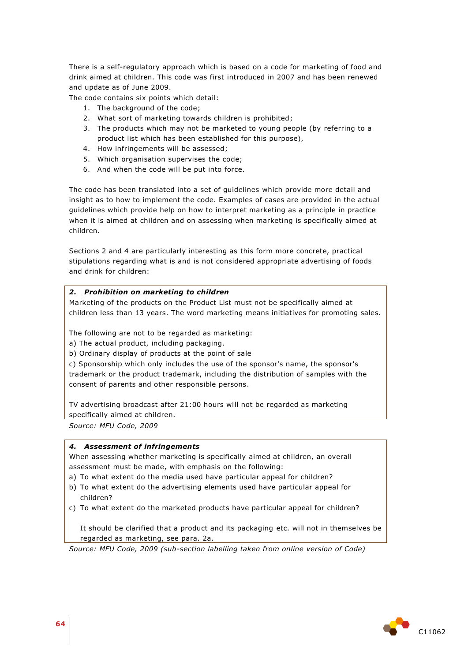There is a self-regulatory approach which is based on a code for marketing of food and drink aimed at children. This code was first introduced in 2007 and has been renewed and update as of June 2009.

The code contains six points which detail:

- 1. The background of the code;
- 2. What sort of marketing towards children is prohibited;
- 3. The products which may not be marketed to young people (by referring to a product list which has been established for this purpose),
- 4. How infringements will be assessed;
- 5. Which organisation supervises the code;
- 6. And when the code will be put into force.

The code has been translated into a set of guidelines which provide more detail and insight as to how to implement the code. Examples of cases are provided in the actual guidelines which provide help on how to interpret marketing as a principle in practice when it is aimed at children and on assessing when marketing is specifically aimed at children.

Sections 2 and 4 are particularly interesting as this form more concrete, practical stipulations regarding what is and is not considered appropriate advertising of foods and drink for children:

## *2. Prohibition on marketing to children*

Marketing of the products on the Product List must not be specifically aimed at children less than 13 years. The word marketing means initiatives for promoting sales.

The following are not to be regarded as marketing:

a) The actual product, including packaging.

b) Ordinary display of products at the point of sale

c) Sponsorship which only includes the use of the sponsor's name, the sponsor's trademark or the product trademark, including the distribution of samples with the consent of parents and other responsible persons.

TV advertising broadcast after 21:00 hours will not be regarded as marketing specifically aimed at children.

*Source: MFU Code, 2009*

## *4. Assessment of infringements*

When assessing whether marketing is specifically aimed at children, an overall assessment must be made, with emphasis on the following:

a) To what extent do the media used have particular appeal for children?

- b) To what extent do the advertising elements used have particular appeal for children?
- c) To what extent do the marketed products have particular appeal for children?

It should be clarified that a product and its packaging etc. will not in themselves be regarded as marketing, see para. 2a.

*Source: MFU Code, 2009 (sub-section labelling taken from online version of Code)*

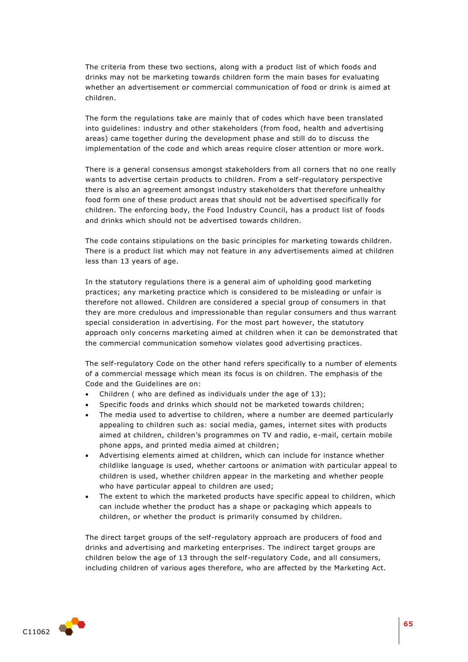The criteria from these two sections, along with a product list of which foods and drinks may not be marketing towards children form the main bases for evaluating whether an advertisement or commercial communication of food or drink is aimed at children.

The form the regulations take are mainly that of codes which have been translated into guidelines: industry and other stakeholders (from food, health and advertising areas) came together during the development phase and still do to discuss the implementation of the code and which areas require closer attention or more work.

There is a general consensus amongst stakeholders from all corners that no one really wants to advertise certain products to children. From a self-regulatory perspective there is also an agreement amongst industry stakeholders that therefore unhealthy food form one of these product areas that should not be advertised specifically for children. The enforcing body, the Food Industry Council, has a product list of foods and drinks which should not be advertised towards children.

The code contains stipulations on the basic principles for marketing towards children. There is a product list which may not feature in any advertisements aimed at children less than 13 years of age.

In the statutory regulations there is a general aim of upholding good marketing practices; any marketing practice which is considered to be misleading or unfair is therefore not allowed. Children are considered a special group of consumers in that they are more credulous and impressionable than regular consumers and thus warrant special consideration in advertising. For the most part however, the statutory approach only concerns marketing aimed at children when it can be demonstrated that the commercial communication somehow violates good advertising practices.

The self-regulatory Code on the other hand refers specifically to a number of elements of a commercial message which mean its focus is on children. The emphasis of the Code and the Guidelines are on:

- Children ( who are defined as individuals under the age of 13);
- Specific foods and drinks which should not be marketed towards children;
- The media used to advertise to children, where a number are deemed particularly appealing to children such as: social media, games, internet sites with products aimed at children, children's programmes on TV and radio, e-mail, certain mobile phone apps, and printed media aimed at children;
- Advertising elements aimed at children, which can include for instance whether childlike language is used, whether cartoons or animation with particular appeal to children is used, whether children appear in the marketing and whether people who have particular appeal to children are used;
- The extent to which the marketed products have specific appeal to children, which can include whether the product has a shape or packaging which appeals to children, or whether the product is primarily consumed by children.

The direct target groups of the self-regulatory approach are producers of food and drinks and advertising and marketing enterprises. The indirect target groups are children below the age of 13 through the self-regulatory Code, and all consumers, including children of various ages therefore, who are affected by the Marketing Act.

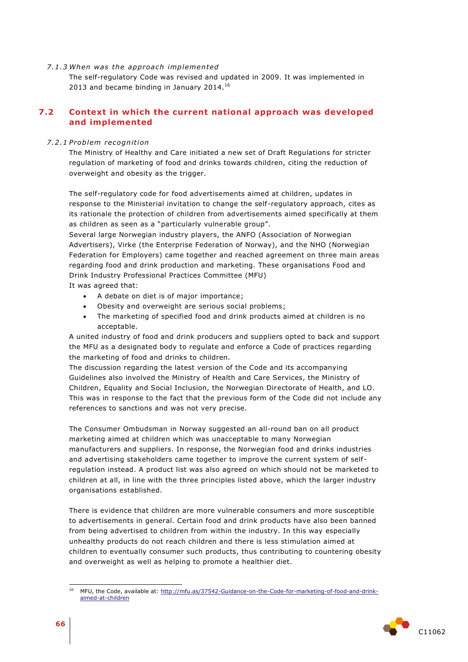*7 .1 .3 When was the app roa ch implemented*

The self-regulatory Code was revised and updated in 2009. It was implemented in 2013 and became binding in January 2014. $^{16}$ 

# **7.2 Context in which the current national approach was developed and implemented**

#### *7 .2 .1 P roblem recognition*

The Ministry of Healthy and Care initiated a new set of Draft Regulations for stricter regulation of marketing of food and drinks towards children, citing the reduction of overweight and obesity as the trigger.

The self-regulatory code for food advertisements aimed at children, updates in response to the Ministerial invitation to change the self-regulatory approach, cites as its rationale the protection of children from advertisements aimed specifically at them as children as seen as a "particularly vulnerable group".

Several large Norwegian industry players, the ANFO (Association of Norwegian Advertisers), Virke (the Enterprise Federation of Norway), and the NHO (Norwegian Federation for Employers) came together and reached agreement on three main areas regarding food and drink production and marketing. These organisations Food and Drink Industry Professional Practices Committee (MFU)

It was agreed that:

- A debate on diet is of major importance;
- Obesity and overweight are serious social problems;
- The marketing of specified food and drink products aimed at children is no acceptable.

A united industry of food and drink producers and suppliers opted to back and support the MFU as a designated body to regulate and enforce a Code of practices regarding the marketing of food and drinks to children.

The discussion regarding the latest version of the Code and its accompanying Guidelines also involved the Ministry of Health and Care Services, the Ministry of Children, Equality and Social Inclusion, the Norwegian Directorate of Health, and LO. This was in response to the fact that the previous form of the Code did not include any references to sanctions and was not very precise.

The Consumer Ombudsman in Norway suggested an all-round ban on all product marketing aimed at children which was unacceptable to many Norwegian manufacturers and suppliers. In response, the Norwegian food and drinks industries and advertising stakeholders came together to improve the current system of selfregulation instead. A product list was also agreed on which should not be marketed to children at all, in line with the three principles listed above, which the larger industry organisations established.

There is evidence that children are more vulnerable consumers and more susceptible to advertisements in general. Certain food and drink products have also been banned from being advertised to children from within the industry. In this way especially unhealthy products do not reach children and there is less stimulation aimed at children to eventually consumer such products, thus contributing to countering obesity and overweight as well as helping to promote a healthier diet.

<sup>1</sup> <sup>16</sup> MFU, the Code, available at: [http://mfu.as/37542-Guidance-on-the-Code-for-marketing-of-food-and-drink](http://mfu.as/37542-Guidance-on-the-Code-for-marketing-of-food-and-drink-aimed-at-children)[aimed-at-children](http://mfu.as/37542-Guidance-on-the-Code-for-marketing-of-food-and-drink-aimed-at-children)

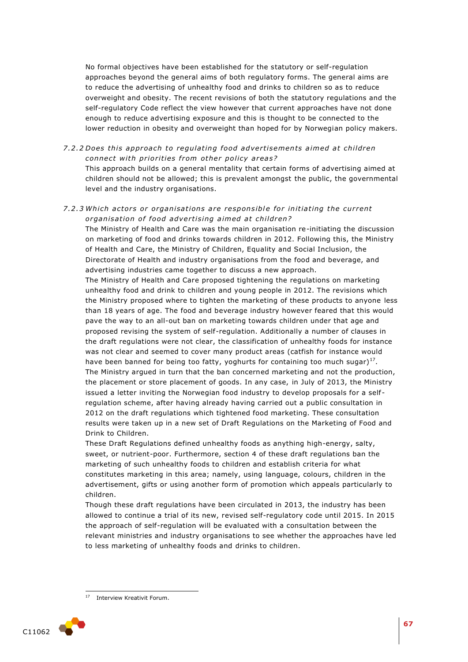No formal objectives have been established for the statutory or self-regulation approaches beyond the general aims of both regulatory forms. The general aims are to reduce the advertising of unhealthy food and drinks to children so as to reduce overweight and obesity. The recent revisions of both the statutory regulations and the self-regulatory Code reflect the view however that current approaches have not done enough to reduce advertising exposure and this is thought to be connected to the lower reduction in obesity and overweight than hoped for by Norwegian policy makers.

7.2.2 Does this approach to regulating food advertisements aimed at children *conne ct with prio rities f rom othe r policy area s?*

This approach builds on a general mentality that certain forms of advertising aimed at children should not be allowed; this is prevalent amongst the public, the governmental level and the industry organisations.

*7 .2 .3 Which a cto r s o r o rganisa tion s a re re spon sibl e fo r initia ting the cu r rent*  organisation of food advertising aimed at children?

The Ministry of Health and Care was the main organisation re-initiating the discussion on marketing of food and drinks towards children in 2012. Following this, the Ministry of Health and Care, the Ministry of Children, Equality and Social Inclusion, the Directorate of Health and industry organisations from the food and beverage, and advertising industries came together to discuss a new approach.

The Ministry of Health and Care proposed tightening the regulations on marketing unhealthy food and drink to children and young people in 2012. The revisions which the Ministry proposed where to tighten the marketing of these products to anyone less than 18 years of age. The food and beverage industry however feared that this would pave the way to an all-out ban on marketing towards children under that age and proposed revising the system of self-regulation. Additionally a number of clauses in the draft regulations were not clear, the classification of unhealthy foods for instance was not clear and seemed to cover many product areas (catfish for instance would have been banned for being too fatty, yoghurts for containing too much sugar) $^{17}$ . The Ministry argued in turn that the ban concerned marketing and not the production, the placement or store placement of goods. In any case, in July of 2013, the Ministry issued a letter inviting the Norwegian food industry to develop proposals for a self regulation scheme, after having already having carried out a public consultation in 2012 on the draft regulations which tightened food marketing. These consultation results were taken up in a new set of Draft Regulations on the Marketing of Food and Drink to Children.

These Draft Regulations defined unhealthy foods as anything high-energy, salty, sweet, or nutrient-poor. Furthermore, section 4 of these draft regulations ban the marketing of such unhealthy foods to children and establish criteria for what constitutes marketing in this area; namely, using language, colours, children in the advertisement, gifts or using another form of promotion which appeals particularly to children.

Though these draft regulations have been circulated in 2013, the industry has been allowed to continue a trial of its new, revised self-regulatory code until 2015. In 2015 the approach of self-regulation will be evaluated with a consultation between the relevant ministries and industry organisations to see whether the approaches have led to less marketing of unhealthy foods and drinks to children.

 $17$ <sup>17</sup> Interview Kreativit Forum.

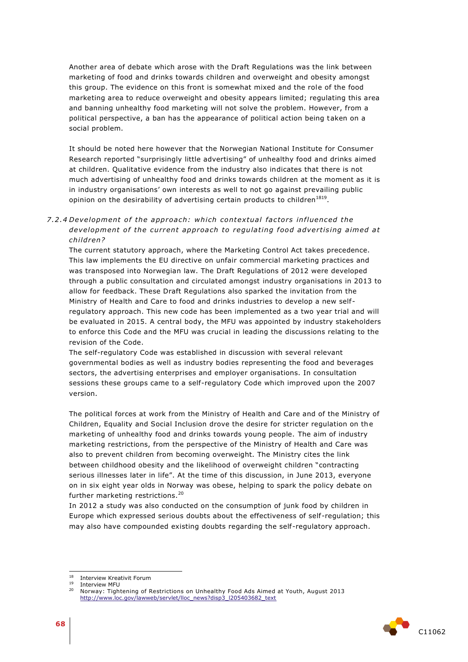Another area of debate which arose with the Draft Regulations was the link between marketing of food and drinks towards children and overweight and obesity amongst this group. The evidence on this front is somewhat mixed and the role of the food marketing area to reduce overweight and obesity appears limited; regulating this area and banning unhealthy food marketing will not solve the problem. However, from a political perspective, a ban has the appearance of political action being taken on a social problem.

It should be noted here however that the Norwegian National Institute for Consumer Research reported "surprisingly little advertising" of unhealthy food and drinks aimed at children. Qualitative evidence from the industry also indicates that there is not much advertising of unhealthy food and drinks towards children at the moment as it is in industry organisations' own interests as well to not go against prevailing public opinion on the desirability of advertising certain products to children $^{1819}$ .

## 7.2.4 Development of the approach: which contextual factors influenced the development of the current approach to regulating food advertising aimed at *child ren?*

The current statutory approach, where the Marketing Control Act takes precedence. This law implements the EU directive on unfair commercial marketing practices and was transposed into Norwegian law. The Draft Regulations of 2012 were developed through a public consultation and circulated amongst industry organisations in 2013 to allow for feedback. These Draft Regulations also sparked the invitation from the Ministry of Health and Care to food and drinks industries to develop a new selfregulatory approach. This new code has been implemented as a two year trial and will be evaluated in 2015. A central body, the MFU was appointed by industry stakeholders to enforce this Code and the MFU was crucial in leading the discussions relating to the revision of the Code.

The self-regulatory Code was established in discussion with several relevant governmental bodies as well as industry bodies representing the food and beverages sectors, the advertising enterprises and employer organisations. In consultation sessions these groups came to a self-regulatory Code which improved upon the 2007 version.

The political forces at work from the Ministry of Health and Care and of the Ministry of Children, Equality and Social Inclusion drove the desire for stricter regulation on the marketing of unhealthy food and drinks towards young people. The aim of industry marketing restrictions, from the perspective of the Ministry of Health and Care was also to prevent children from becoming overweight. The Ministry cites the link between childhood obesity and the likelihood of overweight children "contracting serious illnesses later in life". At the time of this discussion, in June 2013, everyone on in six eight year olds in Norway was obese, helping to spark the policy debate on further marketing restrictions.<sup>20</sup>

In 2012 a study was also conducted on the consumption of junk food by children in Europe which expressed serious doubts about the effectiveness of self -regulation; this may also have compounded existing doubts regarding the self-regulatory approach.



<sup>18</sup> Interview Kreativit Forum

 $^{19}$  Interview MFU

<sup>20</sup> Norway: Tightening of Restrictions on Unhealthy Food Ads Aimed at Youth, August 2013 [http://www.loc.gov/lawweb/servlet/lloc\\_news?disp3\\_l205403682\\_text](http://www.loc.gov/lawweb/servlet/lloc_news?disp3_l205403682_text)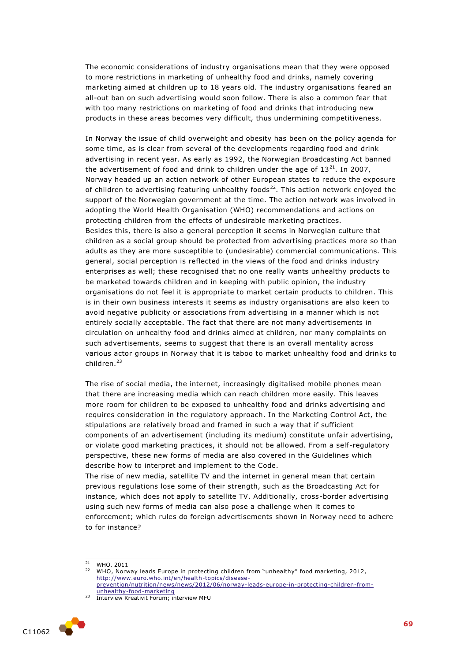The economic considerations of industry organisations mean that they were opposed to more restrictions in marketing of unhealthy food and drinks, namely covering marketing aimed at children up to 18 years old. The industry organisations feared an all-out ban on such advertising would soon follow. There is also a common fear that with too many restrictions on marketing of food and drinks that introducing new products in these areas becomes very difficult, thus undermining competitiveness.

In Norway the issue of child overweight and obesity has been on the policy agenda for some time, as is clear from several of the developments regarding food and drink advertising in recent year. As early as 1992, the Norwegian Broadcasting Act banned the advertisement of food and drink to children under the age of  $13^{21}$ . In 2007, Norway headed up an action network of other European states to reduce the exposure of children to advertising featuring unhealthy foods $^{22}$ . This action network enjoyed the support of the Norwegian government at the time. The action network was involved in adopting the World Health Organisation (WHO) recommendations and actions on protecting children from the effects of undesirable marketing practices. Besides this, there is also a general perception it seems in Norwegian culture that children as a social group should be protected from advertising practices more so than adults as they are more susceptible to (undesirable) commercial communications. This general, social perception is reflected in the views of the food and drinks industry enterprises as well; these recognised that no one really wants unhealthy products to be marketed towards children and in keeping with public opinion, the industry organisations do not feel it is appropriate to market certain products to children. This is in their own business interests it seems as industry organisations are also keen to avoid negative publicity or associations from advertising in a manner which is not entirely socially acceptable. The fact that there are not many advertisements in circulation on unhealthy food and drinks aimed at children, nor many complaints on such advertisements, seems to suggest that there is an overall mentality across various actor groups in Norway that it is taboo to market unhealthy food and drinks to children.<sup>23</sup>

The rise of social media, the internet, increasingly digitalised mobile phones mean that there are increasing media which can reach children more easily. This leaves more room for children to be exposed to unhealthy food and drinks advertising and requires consideration in the regulatory approach. In the Marketing Control Act, the stipulations are relatively broad and framed in such a way that if sufficient components of an advertisement (including its medium) constitute unfair advertising, or violate good marketing practices, it should not be allowed. From a self -regulatory perspective, these new forms of media are also covered in the Guidelines which describe how to interpret and implement to the Code.

The rise of new media, satellite TV and the internet in general mean that certain previous regulations lose some of their strength, such as the Broadcasting Act for instance, which does not apply to satellite TV. Additionally, cross-border advertising using such new forms of media can also pose a challenge when it comes to enforcement; which rules do foreign advertisements shown in Norway need to adhere to for instance?

ł

<sup>&</sup>lt;sup>23</sup> Interview Kreativit Forum; interview MFU



 $21$  WHO, 2011

<sup>&</sup>lt;sup>22</sup> WHO, Norway leads Europe in protecting children from "unhealthy" food marketing, 2012, [http://www.euro.who.int/en/health-topics/disease](http://www.euro.who.int/en/health-topics/disease-prevention/nutrition/news/news/2012/06/norway-leads-europe-in-protecting-children-from-unhealthy-food-marketing)[prevention/nutrition/news/news/2012/06/norway-leads-europe-in-protecting-children-from](http://www.euro.who.int/en/health-topics/disease-prevention/nutrition/news/news/2012/06/norway-leads-europe-in-protecting-children-from-unhealthy-food-marketing)[unhealthy-food-marketing](http://www.euro.who.int/en/health-topics/disease-prevention/nutrition/news/news/2012/06/norway-leads-europe-in-protecting-children-from-unhealthy-food-marketing)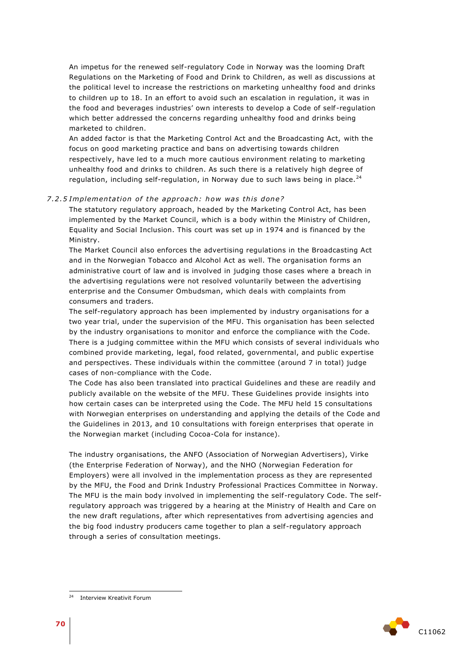An impetus for the renewed self-regulatory Code in Norway was the looming Draft Regulations on the Marketing of Food and Drink to Children, as well as discussions at the political level to increase the restrictions on marketing unhealthy food and drinks to children up to 18. In an effort to avoid such an escalation in regulation, it was in the food and beverages industries' own interests to develop a Code of self -regulation which better addressed the concerns regarding unhealthy food and drinks being marketed to children.

An added factor is that the Marketing Control Act and the Broadcasting Act, with the focus on good marketing practice and bans on advertising towards children respectively, have led to a much more cautious environment relating to marketing unhealthy food and drinks to children. As such there is a relatively high degree of regulation, including self-regulation, in Norway due to such laws being in place. $^{24}$ 

#### 7.2.5 Implementation of the approach: how was this done?

The statutory regulatory approach, headed by the Marketing Control Act, has been implemented by the Market Council, which is a body within the Ministry of Children, Equality and Social Inclusion. This court was set up in 1974 and is financed by the Ministry.

The Market Council also enforces the advertising regulations in the Broadcasting Act and in the Norwegian Tobacco and Alcohol Act as well. The organisation forms an administrative court of law and is involved in judging those cases where a breach in the advertising regulations were not resolved voluntarily between the advertising enterprise and the Consumer Ombudsman, which deals with complaints from consumers and traders.

The self-regulatory approach has been implemented by industry organisations for a two year trial, under the supervision of the MFU. This organisation has been selected by the industry organisations to monitor and enforce the compliance with the Code. There is a judging committee within the MFU which consists of several individuals who combined provide marketing, legal, food related, governmental, and public expertise and perspectives. These individuals within the committee (around 7 in total) judge cases of non-compliance with the Code.

The Code has also been translated into practical Guidelines and these are readily and publicly available on the website of the MFU. These Guidelines provide insights into how certain cases can be interpreted using the Code. The MFU held 15 consultations with Norwegian enterprises on understanding and applying the details of the Code and the Guidelines in 2013, and 10 consultations with foreign enterprises that operate in the Norwegian market (including Cocoa-Cola for instance).

The industry organisations, the ANFO (Association of Norwegian Advertisers), Virke (the Enterprise Federation of Norway), and the NHO (Norwegian Federation for Employers) were all involved in the implementation process as they are represented by the MFU, the Food and Drink Industry Professional Practices Committee in Norway. The MFU is the main body involved in implementing the self-regulatory Code. The selfregulatory approach was triggered by a hearing at the Ministry of Health and Care on the new draft regulations, after which representatives from advertising agencies and the big food industry producers came together to plan a self-regulatory approach through a series of consultation meetings.



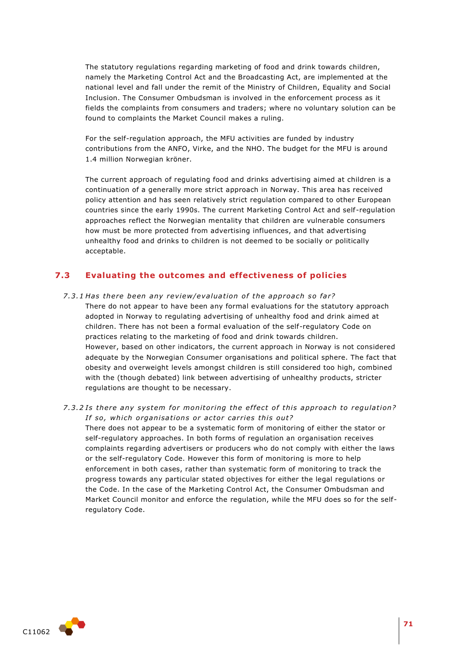The statutory regulations regarding marketing of food and drink towards children, namely the Marketing Control Act and the Broadcasting Act, are implemented at the national level and fall under the remit of the Ministry of Children, Equality and Social Inclusion. The Consumer Ombudsman is involved in the enforcement process as it fields the complaints from consumers and traders; where no voluntary solution can be found to complaints the Market Council makes a ruling.

For the self-regulation approach, the MFU activities are funded by industry contributions from the ANFO, Virke, and the NHO. The budget for the MFU is around 1.4 million Norwegian kröner.

The current approach of regulating food and drinks advertising aimed at children is a continuation of a generally more strict approach in Norway. This area has received policy attention and has seen relatively strict regulation compared to other European countries since the early 1990s. The current Marketing Control Act and self -regulation approaches reflect the Norwegian mentality that children are vulnerable consumers how must be more protected from advertising influences, and that advertising unhealthy food and drinks to children is not deemed to be socially or politically acceptable.

# **7.3 Evaluating the outcomes and effectiveness of policies**

- *7.3.1 Has there been any review/evaluation of the approach so far?* There do not appear to have been any formal evaluations for the statutory approach adopted in Norway to regulating advertising of unhealthy food and drink aimed at children. There has not been a formal evaluation of the self-regulatory Code on practices relating to the marketing of food and drink towards children. However, based on other indicators, the current approach in Norway is not considered adequate by the Norwegian Consumer organisations and political sphere. The fact that obesity and overweight levels amongst children is still considered too high, combined with the (though debated) link between advertising of unhealthy products, stricter regulations are thought to be necessary.
- *7.3.2 Is there any system for monitoring the effect of this approach to regulation? If so, which organisations or actor carries this out?* There does not appear to be a systematic form of monitoring of either the stator or self-regulatory approaches. In both forms of regulation an organisation receives complaints regarding advertisers or producers who do not comply with either the laws or the self-regulatory Code. However this form of monitoring is more to help enforcement in both cases, rather than systematic form of monitoring to track the progress towards any particular stated objectives for either the legal regulations or the Code. In the case of the Marketing Control Act, the Consumer Ombudsman and Market Council monitor and enforce the regulation, while the MFU does so for the selfregulatory Code.

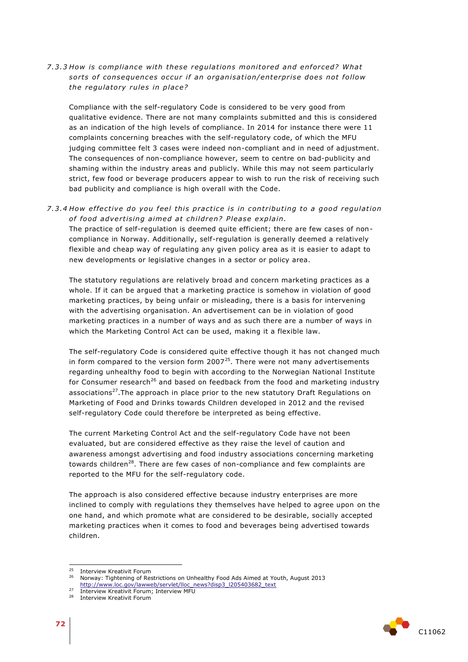## *7 .3 .3 How is compliance with these regula tions monito red and en for ced? Wha t*  sorts of consequences occur if an organisation/enterprise does not follow *the regulatory rules in place?*

Compliance with the self-regulatory Code is considered to be very good from qualitative evidence. There are not many complaints submitted and this is considered as an indication of the high levels of compliance. In 2014 for instance there were 11 complaints concerning breaches with the self-regulatory code, of which the MFU judging committee felt 3 cases were indeed non-compliant and in need of adjustment. The consequences of non-compliance however, seem to centre on bad-publicity and shaming within the industry areas and publicly. While this may not seem particularly strict, few food or beverage producers appear to wish to run the risk of receiving such bad publicity and compliance is high overall with the Code.

*7 .3 .4 How e f fe ctive do you feel this p rac tice i s in con tribu ting to a good regula tion*  of food advertising aimed at children? Please explain.

The practice of self-regulation is deemed quite efficient; there are few cases of noncompliance in Norway. Additionally, self-regulation is generally deemed a relatively flexible and cheap way of regulating any given policy area as it is easier to adapt to new developments or legislative changes in a sector or policy area.

The statutory regulations are relatively broad and concern marketing practices as a whole. If it can be argued that a marketing practice is somehow in violation of good marketing practices, by being unfair or misleading, there is a basis for intervening with the advertising organisation. An advertisement can be in violation of good marketing practices in a number of ways and as such there are a number of ways in which the Marketing Control Act can be used, making it a flexible law.

The self-regulatory Code is considered quite effective though it has not changed much in form compared to the version form  $2007<sup>25</sup>$ . There were not many advertisements regarding unhealthy food to begin with according to the Norwegian National Institute for Consumer research<sup>26</sup> and based on feedback from the food and marketing industry associations<sup>27</sup>. The approach in place prior to the new statutory Draft Regulations on Marketing of Food and Drinks towards Children developed in 2012 and the revised self-regulatory Code could therefore be interpreted as being effective.

The current Marketing Control Act and the self-regulatory Code have not been evaluated, but are considered effective as they raise the level of caution and awareness amongst advertising and food industry associations concerning marketing towards children<sup>28</sup>. There are few cases of non-compliance and few complaints are reported to the MFU for the self-regulatory code.

The approach is also considered effective because industry enterprises are more inclined to comply with regulations they themselves have helped to agree upon on the one hand, and which promote what are considered to be desirable, socially accepted marketing practices when it comes to food and beverages being advertised towards children.



 $25$ <sup>25</sup> Interview Kreativit Forum

<sup>26</sup> Norway: Tightening of Restrictions on Unhealthy Food Ads Aimed at Youth, August 2013 [http://www.loc.gov/lawweb/servlet/lloc\\_news?disp3\\_l205403682\\_text](http://www.loc.gov/lawweb/servlet/lloc_news?disp3_l205403682_text)

<sup>&</sup>lt;sup>27</sup> Interview Kreativit Forum; Interview MFU

<sup>&</sup>lt;sup>28</sup> Interview Kreativit Forum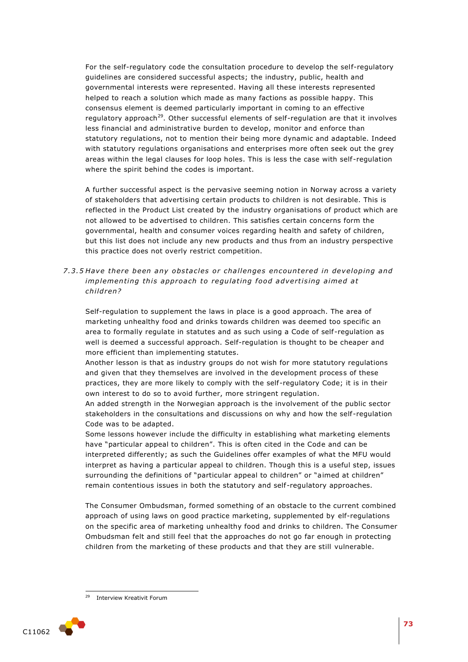For the self-regulatory code the consultation procedure to develop the self-regulatory guidelines are considered successful aspects; the industry, public, health and governmental interests were represented. Having all these interests represented helped to reach a solution which made as many factions as possible happy. This consensus element is deemed particularly important in coming to an effective regulatory approach<sup>29</sup>. Other successful elements of self-regulation are that it involves less financial and administrative burden to develop, monitor and enforce than statutory regulations, not to mention their being more dynamic and adaptable. Indeed with statutory regulations organisations and enterprises more often seek out the grey areas within the legal clauses for loop holes. This is less the case with self-regulation where the spirit behind the codes is important.

A further successful aspect is the pervasive seeming notion in Norway across a variety of stakeholders that advertising certain products to children is not desirable. This is reflected in the Product List created by the industry organisations of product which are not allowed to be advertised to children. This satisfies certain concerns form the governmental, health and consumer voices regarding health and safety of children, but this list does not include any new products and thus from an industry perspective this practice does not overly restrict competition.

7.3.5 Have there been any obstacles or challenges encountered in developing and *implementing this approach to regulating food advertising aimed at child ren?*

Self-regulation to supplement the laws in place is a good approach. The area of marketing unhealthy food and drinks towards children was deemed too specific an area to formally regulate in statutes and as such using a Code of self-regulation as well is deemed a successful approach. Self-regulation is thought to be cheaper and more efficient than implementing statutes.

Another lesson is that as industry groups do not wish for more statutory regulations and given that they themselves are involved in the development process of these practices, they are more likely to comply with the self-regulatory Code; it is in their own interest to do so to avoid further, more stringent regulation.

An added strength in the Norwegian approach is the involvement of the public sector stakeholders in the consultations and discussions on why and how the self -regulation Code was to be adapted.

Some lessons however include the difficulty in establishing what marketing elements have "particular appeal to children". This is often cited in the Code and can be interpreted differently; as such the Guidelines offer examples of what the MFU would interpret as having a particular appeal to children. Though this is a useful step, issues surrounding the definitions of "particular appeal to children" or "aimed at children" remain contentious issues in both the statutory and self-regulatory approaches.

The Consumer Ombudsman, formed something of an obstacle to the current combined approach of using laws on good practice marketing, supplemented by elf-regulations on the specific area of marketing unhealthy food and drinks to children. The Consumer Ombudsman felt and still feel that the approaches do not go far enough in protecting children from the marketing of these products and that they are still vulnerable.

1



Interview Kreativit Forum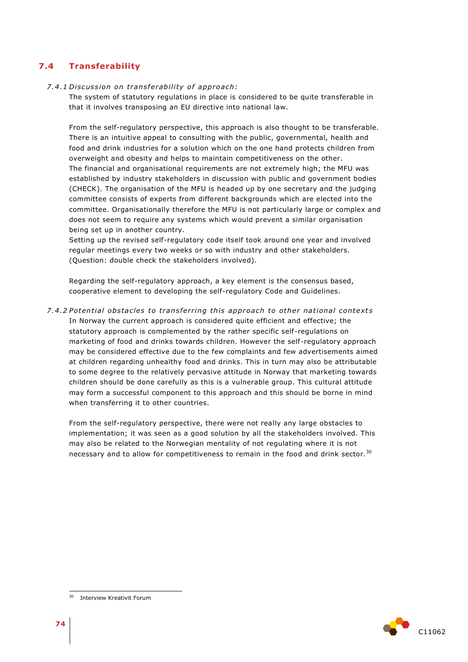# **7.4 Transferability**

## *7 .4 .1 Di scus sion on t rans fe rabili ty o f app roach:*

The system of statutory regulations in place is considered to be quite transferable in that it involves transposing an EU directive into national law.

From the self-regulatory perspective, this approach is also thought to be transferable. There is an intuitive appeal to consulting with the public, governmental, health and food and drink industries for a solution which on the one hand protects children from overweight and obesity and helps to maintain competitiveness on the other. The financial and organisational requirements are not extremely high; the MFU was established by industry stakeholders in discussion with public and government bodies (CHECK). The organisation of the MFU is headed up by one secretary and the judging committee consists of experts from different backgrounds which are elected into the committee. Organisationally therefore the MFU is not particularly large or complex and does not seem to require any systems which would prevent a similar organisation being set up in another country.

Setting up the revised self-regulatory code itself took around one year and involved regular meetings every two weeks or so with industry and other stakeholders. (Question: double check the stakeholders involved).

Regarding the self-regulatory approach, a key element is the consensus based, cooperative element to developing the self-regulatory Code and Guidelines.

*7 .4 .2 Poten tial obs tacles to tran s fer ring this app roach to othe r na tional con text s* In Norway the current approach is considered quite efficient and effective; the statutory approach is complemented by the rather specific self-regulations on marketing of food and drinks towards children. However the self-regulatory approach may be considered effective due to the few complaints and few advertisements aimed at children regarding unhealthy food and drinks. This in turn may also be attributable to some degree to the relatively pervasive attitude in Norway that marketing towards children should be done carefully as this is a vulnerable group. This cultural attitude may form a successful component to this approach and this should be borne in mind when transferring it to other countries.

From the self-regulatory perspective, there were not really any large obstacles to implementation; it was seen as a good solution by all the stakeholders involved. This may also be related to the Norwegian mentality of not regulating where it is not necessary and to allow for competitiveness to remain in the food and drink sector.<sup>30</sup>



 $30<sup>2</sup>$ Interview Kreativit Forum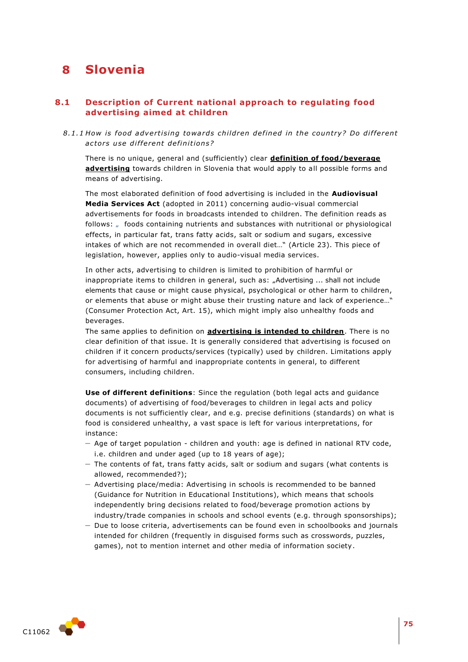# **8 Slovenia**

# **8.1 Description of Current national approach to regulating food advertising aimed at children**

8.1.1 How is food advertising towards children defined in the country? Do different *ac to rs u se di f fe rent de fini tion s?* 

There is no unique, general and (sufficiently) clear **definition of food/beverage advertising** towards children in Slovenia that would apply to all possible forms and means of advertising.

The most elaborated definition of food advertising is included in the **Audiovisual Media Services Act** (adopted in 2011) concerning audio-visual commercial advertisements for foods in broadcasts intended to children. The definition reads as follows: " foods containing nutrients and substances with nutritional or physiological effects, in particular fat, trans fatty acids, salt or sodium and sugars, excessive intakes of which are not recommended in overall diet…" (Article 23). This piece of legislation, however, applies only to audio-visual media services.

In other acts, advertising to children is limited to prohibition of harmful or inappropriate items to children in general, such as: "Advertising ... shall not include elements that cause or might cause physical, psychological or other harm to children, or elements that abuse or might abuse their trusting nature and lack of experience…" (Consumer Protection Act, Art. 15), which might imply also unhealthy foods and beverages.

The same applies to definition on **advertising is intended to children**. There is no clear definition of that issue. It is generally considered that advertising is focused on children if it concern products/services (typically) used by children. Limitations apply for advertising of harmful and inappropriate contents in general, to different consumers, including children.

**Use of different definitions**: Since the regulation (both legal acts and guidance documents) of advertising of food/beverages to children in legal acts and policy documents is not sufficiently clear, and e.g. precise definitions (standards) on what is food is considered unhealthy, a vast space is left for various interpretations, for instance:

- Age of target population children and youth: age is defined in national RTV code, i.e. children and under aged (up to 18 years of age);
- The contents of fat, trans fatty acids, salt or sodium and sugars (what contents is allowed, recommended?);
- Advertising place/media: Advertising in schools is recommended to be banned (Guidance for Nutrition in Educational Institutions), which means that schools independently bring decisions related to food/beverage promotion actions by industry/trade companies in schools and school events (e.g. through sponsorships);
- Due to loose criteria, advertisements can be found even in schoolbooks and journals intended for children (frequently in disguised forms such as crosswords, puzzles, games), not to mention internet and other media of information society.

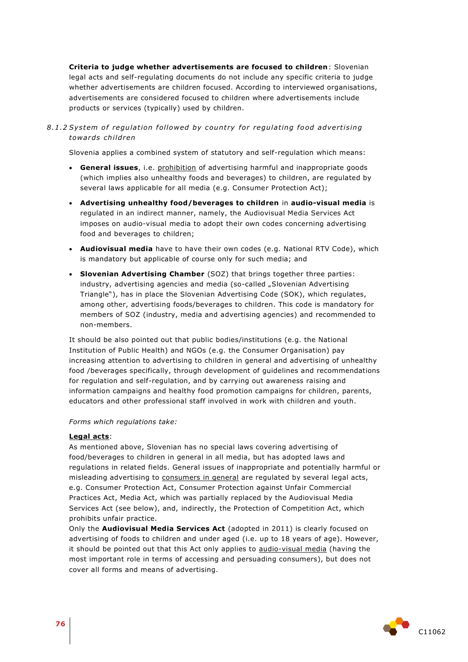**Criteria to judge whether advertisements are focused to children**: Slovenian legal acts and self-regulating documents do not include any specific criteria to judge whether advertisements are children focused. According to interviewed organisations, advertisements are considered focused to children where advertisements include products or services (typically) used by children.

## 8.1.2 System of regulation followed by country for regulating food advertising *towa rds child ren*

Slovenia applies a combined system of statutory and self-regulation which means:

- **General issues**, i.e. prohibition of advertising harmful and inappropriate goods (which implies also unhealthy foods and beverages) to children, are regulated by several laws applicable for all media (e.g. Consumer Protection Act);
- **Advertising unhealthy food/beverages to children** in **audio-visual media** is regulated in an indirect manner, namely, the Audiovisual Media Services Act imposes on audio-visual media to adopt their own codes concerning advertising food and beverages to children;
- **Audiovisual media** have to have their own codes (e.g. National RTV Code), which is mandatory but applicable of course only for such media; and
- **Slovenian Advertising Chamber** (SOZ) that brings together three parties: industry, advertising agencies and media (so-called "Slovenian Advertising Triangle"), has in place the Slovenian Advertising Code (SOK), which regulates, among other, advertising foods/beverages to children. This code is mandatory for members of SOZ (industry, media and advertising agencies) and recommended to non-members.

It should be also pointed out that public bodies/institutions (e.g. the National Institution of Public Health) and NGOs (e.g. the Consumer Organisation) pay increasing attention to advertising to children in general and advertising of unhealthy food /beverages specifically, through development of guidelines and recommendations for regulation and self-regulation, and by carrying out awareness raising and information campaigns and healthy food promotion campaigns for children, parents, educators and other professional staff involved in work with children and youth.

#### *Forms which regulations take:*

#### **Legal acts**:

As mentioned above, Slovenian has no special laws covering advertising of food/beverages to children in general in all media, but has adopted laws and regulations in related fields. General issues of inappropriate and potentially harmful or misleading advertising to consumers in general are regulated by several legal acts, e.g. Consumer Protection Act, Consumer Protection against Unfair Commercial Practices Act, Media Act, which was partially replaced by the Audiovisual Media Services Act (see below), and, indirectly, the Protection of Competition Act, which prohibits unfair practice.

Only the **Audiovisual Media Services Act** (adopted in 2011) is clearly focused on advertising of foods to children and under aged (i.e. up to 18 years of age). However, it should be pointed out that this Act only applies to audio-visual media (having the most important role in terms of accessing and persuading consumers), but does not cover all forms and means of advertising.

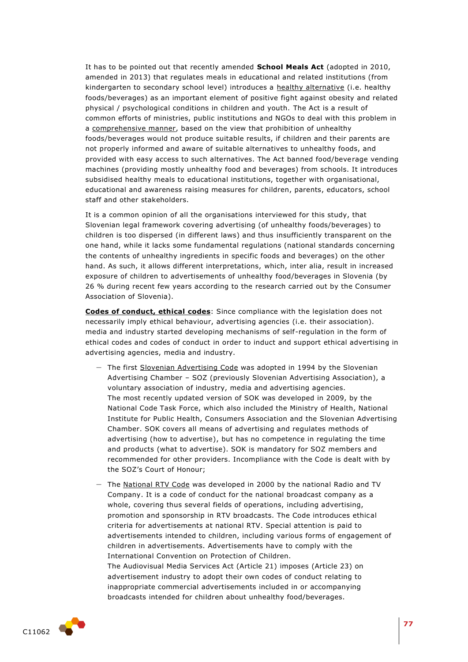It has to be pointed out that recently amended **School Meals Act** (adopted in 2010, amended in 2013) that regulates meals in educational and related institutions (from kindergarten to secondary school level) introduces a healthy alternative (i.e. healthy foods/beverages) as an important element of positive fight against obesity and related physical / psychological conditions in children and youth. The Act is a result of common efforts of ministries, public institutions and NGOs to deal with this problem in a comprehensive manner, based on the view that prohibition of unhealthy foods/beverages would not produce suitable results, if children and their parents are not properly informed and aware of suitable alternatives to unhealthy foods, and provided with easy access to such alternatives. The Act banned food/beverage vending machines (providing mostly unhealthy food and beverages) from schools. It introduces subsidised healthy meals to educational institutions, together with organisational, educational and awareness raising measures for children, parents, educators, school staff and other stakeholders.

It is a common opinion of all the organisations interviewed for this study, that Slovenian legal framework covering advertising (of unhealthy foods/beverages) to children is too dispersed (in different laws) and thus insufficiently transparent on the one hand, while it lacks some fundamental regulations (national standards concerning the contents of unhealthy ingredients in specific foods and beverages) on the other hand. As such, it allows different interpretations, which, inter alia, result in increased exposure of children to advertisements of unhealthy food/beverages in Slovenia (by 26 % during recent few years according to the research carried out by the Consumer Association of Slovenia).

**Codes of conduct, ethical codes**: Since compliance with the legislation does not necessarily imply ethical behaviour, advertising agencies (i.e. their association). media and industry started developing mechanisms of self-regulation in the form of ethical codes and codes of conduct in order to induct and support ethical advertising in advertising agencies, media and industry.

- The first Slovenian Advertising Code was adopted in 1994 by the Slovenian Advertising Chamber – SOZ (previously Slovenian Advertising Association), a voluntary association of industry, media and advertising agencies. The most recently updated version of SOK was developed in 2009, by the National Code Task Force, which also included the Ministry of Health, National Institute for Public Health, Consumers Association and the Slovenian Advertising Chamber. SOK covers all means of advertising and regulates methods of advertising (how to advertise), but has no competence in regulating the time and products (what to advertise). SOK is mandatory for SOZ members and recommended for other providers. Incompliance with the Code is dealt with by the SOZ's Court of Honour;
- The National RTV Code was developed in 2000 by the national Radio and TV Company. It is a code of conduct for the national broadcast company as a whole, covering thus several fields of operations, including advertising, promotion and sponsorship in RTV broadcasts. The Code introduces ethical criteria for advertisements at national RTV. Special attention is paid to advertisements intended to children, including various forms of engagement of children in advertisements. Advertisements have to comply with the International Convention on Protection of Children. The Audiovisual Media Services Act (Article 21) imposes (Article 23) on advertisement industry to adopt their own codes of conduct relating to inappropriate commercial advertisements included in or accompanying broadcasts intended for children about unhealthy food/beverages.

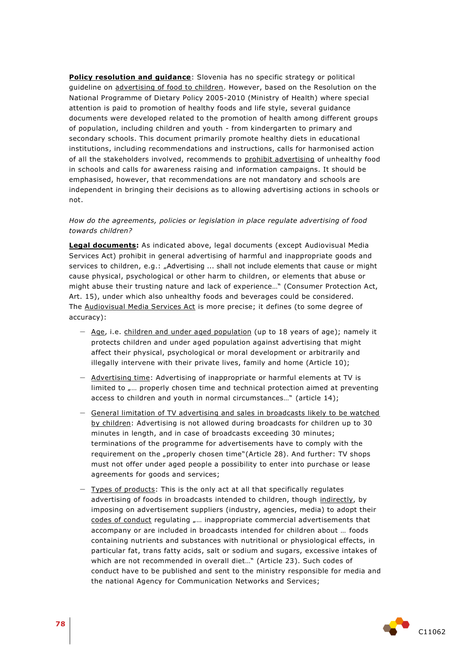**Policy resolution and guidance**: Slovenia has no specific strategy or political guideline on advertising of food to children. However, based on the Resolution on the National Programme of Dietary Policy 2005-2010 (Ministry of Health) where special attention is paid to promotion of healthy foods and life style, several guidance documents were developed related to the promotion of health among different groups of population, including children and youth - from kindergarten to primary and secondary schools. This document primarily promote healthy diets in educational institutions, including recommendations and instructions, calls for harmonised action of all the stakeholders involved, recommends to prohibit advertising of unhealthy food in schools and calls for awareness raising and information campaigns. It should be emphasised, however, that recommendations are not mandatory and schools are independent in bringing their decisions as to allowing advertising actions in schools or not.

## *How do the agreements, policies or legislation in place regulate advertising of food towards children?*

**Legal documents:** As indicated above, legal documents (except Audiovisual Media Services Act) prohibit in general advertising of harmful and inappropriate goods and services to children, e.g.: "Advertising ... shall not include elements that cause or might cause physical, psychological or other harm to children, or elements that abuse or might abuse their trusting nature and lack of experience…" (Consumer Protection Act, Art. 15), under which also unhealthy foods and beverages could be considered. The Audiovisual Media Services Act is more precise; it defines (to some degree of accuracy):

- Age, i.e. children and under aged population (up to 18 years of age); namely it protects children and under aged population against advertising that might affect their physical, psychological or moral development or arbitrarily and illegally intervene with their private lives, family and home (Article 10);
- Advertising time: Advertising of inappropriate or harmful elements at TV is limited to  $_{n}$ ... properly chosen time and technical protection aimed at preventing access to children and youth in normal circumstances…" (article 14);
- General limitation of TV advertising and sales in broadcasts likely to be watched by children: Advertising is not allowed during broadcasts for children up to 30 minutes in length, and in case of broadcasts exceeding 30 minutes; terminations of the programme for advertisements have to comply with the requirement on the "properly chosen time"(Article 28). And further: TV shops must not offer under aged people a possibility to enter into purchase or lease agreements for goods and services;
- Types of products: This is the only act at all that specifically regulates advertising of foods in broadcasts intended to children, though indirectly, by imposing on advertisement suppliers (industry, agencies, media) to adopt their codes of conduct regulating "... inappropriate commercial advertisements that accompany or are included in broadcasts intended for children about … foods containing nutrients and substances with nutritional or physiological effects, in particular fat, trans fatty acids, salt or sodium and sugars, excessive intakes of which are not recommended in overall diet…" (Article 23). Such codes of conduct have to be published and sent to the ministry responsible for media and the national Agency for Communication Networks and Services;

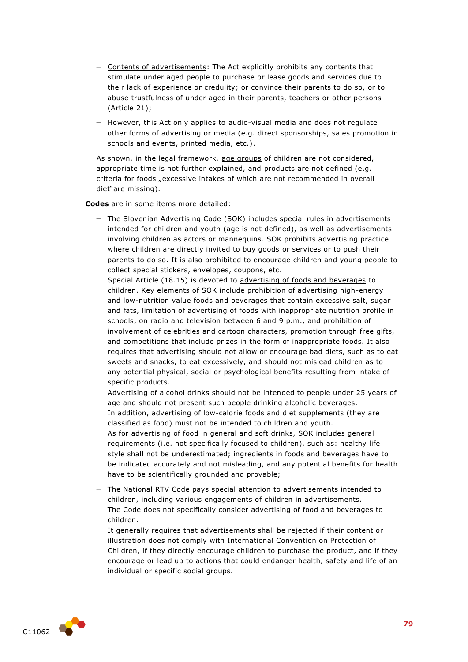- Contents of advertisements: The Act explicitly prohibits any contents that stimulate under aged people to purchase or lease goods and services due to their lack of experience or credulity; or convince their parents to do so, or to abuse trustfulness of under aged in their parents, teachers or other persons (Article 21);
- However, this Act only applies to audio-visual media and does not regulate other forms of advertising or media (e.g. direct sponsorships, sales promotion in schools and events, printed media, etc.).

As shown, in the legal framework, age groups of children are not considered, appropriate time is not further explained, and products are not defined (e.g. criteria for foods "excessive intakes of which are not recommended in overall diet"are missing).

**Codes** are in some items more detailed:

– The Slovenian Advertising Code (SOK) includes special rules in advertisements intended for children and youth (age is not defined), as well as advertisements involving children as actors or mannequins. SOK prohibits advertising practice where children are directly invited to buy goods or services or to push their parents to do so. It is also prohibited to encourage children and young people to collect special stickers, envelopes, coupons, etc.

Special Article (18.15) is devoted to advertising of foods and beverages to children. Key elements of SOK include prohibition of advertising high-energy and low-nutrition value foods and beverages that contain excessive salt, sugar and fats, limitation of advertising of foods with inappropriate nutrition profile in schools, on radio and television between 6 and 9 p.m., and prohibition of involvement of celebrities and cartoon characters, promotion through free gifts, and competitions that include prizes in the form of inappropriate foods. It also requires that advertising should not allow or encourage bad diets, such as to eat sweets and snacks, to eat excessively, and should not mislead children as to any potential physical, social or psychological benefits resulting from intake of specific products.

Advertising of alcohol drinks should not be intended to people under 25 years of age and should not present such people drinking alcoholic beverages. In addition, advertising of low-calorie foods and diet supplements (they are classified as food) must not be intended to children and youth.

As for advertising of food in general and soft drinks, SOK includes general requirements (i.e. not specifically focused to children), such as: healthy life style shall not be underestimated; ingredients in foods and beverages have to be indicated accurately and not misleading, and any potential benefits for health have to be scientifically grounded and provable;

– The National RTV Code pays special attention to advertisements intended to children, including various engagements of children in advertisements. The Code does not specifically consider advertising of food and beverages to children.

It generally requires that advertisements shall be rejected if their content or illustration does not comply with International Convention on Protection of Children, if they directly encourage children to purchase the product, and if they encourage or lead up to actions that could endanger health, safety and life of an individual or specific social groups.

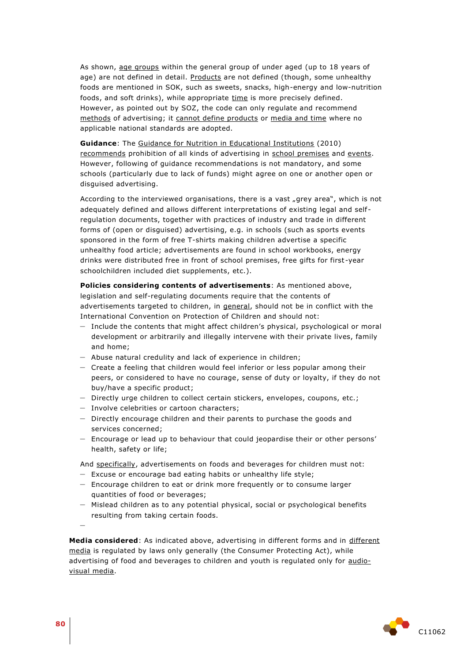As shown, age groups within the general group of under aged (up to 18 years of age) are not defined in detail. Products are not defined (though, some unhealthy foods are mentioned in SOK, such as sweets, snacks, high-energy and low-nutrition foods, and soft drinks), while appropriate time is more precisely defined. However, as pointed out by SOZ, the code can only regulate and recommend methods of advertising; it cannot define products or media and time where no applicable national standards are adopted.

**Guidance**: The Guidance for Nutrition in Educational Institutions (2010) recommends prohibition of all kinds of advertising in school premises and events. However, following of guidance recommendations is not mandatory, and some schools (particularly due to lack of funds) might agree on one or another open or disguised advertising.

According to the interviewed organisations, there is a vast "grey area", which is not adequately defined and allows different interpretations of existing legal and self regulation documents, together with practices of industry and trade in different forms of (open or disguised) advertising, e.g. in schools (such as sports events sponsored in the form of free T-shirts making children advertise a specific unhealthy food article; advertisements are found in school workbooks, energy drinks were distributed free in front of school premises, free gifts for first -year schoolchildren included diet supplements, etc.).

**Policies considering contents of advertisements**: As mentioned above, legislation and self-regulating documents require that the contents of advertisements targeted to children, in general, should not be in conflict with the International Convention on Protection of Children and should not:

- Include the contents that might affect children's physical, psychological or moral development or arbitrarily and illegally intervene with their private lives, family and home;
- Abuse natural credulity and lack of experience in children;
- Create a feeling that children would feel inferior or less popular among their peers, or considered to have no courage, sense of duty or loyalty, if they do not buy/have a specific product;
- Directly urge children to collect certain stickers, envelopes, coupons, etc.;
- Involve celebrities or cartoon characters;
- Directly encourage children and their parents to purchase the goods and services concerned;
- Encourage or lead up to behaviour that could jeopardise their or other persons' health, safety or life;

And specifically, advertisements on foods and beverages for children must not:

- Excuse or encourage bad eating habits or unhealthy life style;
- Encourage children to eat or drink more frequently or to consume larger quantities of food or beverages;
- Mislead children as to any potential physical, social or psychological benefits resulting from taking certain foods.

–

**Media considered**: As indicated above, advertising in different forms and in different media is regulated by laws only generally (the Consumer Protecting Act), while advertising of food and beverages to children and youth is regulated only for audiovisual media.

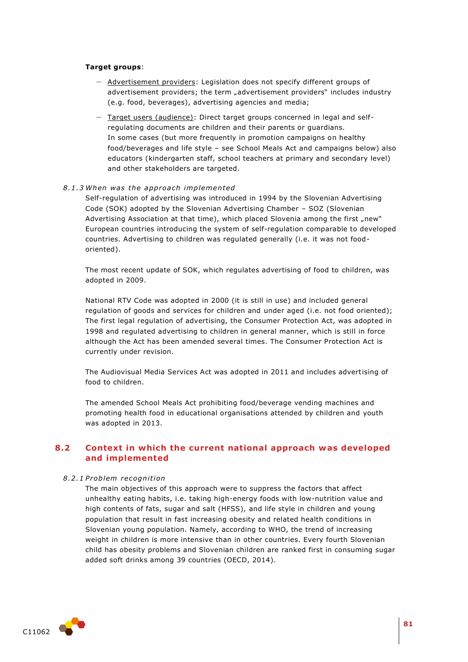#### **Target groups**:

- Advertisement providers: Legislation does not specify different groups of advertisement providers; the term "advertisement providers" includes industry (e.g. food, beverages), advertising agencies and media;
- Target users (audience): Direct target groups concerned in legal and selfregulating documents are children and their parents or guardians. In some cases (but more frequently in promotion campaigns on healthy food/beverages and life style – see School Meals Act and campaigns below) also educators (kindergarten staff, school teachers at primary and secondary level) and other stakeholders are targeted.

#### *8 .1 .3 When was the app roa ch implemented*

Self-regulation of advertising was introduced in 1994 by the Slovenian Advertising Code (SOK) adopted by the Slovenian Advertising Chamber – SOZ (Slovenian Advertising Association at that time), which placed Slovenia among the first "new" European countries introducing the system of self-regulation comparable to developed countries. Advertising to children was regulated generally (i.e. it was not foodoriented).

The most recent update of SOK, which regulates advertising of food to children, was adopted in 2009.

National RTV Code was adopted in 2000 (it is still in use) and included general regulation of goods and services for children and under aged (i.e. not food oriented); The first legal regulation of advertising, the Consumer Protection Act, was adopted in 1998 and regulated advertising to children in general manner, which is still in force although the Act has been amended several times. The Consumer Protection Act is currently under revision.

The Audiovisual Media Services Act was adopted in 2011 and includes advertising of food to children.

The amended School Meals Act prohibiting food/beverage vending machines and promoting health food in educational organisations attended by children and youth was adopted in 2013.

# **8.2 Context in which the current national approach was developed and implemented**

#### *8 .2 .1 P roblem recognition*

The main objectives of this approach were to suppress the factors that affect unhealthy eating habits, i.e. taking high-energy foods with low-nutrition value and high contents of fats, sugar and salt (HFSS), and life style in children and young population that result in fast increasing obesity and related health conditions in Slovenian young population. Namely, according to WHO, the trend of increasing weight in children is more intensive than in other countries. Every fourth Slovenian child has obesity problems and Slovenian children are ranked first in consuming sugar added soft drinks among 39 countries (OECD, 2014).

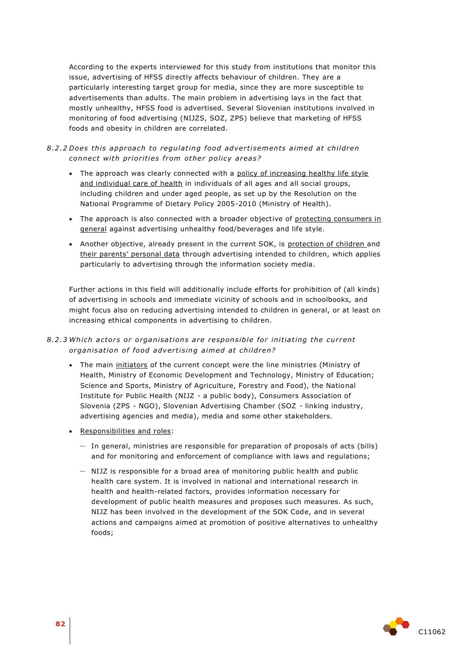According to the experts interviewed for this study from institutions that monitor this issue, advertising of HFSS directly affects behaviour of children. They are a particularly interesting target group for media, since they are more susceptible to advertisements than adults. The main problem in advertising lays in the fact that mostly unhealthy, HFSS food is advertised. Several Slovenian institutions involved in monitoring of food advertising (NIJZS, SOZ, ZPS) believe that marketing of HFSS foods and obesity in children are correlated.

# 8.2.2 Does this approach to regulating food advertisements aimed at children *connect with priorities from other policy areas?*

- The approach was clearly connected with a policy of increasing healthy life style and individual care of health in individuals of all ages and all social groups, including children and under aged people, as set up by the Resolution on the National Programme of Dietary Policy 2005-2010 (Ministry of Health).
- The approach is also connected with a broader objective of protecting consumers in general against advertising unhealthy food/beverages and life style.
- Another objective, already present in the current SOK, is protection of children and their parents' personal data through advertising intended to children, which applies particularly to advertising through the information society media.

Further actions in this field will additionally include efforts for prohibition of (all kinds) of advertising in schools and immediate vicinity of schools and in schoolbooks, and might focus also on reducing advertising intended to children in general, or at least on increasing ethical components in advertising to children.

## 8.2.3 Which actors or organisations are responsible for initiating the current organisation of food advertising aimed at children?

- The main initiators of the current concept were the line ministries (Ministry of Health, Ministry of Economic Development and Technology, Ministry of Education; Science and Sports, Ministry of Agriculture, Forestry and Food), the National Institute for Public Health (NIJZ - a public body), Consumers Association of Slovenia (ZPS - NGO), Slovenian Advertising Chamber (SOZ - linking industry, advertising agencies and media), media and some other stakeholders.
- Responsibilities and roles:
	- In general, ministries are responsible for preparation of proposals of acts (bills) and for monitoring and enforcement of compliance with laws and regulations;
	- NIJZ is responsible for a broad area of monitoring public health and public health care system. It is involved in national and international research in health and health-related factors, provides information necessary for development of public health measures and proposes such measures. As such, NIJZ has been involved in the development of the SOK Code, and in several actions and campaigns aimed at promotion of positive alternatives to unhealthy foods;

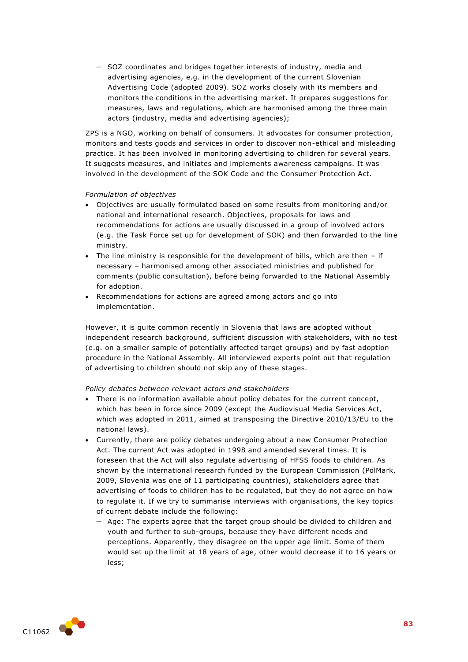– SOZ coordinates and bridges together interests of industry, media and advertising agencies, e.g. in the development of the current Slovenian Advertising Code (adopted 2009). SOZ works closely with its members and monitors the conditions in the advertising market. It prepares suggestions for measures, laws and regulations, which are harmonised among the three main actors (industry, media and advertising agencies);

ZPS is a NGO, working on behalf of consumers. It advocates for consumer protection, monitors and tests goods and services in order to discover non-ethical and misleading practice. It has been involved in monitoring advertising to children for several years. It suggests measures, and initiates and implements awareness campaigns. It was involved in the development of the SOK Code and the Consumer Protection Act.

#### *Formulation of objectives*

- Objectives are usually formulated based on some results from monitoring and/or national and international research. Objectives, proposals for laws and recommendations for actions are usually discussed in a group of involved actors (e.g. the Task Force set up for development of SOK) and then forwarded to the line ministry.
- The line ministry is responsible for the development of bills, which are then if necessary – harmonised among other associated ministries and published for comments (public consultation), before being forwarded to the National Assembly for adoption.
- Recommendations for actions are agreed among actors and go into implementation.

However, it is quite common recently in Slovenia that laws are adopted without independent research background, sufficient discussion with stakeholders, with no test (e.g. on a smaller sample of potentially affected target groups) and by fast adoption procedure in the National Assembly. All interviewed experts point out that regulation of advertising to children should not skip any of these stages.

#### *Policy debates between relevant actors and stakeholders*

- There is no information available about policy debates for the current concept, which has been in force since 2009 (except the Audiovisual Media Services Act, which was adopted in 2011, aimed at transposing the Directive 2010/13/EU to the national laws).
- Currently, there are policy debates undergoing about a new Consumer Protection Act. The current Act was adopted in 1998 and amended several times. It is foreseen that the Act will also regulate advertising of HFSS foods to children. As shown by the international research funded by the European Commission (PolMark, 2009, Slovenia was one of 11 participating countries), stakeholders agree that advertising of foods to children has to be regulated, but they do not agree on how to regulate it. If we try to summarise interviews with organisations, the key topics of current debate include the following:
	- Age: The experts agree that the target group should be divided to children and youth and further to sub-groups, because they have different needs and perceptions. Apparently, they disagree on the upper age limit. Some of them would set up the limit at 18 years of age, other would decrease it to 16 years or less;

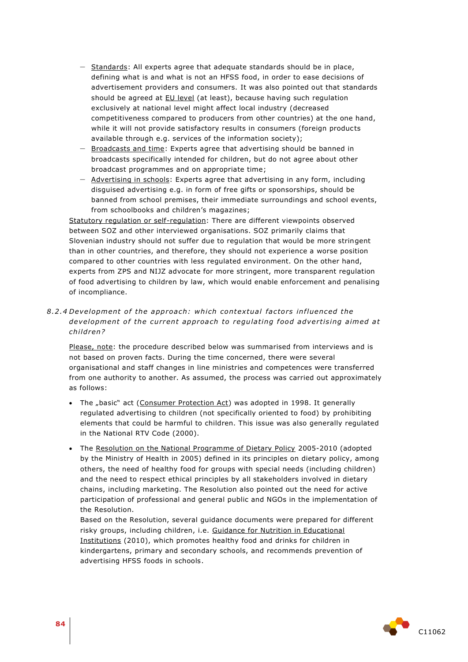- Standards: All experts agree that adequate standards should be in place, defining what is and what is not an HFSS food, in order to ease decisions of advertisement providers and consumers. It was also pointed out that standards should be agreed at **EU** level (at least), because having such regulation exclusively at national level might affect local industry (decreased competitiveness compared to producers from other countries) at the one hand, while it will not provide satisfactory results in consumers (foreign products available through e.g. services of the information society);
- Broadcasts and time: Experts agree that advertising should be banned in broadcasts specifically intended for children, but do not agree about other broadcast programmes and on appropriate time;
- Advertising in schools: Experts agree that advertising in any form, including disguised advertising e.g. in form of free gifts or sponsorships, should be banned from school premises, their immediate surroundings and school events, from schoolbooks and children's magazines;

Statutory regulation or self-regulation: There are different viewpoints observed between SOZ and other interviewed organisations. SOZ primarily claims that Slovenian industry should not suffer due to regulation that would be more stringent than in other countries, and therefore, they should not experience a worse position compared to other countries with less regulated environment. On the other hand, experts from ZPS and NIJZ advocate for more stringent, more transparent regulation of food advertising to children by law, which would enable enforcement and penalising of incompliance.

8.2.4 Development of the approach: which contextual factors influenced the development of the current approach to regulating food advertising aimed at *child ren?* 

Please, note: the procedure described below was summarised from interviews and is not based on proven facts. During the time concerned, there were several organisational and staff changes in line ministries and competences were transferred from one authority to another. As assumed, the process was carried out approximately as follows:

- The "basic" act (Consumer Protection Act) was adopted in 1998. It generally regulated advertising to children (not specifically oriented to food) by prohibiting elements that could be harmful to children. This issue was also generally regulated in the National RTV Code (2000).
- The Resolution on the National Programme of Dietary Policy 2005-2010 (adopted by the Ministry of Health in 2005) defined in its principles on dietary policy, among others, the need of healthy food for groups with special needs (including children) and the need to respect ethical principles by all stakeholders involved in dietary chains, including marketing. The Resolution also pointed out the need for active participation of professional and general public and NGOs in the implementation of the Resolution.

Based on the Resolution, several guidance documents were prepared for different risky groups, including children, i.e. Guidance for Nutrition in Educational Institutions (2010), which promotes healthy food and drinks for children in kindergartens, primary and secondary schools, and recommends prevention of advertising HFSS foods in schools.

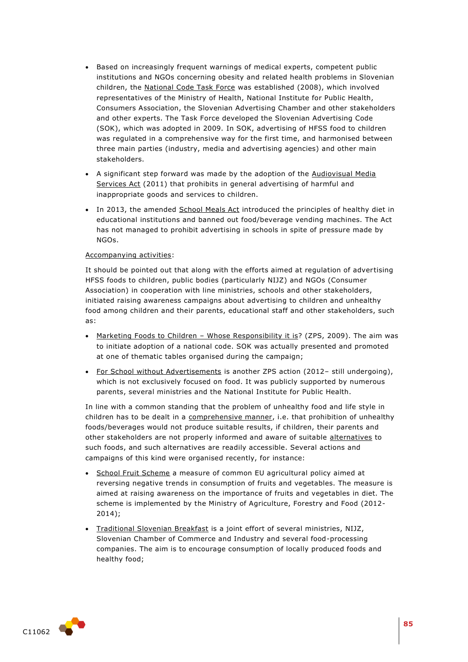- Based on increasingly frequent warnings of medical experts, competent public institutions and NGOs concerning obesity and related health problems in Slovenian children, the National Code Task Force was established (2008), which involved representatives of the Ministry of Health, National Institute for Public Health, Consumers Association, the Slovenian Advertising Chamber and other stakeholders and other experts. The Task Force developed the Slovenian Advertising Code (SOK), which was adopted in 2009. In SOK, advertising of HFSS food to children was regulated in a comprehensive way for the first time, and harmonised between three main parties (industry, media and advertising agencies) and other main stakeholders.
- A significant step forward was made by the adoption of the Audiovisual Media Services Act (2011) that prohibits in general advertising of harmful and inappropriate goods and services to children.
- In 2013, the amended School Meals Act introduced the principles of healthy diet in educational institutions and banned out food/beverage vending machines. The Act has not managed to prohibit advertising in schools in spite of pressure made by NGOs.

#### Accompanying activities:

It should be pointed out that along with the efforts aimed at regulation of advertising HFSS foods to children, public bodies (particularly NIJZ) and NGOs (Consumer Association) in cooperation with line ministries, schools and other stakeholders, initiated raising awareness campaigns about advertising to children and unhealthy food among children and their parents, educational staff and other stakeholders, such as:

- Marketing Foods to Children Whose Responsibility it is? (ZPS, 2009). The aim was to initiate adoption of a national code. SOK was actually presented and promoted at one of thematic tables organised during the campaign;
- For School without Advertisements is another ZPS action (2012- still undergoing), which is not exclusively focused on food. It was publicly supported by numerous parents, several ministries and the National Institute for Public Health.

In line with a common standing that the problem of unhealthy food and life style in children has to be dealt in a comprehensive manner, i.e. that prohibition of unhealthy foods/beverages would not produce suitable results, if children, their parents and other stakeholders are not properly informed and aware of suitable alternatives to such foods, and such alternatives are readily accessible. Several actions and campaigns of this kind were organised recently, for instance:

- School Fruit Scheme a measure of common EU agricultural policy aimed at reversing negative trends in consumption of fruits and vegetables. The measure is aimed at raising awareness on the importance of fruits and vegetables in diet. The scheme is implemented by the Ministry of Agriculture, Forestry and Food (2012- 2014);
- Traditional Slovenian Breakfast is a joint effort of several ministries, NIJZ, Slovenian Chamber of Commerce and Industry and several food-processing companies. The aim is to encourage consumption of locally produced foods and healthy food;

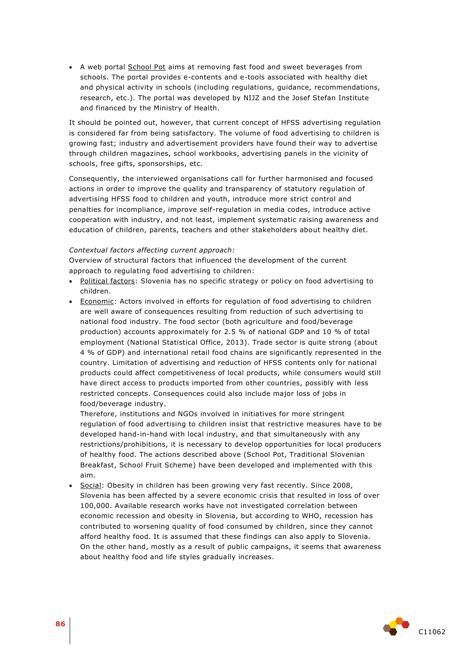A web portal School Pot aims at removing fast food and sweet beverages from schools. The portal provides e-contents and e-tools associated with healthy diet and physical activity in schools (including regulations, guidance, recommendations, research, etc.). The portal was developed by NIJZ and the Josef Stefan Institute and financed by the Ministry of Health.

It should be pointed out, however, that current concept of HFSS advertising regulation is considered far from being satisfactory. The volume of food advertising to children is growing fast; industry and advertisement providers have found their way to advertise through children magazines, school workbooks, advertising panels in the vicinity of schools, free gifts, sponsorships, etc.

Consequently, the interviewed organisations call for further harmonised and focused actions in order to improve the quality and transparency of statutory regulation of advertising HFSS food to children and youth, introduce more strict control and penalties for incompliance, improve self-regulation in media codes, introduce active cooperation with industry, and not least, implement systematic raising awareness and education of children, parents, teachers and other stakeholders about healthy diet.

#### *Contextual factors affecting current approach:*

Overview of structural factors that influenced the development of the current approach to regulating food advertising to children:

- Political factors: Slovenia has no specific strategy or policy on food advertising to children.
- Economic: Actors involved in efforts for regulation of food advertising to children are well aware of consequences resulting from reduction of such advertising to national food industry. The food sector (both agriculture and food/beverage production) accounts approximately for 2.5 % of national GDP and 10 % of total employment (National Statistical Office, 2013). Trade sector is quite strong (about 4 % of GDP) and international retail food chains are significantly represented in the country. Limitation of advertising and reduction of HFSS contents only for national products could affect competitiveness of local products, while consumers would still have direct access to products imported from other countries, possibly with less restricted concepts. Consequences could also include major loss of jobs in food/beverage industry.

Therefore, institutions and NGOs involved in initiatives for more stringent regulation of food advertising to children insist that restrictive measures have to be developed hand-in-hand with local industry, and that simultaneously with any restrictions/prohibitions, it is necessary to develop opportunities for local producers of healthy food. The actions described above (School Pot, Traditional Slovenian Breakfast, School Fruit Scheme) have been developed and implemented with this aim.

Social: Obesity in children has been growing very fast recently. Since 2008, Slovenia has been affected by a severe economic crisis that resulted in loss of over 100,000. Available research works have not investigated correlation between economic recession and obesity in Slovenia, but according to WHO, recession has contributed to worsening quality of food consumed by children, since they cannot afford healthy food. It is assumed that these findings can also apply to Slovenia. On the other hand, mostly as a result of public campaigns, it seems that awareness about healthy food and life styles gradually increases.

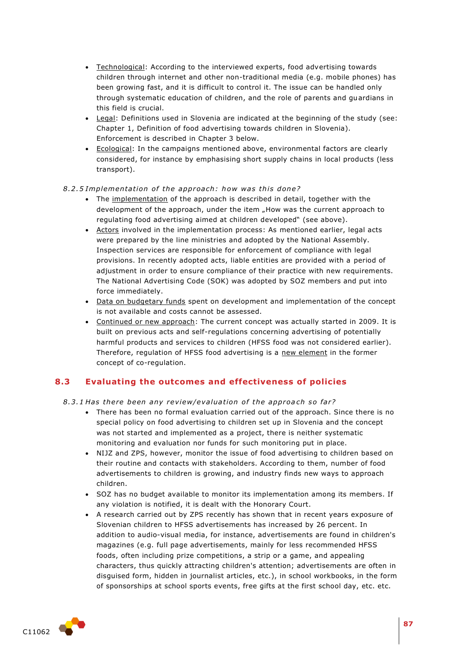- Technological: According to the interviewed experts, food advertising towards children through internet and other non-traditional media (e.g. mobile phones) has been growing fast, and it is difficult to control it. The issue can be handled only through systematic education of children, and the role of parents and guardians in this field is crucial.
- Legal: Definitions used in Slovenia are indicated at the beginning of the study (see: Chapter 1, Definition of food advertising towards children in Slovenia). Enforcement is described in Chapter 3 below.
- Ecological: In the campaigns mentioned above, environmental factors are clearly considered, for instance by emphasising short supply chains in local products (less transport).

## 8.2.5 Implementation of the approach: how was this done?

- The implementation of the approach is described in detail, together with the development of the approach, under the item "How was the current approach to regulating food advertising aimed at children developed" (see above).
- Actors involved in the implementation process: As mentioned earlier, legal acts were prepared by the line ministries and adopted by the National Assembly. Inspection services are responsible for enforcement of compliance with legal provisions. In recently adopted acts, liable entities are provided with a period of adjustment in order to ensure compliance of their practice with new requirements. The National Advertising Code (SOK) was adopted by SOZ members and put into force immediately.
- Data on budgetary funds spent on development and implementation of the concept is not available and costs cannot be assessed.
- Continued or new approach: The current concept was actually started in 2009. It is built on previous acts and self-regulations concerning advertising of potentially harmful products and services to children (HFSS food was not considered earlier). Therefore, regulation of HFSS food advertising is a new element in the former concept of co-regulation.

# **8.3 Evaluating the outcomes and effectiveness of policies**

## 8.3.1 Has there been any review/evaluation of the approach so far?

- There has been no formal evaluation carried out of the approach. Since there is no special policy on food advertising to children set up in Slovenia and the concept was not started and implemented as a project, there is neither systematic monitoring and evaluation nor funds for such monitoring put in place.
- NIJZ and ZPS, however, monitor the issue of food advertising to children based on their routine and contacts with stakeholders. According to them, number of food advertisements to children is growing, and industry finds new ways to approach children.
- SOZ has no budget available to monitor its implementation among its members. If any violation is notified, it is dealt with the Honorary Court.
- A research carried out by ZPS recently has shown that in recent years exposure of Slovenian children to HFSS advertisements has increased by 26 percent. In addition to audio-visual media, for instance, advertisements are found in children's magazines (e.g. full page advertisements, mainly for less recommended HFSS foods, often including prize competitions, a strip or a game, and appealing characters, thus quickly attracting children's attention; advertisements are often in disguised form, hidden in journalist articles, etc.), in school workbooks, in the form of sponsorships at school sports events, free gifts at the first school day, etc. etc.

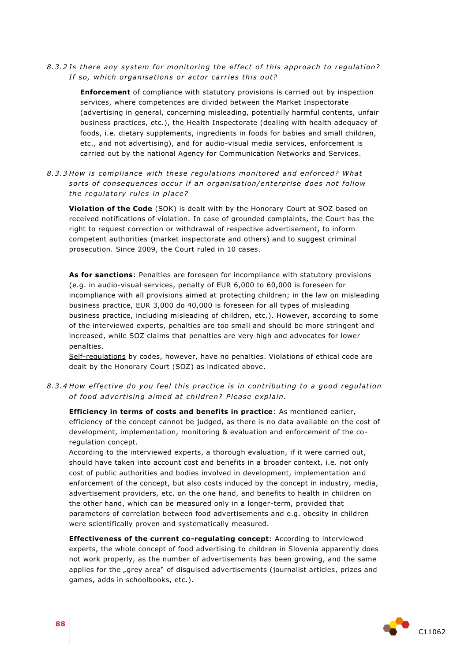8.3.2 Is there any system for monitoring the effect of this approach to regulation? *If so, which organisations or actor carries this out?* 

**Enforcement** of compliance with statutory provisions is carried out by inspection services, where competences are divided between the Market Inspectorate (advertising in general, concerning misleading, potentially harmful contents, unfair business practices, etc.), the Health Inspectorate (dealing with health adequacy of foods, i.e. dietary supplements, ingredients in foods for babies and small children, etc., and not advertising), and for audio-visual media services, enforcement is carried out by the national Agency for Communication Networks and Services.

8.3.3 How is compliance with these regulations monitored and enforced? What sorts of consequences occur if an organisation/enterprise does not follow the regulatory rules in place?

**Violation of the Code** (SOK) is dealt with by the Honorary Court at SOZ based on received notifications of violation. In case of grounded complaints, the Court has the right to request correction or withdrawal of respective advertisement, to inform competent authorities (market inspectorate and others) and to suggest criminal prosecution. Since 2009, the Court ruled in 10 cases.

**As for sanctions**: Penalties are foreseen for incompliance with statutory provisions (e.g. in audio-visual services, penalty of EUR 6,000 to 60,000 is foreseen for incompliance with all provisions aimed at protecting children; in the law on misleading business practice, EUR 3,000 do 40,000 is foreseen for all types of misleading business practice, including misleading of children, etc.). However, according to some of the interviewed experts, penalties are too small and should be more stringent and increased, while SOZ claims that penalties are very high and advocates for lower penalties.

Self-regulations by codes, however, have no penalties. Violations of ethical code are dealt by the Honorary Court (SOZ) as indicated above.

8.3.4 How effective do you feel this practice is in contributing to a good regulation of food advertising aimed at children? Please explain.

**Efficiency in terms of costs and benefits in practice**: As mentioned earlier, efficiency of the concept cannot be judged, as there is no data available on the cost of development, implementation, monitoring & evaluation and enforcement of the coregulation concept.

According to the interviewed experts, a thorough evaluation, if it were carried out, should have taken into account cost and benefits in a broader context, i.e. not only cost of public authorities and bodies involved in development, implementation and enforcement of the concept, but also costs induced by the concept in industry, media, advertisement providers, etc. on the one hand, and benefits to health in children on the other hand, which can be measured only in a longer-term, provided that parameters of correlation between food advertisements and e.g. obesity in children were scientifically proven and systematically measured.

**Effectiveness of the current co-regulating concept**: According to interviewed experts, the whole concept of food advertising to children in Slovenia apparently does not work properly, as the number of advertisements has been growing, and the same applies for the "grey area" of disguised advertisements (journalist articles, prizes and games, adds in schoolbooks, etc.).

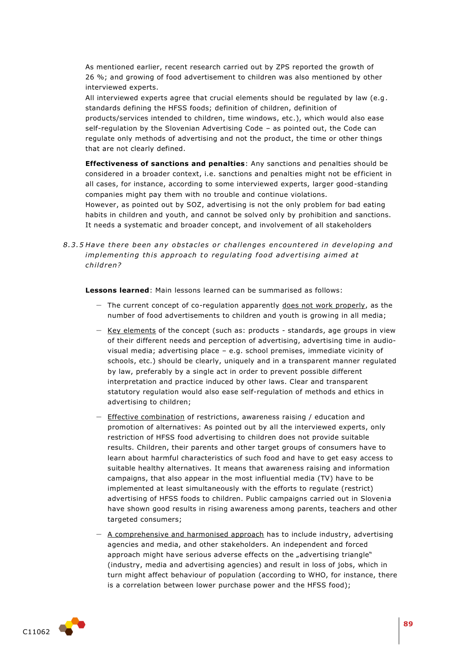As mentioned earlier, recent research carried out by ZPS reported the growth of 26 %; and growing of food advertisement to children was also mentioned by other interviewed experts.

All interviewed experts agree that crucial elements should be regulated by law (e.g. standards defining the HFSS foods; definition of children, definition of products/services intended to children, time windows, etc.), which would also ease self-regulation by the Slovenian Advertising Code – as pointed out, the Code can regulate only methods of advertising and not the product, the time or other things that are not clearly defined.

**Effectiveness of sanctions and penalties**: Any sanctions and penalties should be considered in a broader context, i.e. sanctions and penalties might not be efficient in all cases, for instance, according to some interviewed experts, larger good-standing companies might pay them with no trouble and continue violations. However, as pointed out by SOZ, advertising is not the only problem for bad eating

habits in children and youth, and cannot be solved only by prohibition and sanctions. It needs a systematic and broader concept, and involvement of all stakeholders

8.3.5 Have there been any obstacles or challenges encountered in developing and *implementing this approach to regulating food advertising aimed at child ren?*

**Lessons learned**: Main lessons learned can be summarised as follows:

- $-$  The current concept of co-regulation apparently does not work properly, as the number of food advertisements to children and youth is growing in all media;
- Key elements of the concept (such as: products standards, age groups in view of their different needs and perception of advertising, advertising time in audiovisual media; advertising place – e.g. school premises, immediate vicinity of schools, etc.) should be clearly, uniquely and in a transparent manner regulated by law, preferably by a single act in order to prevent possible different interpretation and practice induced by other laws. Clear and transparent statutory regulation would also ease self-regulation of methods and ethics in advertising to children;
- Effective combination of restrictions, awareness raising / education and promotion of alternatives: As pointed out by all the interviewed experts, only restriction of HFSS food advertising to children does not provide suitable results. Children, their parents and other target groups of consumers have to learn about harmful characteristics of such food and have to get easy access to suitable healthy alternatives. It means that awareness raising and information campaigns, that also appear in the most influential media (TV) have to be implemented at least simultaneously with the efforts to regulate (restrict) advertising of HFSS foods to children. Public campaigns carried out in Slovenia have shown good results in rising awareness among parents, teachers and other targeted consumers;
- A comprehensive and harmonised approach has to include industry, advertising agencies and media, and other stakeholders. An independent and forced approach might have serious adverse effects on the "advertising triangle" (industry, media and advertising agencies) and result in loss of jobs, which in turn might affect behaviour of population (according to WHO, for instance, there is a correlation between lower purchase power and the HFSS food);

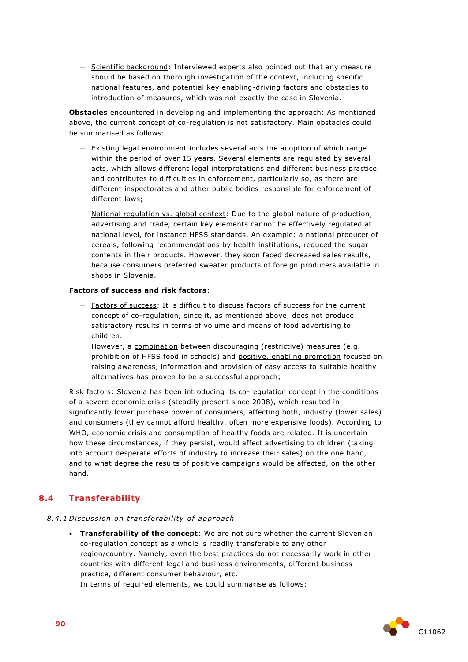– Scientific background: Interviewed experts also pointed out that any measure should be based on thorough investigation of the context, including specific national features, and potential key enabling-driving factors and obstacles to introduction of measures, which was not exactly the case in Slovenia.

**Obstacles** encountered in developing and implementing the approach: As mentioned above, the current concept of co-regulation is not satisfactory. Main obstacles could be summarised as follows:

- Existing legal environment includes several acts the adoption of which range within the period of over 15 years. Several elements are regulated by several acts, which allows different legal interpretations and different business practice, and contributes to difficulties in enforcement, particularly so, as there are different inspectorates and other public bodies responsible for enforcement of different laws;
- $-$  National regulation vs. global context: Due to the global nature of production, advertising and trade, certain key elements cannot be effectively regulated at national level, for instance HFSS standards. An example: a national producer of cereals, following recommendations by health institutions, reduced the sugar contents in their products. However, they soon faced decreased sales results, because consumers preferred sweater products of foreign producers available in shops in Slovenia.

#### **Factors of success and risk factors**:

– Factors of success: It is difficult to discuss factors of success for the current concept of co-regulation, since it, as mentioned above, does not produce satisfactory results in terms of volume and means of food advertising to children.

However, a combination between discouraging (restrictive) measures (e.g. prohibition of HFSS food in schools) and positive, enabling promotion focused on raising awareness, information and provision of easy access to suitable healthy alternatives has proven to be a successful approach;

Risk factors: Slovenia has been introducing its co-regulation concept in the conditions of a severe economic crisis (steadily present since 2008), which resulted in significantly lower purchase power of consumers, affecting both, industry (lower sales) and consumers (they cannot afford healthy, often more expensive foods). According to WHO, economic crisis and consumption of healthy foods are related. It is uncertain how these circumstances, if they persist, would affect advertising to children (taking into account desperate efforts of industry to increase their sales) on the one hand, and to what degree the results of positive campaigns would be affected, on the other hand.

## **8.4 Transferability**

#### *8 .4 .1 Di scus sion on t rans fe rabili ty o f app roach*

 **Transferability of the concept**: We are not sure whether the current Slovenian co-regulation concept as a whole is readily transferable to any other region/country. Namely, even the best practices do not necessarily work in other countries with different legal and business environments, different business practice, different consumer behaviour, etc.

In terms of required elements, we could summarise as follows:

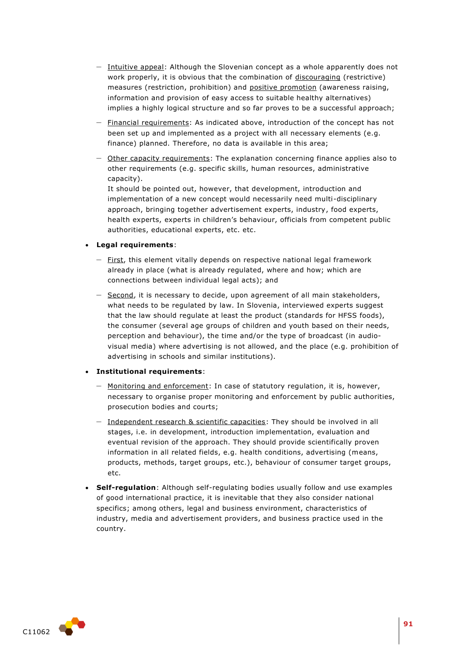- Intuitive appeal: Although the Slovenian concept as a whole apparently does not work properly, it is obvious that the combination of discouraging (restrictive) measures (restriction, prohibition) and positive promotion (awareness raising, information and provision of easy access to suitable healthy alternatives) implies a highly logical structure and so far proves to be a successful approach;
- Financial requirements: As indicated above, introduction of the concept has not been set up and implemented as a project with all necessary elements (e.g. finance) planned. Therefore, no data is available in this area;
- Other capacity requirements: The explanation concerning finance applies also to other requirements (e.g. specific skills, human resources, administrative capacity).

It should be pointed out, however, that development, introduction and implementation of a new concept would necessarily need multi-disciplinary approach, bringing together advertisement experts, industry, food experts, health experts, experts in children's behaviour, officials from competent public authorities, educational experts, etc. etc.

#### **Legal requirements**:

- First, this element vitally depends on respective national legal framework already in place (what is already regulated, where and how; which are connections between individual legal acts); and
- Second, it is necessary to decide, upon agreement of all main stakeholders, what needs to be regulated by law. In Slovenia, interviewed experts suggest that the law should regulate at least the product (standards for HFSS foods), the consumer (several age groups of children and youth based on their needs, perception and behaviour), the time and/or the type of broadcast (in audiovisual media) where advertising is not allowed, and the place (e.g. prohibition of advertising in schools and similar institutions).

## **Institutional requirements**:

- Monitoring and enforcement: In case of statutory regulation, it is, however, necessary to organise proper monitoring and enforcement by public authorities, prosecution bodies and courts;
- Independent research & scientific capacities: They should be involved in all stages, i.e. in development, introduction implementation, evaluation and eventual revision of the approach. They should provide scientifically proven information in all related fields, e.g. health conditions, advertising (means, products, methods, target groups, etc.), behaviour of consumer target groups, etc.
- **Self-regulation**: Although self-regulating bodies usually follow and use examples of good international practice, it is inevitable that they also consider national specifics; among others, legal and business environment, characteristics of industry, media and advertisement providers, and business practice used in the country.

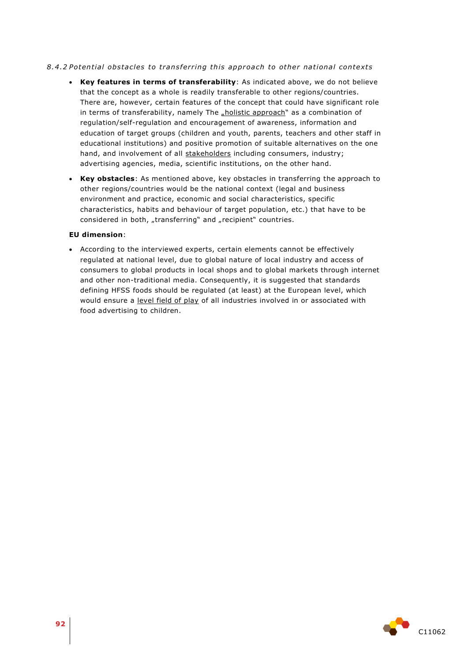## 8.4.2 Potential obstacles to transferring this approach to other national contexts

- **Key features in terms of transferability**: As indicated above, we do not believe that the concept as a whole is readily transferable to other regions/countries. There are, however, certain features of the concept that could have significant role in terms of transferability, namely The *"holistic approach*" as a combination of regulation/self-regulation and encouragement of awareness, information and education of target groups (children and youth, parents, teachers and other staff in educational institutions) and positive promotion of suitable alternatives on the one hand, and involvement of all stakeholders including consumers, industry; advertising agencies, media, scientific institutions, on the other hand.
- **Key obstacles**: As mentioned above, key obstacles in transferring the approach to other regions/countries would be the national context (legal and business environment and practice, economic and social characteristics, specific characteristics, habits and behaviour of target population, etc.) that have to be considered in both, "transferring" and "recipient" countries.

#### **EU dimension**:

 According to the interviewed experts, certain elements cannot be effectively regulated at national level, due to global nature of local industry and access of consumers to global products in local shops and to global markets through internet and other non-traditional media. Consequently, it is suggested that standards defining HFSS foods should be regulated (at least) at the European level, which would ensure a level field of play of all industries involved in or associated with food advertising to children.

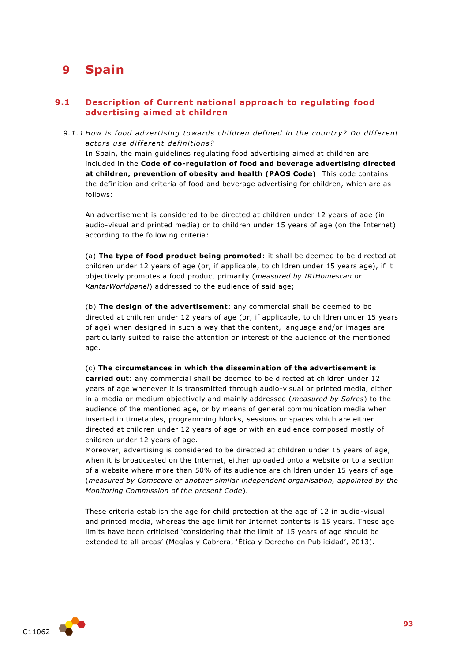# **9 Spain**

# **9.1 Description of Current national approach to regulating food advertising aimed at children**

9.1.1 How is food advertising towards children defined in the country? Do different *ac to rs u se di f fe rent de fini tion s?* 

In Spain, the main guidelines regulating food advertising aimed at children are included in the **Code of co-regulation of food and beverage advertising directed at children, prevention of obesity and health (PAOS Code)**. This code contains the definition and criteria of food and beverage advertising for children, which are as follows:

An advertisement is considered to be directed at children under 12 years of age (in audio-visual and printed media) or to children under 15 years of age (on the Internet) according to the following criteria:

(a) **The type of food product being promoted**: it shall be deemed to be directed at children under 12 years of age (or, if applicable, to children under 15 years age), if it objectively promotes a food product primarily (*measured by IRIHomescan or KantarWorldpanel*) addressed to the audience of said age;

(b) **The design of the advertisement**: any commercial shall be deemed to be directed at children under 12 years of age (or, if applicable, to children under 15 years of age) when designed in such a way that the content, language and/or images are particularly suited to raise the attention or interest of the audience of the mentioned age.

(c) **The circumstances in which the dissemination of the advertisement is carried out**: any commercial shall be deemed to be directed at children under 12 years of age whenever it is transmitted through audio-visual or printed media, either in a media or medium objectively and mainly addressed (*measured by Sofres*) to the audience of the mentioned age, or by means of general communication media when inserted in timetables, programming blocks, sessions or spaces which are either directed at children under 12 years of age or with an audience composed mostly of children under 12 years of age.

Moreover, advertising is considered to be directed at children under 15 years of age, when it is broadcasted on the Internet, either uploaded onto a website or to a section of a website where more than 50% of its audience are children under 15 years of age (*measured by Comscore or another similar independent organisation, appointed by the Monitoring Commission of the present Code*).

These criteria establish the age for child protection at the age of 12 in audio-visual and printed media, whereas the age limit for Internet contents is 15 years. These age limits have been criticised 'considering that the limit of 15 years of age should be extended to all areas' (Megías y Cabrera, 'Ética y Derecho en Publicidad', 2013).

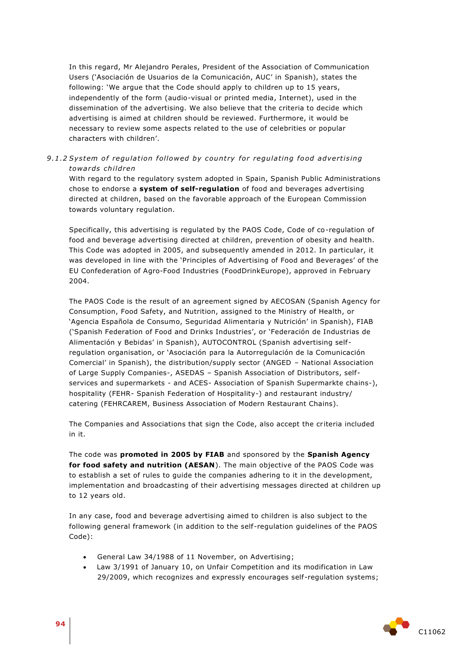In this regard, Mr Alejandro Perales, President of the Association of Communication Users ('Asociación de Usuarios de la Comunicación, AUC' in Spanish), states the following: 'We argue that the Code should apply to children up to 15 years, independently of the form (audio-visual or printed media, Internet), used in the dissemination of the advertising. We also believe that the criteria to decide which advertising is aimed at children should be reviewed. Furthermore, it would be necessary to review some aspects related to the use of celebrities or popular characters with children'.

## 9.1.2 System of regulation followed by country for regulating food advertising *towa rds child ren*

With regard to the regulatory system adopted in Spain, Spanish Public Administrations chose to endorse a **system of self-regulation** of food and beverages advertising directed at children, based on the favorable approach of the European Commission towards voluntary regulation.

Specifically, this advertising is regulated by the PAOS Code, Code of co-regulation of food and beverage advertising directed at children, prevention of obesity and health. This Code was adopted in 2005, and subsequently amended in 2012. In particular, it was developed in line with the 'Principles of Advertising of Food and Beverages' of the EU Confederation of Agro-Food Industries (FoodDrinkEurope), approved in February 2004.

The PAOS Code is the result of an agreement signed by AECOSAN (Spanish Agency for Consumption, Food Safety, and Nutrition, assigned to the Ministry of Health, or 'Agencia Española de Consumo, Seguridad Alimentaria y Nutrición' in Spanish), FIAB ('Spanish Federation of Food and Drinks Industries', or 'Federación de Industrias de Alimentación y Bebidas' in Spanish), AUTOCONTROL (Spanish advertising selfregulation organisation, or 'Asociación para la Autorregulación de la Comunicación Comercial' in Spanish), the distribution/supply sector (ANGED – National Association of Large Supply Companies-, ASEDAS – Spanish Association of Distributors, selfservices and supermarkets - and ACES- Association of Spanish Supermarkte chains-), hospitality (FEHR- Spanish Federation of Hospitality-) and restaurant industry/ catering (FEHRCAREM, Business Association of Modern Restaurant Chains).

The Companies and Associations that sign the Code, also accept the criteria included in it.

The code was **promoted in 2005 by FIAB** and sponsored by the **Spanish Agency for food safety and nutrition (AESAN**). The main objective of the PAOS Code was to establish a set of rules to guide the companies adhering to it in the development, implementation and broadcasting of their advertising messages directed at children up to 12 years old.

In any case, food and beverage advertising aimed to children is also subject to the following general framework (in addition to the self-regulation guidelines of the PAOS Code):

- General Law 34/1988 of 11 November, on Advertising;
- Law 3/1991 of January 10, on Unfair Competition and its modification in Law 29/2009, which recognizes and expressly encourages self-regulation systems;

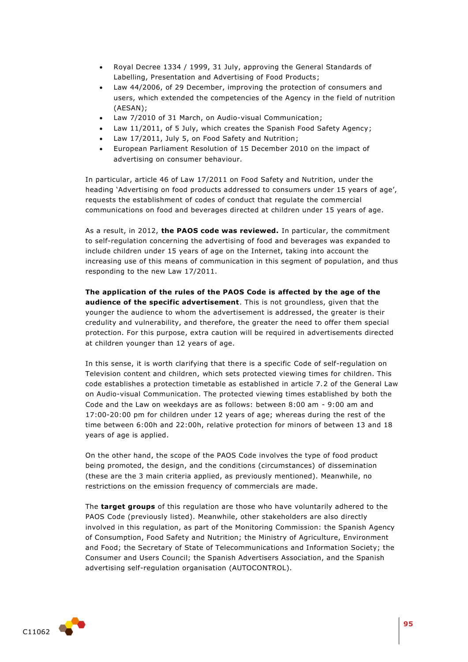- Royal Decree 1334 / 1999, 31 July, approving the General Standards of Labelling, Presentation and Advertising of Food Products;
- Law 44/2006, of 29 December, improving the protection of consumers and users, which extended the competencies of the Agency in the field of nutrition (AESAN);
- Law 7/2010 of 31 March, on Audio-visual Communication;
- Law 11/2011, of 5 July, which creates the Spanish Food Safety Agency;
- Law 17/2011, July 5, on Food Safety and Nutrition;
- European Parliament Resolution of 15 December 2010 on the impact of advertising on consumer behaviour.

In particular, article 46 of Law 17/2011 on Food Safety and Nutrition, under the heading 'Advertising on food products addressed to consumers under 15 years of age', requests the establishment of codes of conduct that regulate the commercial communications on food and beverages directed at children under 15 years of age.

As a result, in 2012, **the PAOS code was reviewed.** In particular, the commitment to self-regulation concerning the advertising of food and beverages was expanded to include children under 15 years of age on the Internet, taking into account the increasing use of this means of communication in this segment of population, and thus responding to the new Law 17/2011.

**The application of the rules of the PAOS Code is affected by the age of the audience of the specific advertisement**. This is not groundless, given that the younger the audience to whom the advertisement is addressed, the greater is their credulity and vulnerability, and therefore, the greater the need to offer them special protection. For this purpose, extra caution will be required in advertisements directed at children younger than 12 years of age.

In this sense, it is worth clarifying that there is a specific Code of self-regulation on Television content and children, which sets protected viewing times for children. This code establishes a protection timetable as established in article 7.2 of the General Law on Audio-visual Communication. The protected viewing times established by both the Code and the Law on weekdays are as follows: between 8:00 am - 9:00 am and 17:00-20:00 pm for children under 12 years of age; whereas during the rest of the time between 6:00h and 22:00h, relative protection for minors of between 13 and 18 years of age is applied.

On the other hand, the scope of the PAOS Code involves the type of food product being promoted, the design, and the conditions (circumstances) of dissemination (these are the 3 main criteria applied, as previously mentioned). Meanwhile, no restrictions on the emission frequency of commercials are made.

The **target groups** of this regulation are those who have voluntarily adhered to the PAOS Code (previously listed). Meanwhile, other stakeholders are also directly involved in this regulation, as part of the Monitoring Commission: the Spanish Agency of Consumption, Food Safety and Nutrition; the Ministry of Agriculture, Environment and Food; the Secretary of State of Telecommunications and Information Society; the Consumer and Users Council; the Spanish Advertisers Association, and the Spanish advertising self-regulation organisation (AUTOCONTROL).

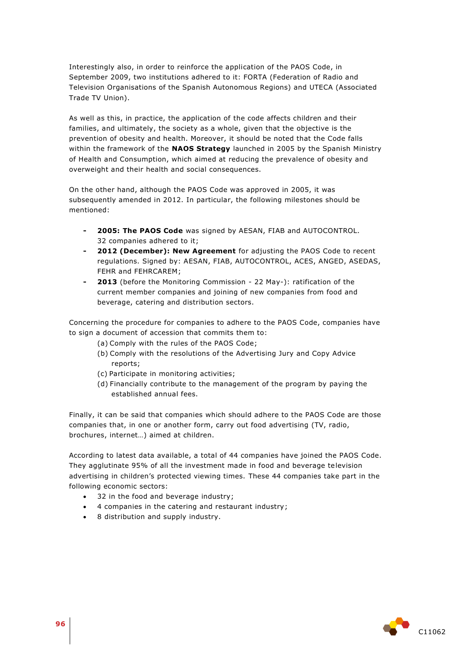Interestingly also, in order to reinforce the application of the PAOS Code, in September 2009, two institutions adhered to it: FORTA (Federation of Radio and Television Organisations of the Spanish Autonomous Regions) and UTECA (Associated Trade TV Union).

As well as this, in practice, the application of the code affects children and their families, and ultimately, the society as a whole, given that the objective is the prevention of obesity and health. Moreover, it should be noted that the Code falls within the framework of the **NAOS Strategy** launched in 2005 by the Spanish Ministry of Health and Consumption, which aimed at reducing the prevalence of obesity and overweight and their health and social consequences.

On the other hand, although the PAOS Code was approved in 2005, it was subsequently amended in 2012. In particular, the following milestones should be mentioned:

- **- 2005: The PAOS Code** was signed by AESAN, FIAB and AUTOCONTROL. 32 companies adhered to it;
- **- 2012 (December): New Agreement** for adjusting the PAOS Code to recent regulations. Signed by: AESAN, FIAB, AUTOCONTROL, ACES, ANGED, ASEDAS, FEHR and FEHRCAREM;
- **- 2013** (before the Monitoring Commission 22 May-): ratification of the current member companies and joining of new companies from food and beverage, catering and distribution sectors.

Concerning the procedure for companies to adhere to the PAOS Code, companies have to sign a document of accession that commits them to:

- (a) Comply with the rules of the PAOS Code;
- (b) Comply with the resolutions of the Advertising Jury and Copy Advice reports;
- (c) Participate in monitoring activities;
- (d) Financially contribute to the management of the program by paying the established annual fees.

Finally, it can be said that companies which should adhere to the PAOS Code are those companies that, in one or another form, carry out food advertising (TV, radio, brochures, internet…) aimed at children.

According to latest data available, a total of 44 companies have joined the PAOS Code. They agglutinate 95% of all the investment made in food and beverage television advertising in children's protected viewing times. These 44 companies take part in the following economic sectors:

- 32 in the food and beverage industry;
- 4 companies in the catering and restaurant industry;
- 8 distribution and supply industry.

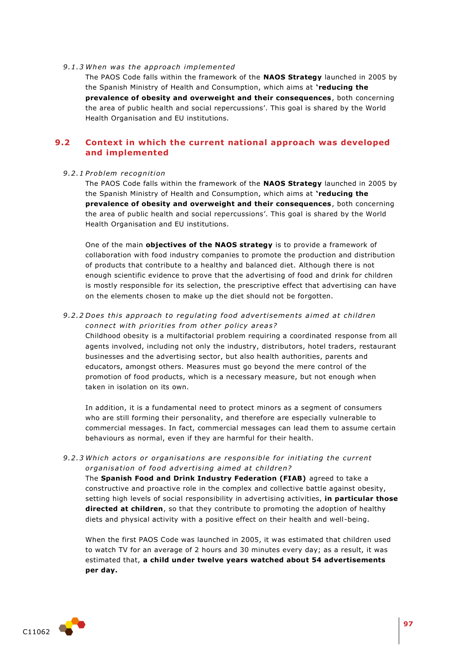#### *9 .1 .3 When was the app roa ch implemented*

The PAOS Code falls within the framework of the **NAOS Strategy** launched in 2005 by the Spanish Ministry of Health and Consumption, which aims at **'reducing the prevalence of obesity and overweight and their consequences**, both concerning the area of public health and social repercussions'. This goal is shared by the World Health Organisation and EU institutions.

# **9.2 Context in which the current national approach was developed and implemented**

#### *9 .2 .1 P roblem recognition*

The PAOS Code falls within the framework of the **NAOS Strategy** launched in 2005 by the Spanish Ministry of Health and Consumption, which aims at **'reducing the prevalence of obesity and overweight and their consequences**, both concerning the area of public health and social repercussions'. This goal is shared by the World Health Organisation and EU institutions.

One of the main **objectives of the NAOS strategy** is to provide a framework of collaboration with food industry companies to promote the production and distribution of products that contribute to a healthy and balanced diet. Although there is not enough scientific evidence to prove that the advertising of food and drink for children is mostly responsible for its selection, the prescriptive effect that advertising can have on the elements chosen to make up the diet should not be forgotten.

#### 9.2.2 Does this approach to regulating food advertisements aimed at children connect with priorities from other policy areas?

Childhood obesity is a multifactorial problem requiring a coordinated response from all agents involved, including not only the industry, distributors, hotel traders, restaurant businesses and the advertising sector, but also health authorities, parents and educators, amongst others. Measures must go beyond the mere control of the promotion of food products, which is a necessary measure, but not enough when taken in isolation on its own.

In addition, it is a fundamental need to protect minors as a segment of consumers who are still forming their personality, and therefore are especially vulnerable to commercial messages. In fact, commercial messages can lead them to assume certain behaviours as normal, even if they are harmful for their health.

9.2.3 Which actors or organisations are responsible for initiating the current organisation of food advertising aimed at children?

The **Spanish Food and Drink Industry Federation (FIAB)** agreed to take a constructive and proactive role in the complex and collective battle against obesity, setting high levels of social responsibility in advertising activities, **in particular those directed at children**, so that they contribute to promoting the adoption of healthy diets and physical activity with a positive effect on their health and well-being.

When the first PAOS Code was launched in 2005, it was estimated that children used to watch TV for an average of 2 hours and 30 minutes every day; as a result, it was estimated that, **a child under twelve years watched about 54 advertisements per day.**

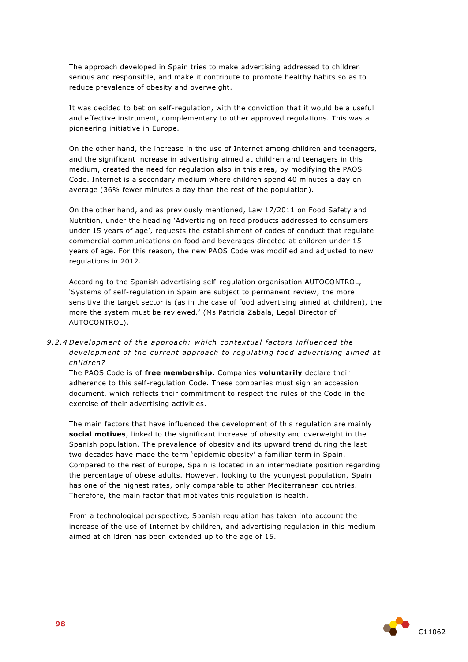The approach developed in Spain tries to make advertising addressed to children serious and responsible, and make it contribute to promote healthy habits so as to reduce prevalence of obesity and overweight.

It was decided to bet on self-regulation, with the conviction that it would be a useful and effective instrument, complementary to other approved regulations. This was a pioneering initiative in Europe.

On the other hand, the increase in the use of Internet among children and teenagers, and the significant increase in advertising aimed at children and teenagers in this medium, created the need for regulation also in this area, by modifying the PAOS Code. Internet is a secondary medium where children spend 40 minutes a day on average (36% fewer minutes a day than the rest of the population).

On the other hand, and as previously mentioned, Law 17/2011 on Food Safety and Nutrition, under the heading 'Advertising on food products addressed to consumers under 15 years of age', requests the establishment of codes of conduct that regulate commercial communications on food and beverages directed at children under 15 years of age. For this reason, the new PAOS Code was modified and adjusted to new regulations in 2012.

According to the Spanish advertising self-regulation organisation AUTOCONTROL, 'Systems of self-regulation in Spain are subject to permanent review; the more sensitive the target sector is (as in the case of food advertising aimed at children), the more the system must be reviewed.' (Ms Patricia Zabala, Legal Director of AUTOCONTROL).

9.2.4 Development of the approach: which contextual factors influenced the development of the current approach to regulating food advertising aimed at *child ren?* 

The PAOS Code is of **free membership**. Companies **voluntarily** declare their adherence to this self-regulation Code. These companies must sign an accession document, which reflects their commitment to respect the rules of the Code in the exercise of their advertising activities.

The main factors that have influenced the development of this regulation are mainly **social motives**, linked to the significant increase of obesity and overweight in the Spanish population. The prevalence of obesity and its upward trend during the last two decades have made the term 'epidemic obesity' a familiar term in Spain. Compared to the rest of Europe, Spain is located in an intermediate position regarding the percentage of obese adults. However, looking to the youngest population, Spain has one of the highest rates, only comparable to other Mediterranean countries. Therefore, the main factor that motivates this regulation is health.

From a technological perspective, Spanish regulation has taken into account the increase of the use of Internet by children, and advertising regulation in this medium aimed at children has been extended up to the age of 15.

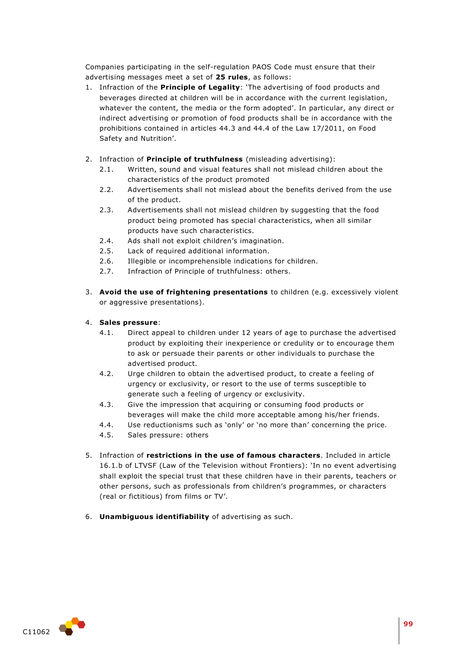Companies participating in the self-regulation PAOS Code must ensure that their advertising messages meet a set of **25 rules**, as follows:

- 1. Infraction of the **Principle of Legality**: 'The advertising of food products and beverages directed at children will be in accordance with the current legislation, whatever the content, the media or the form adopted'. In particular, any direct or indirect advertising or promotion of food products shall be in accordance with the prohibitions contained in articles 44.3 and 44.4 of the Law 17/2011, on Food Safety and Nutrition'.
- 2. Infraction of **Principle of truthfulness** (misleading advertising):
	- 2.1. Written, sound and visual features shall not mislead children about the characteristics of the product promoted
	- 2.2. Advertisements shall not mislead about the benefits derived from the use of the product.
	- 2.3. Advertisements shall not mislead children by suggesting that the food product being promoted has special characteristics, when all similar products have such characteristics.
	- 2.4. Ads shall not exploit children's imagination.
	- 2.5. Lack of required additional information.
	- 2.6. Illegible or incomprehensible indications for children.
	- 2.7. Infraction of Principle of truthfulness: others.
- 3. **Avoid the use of frightening presentations** to children (e.g. excessively violent or aggressive presentations).

#### 4. **Sales pressure**:

- 4.1. Direct appeal to children under 12 years of age to purchase the advertised product by exploiting their inexperience or credulity or to encourage them to ask or persuade their parents or other individuals to purchase the advertised product.
- 4.2. Urge children to obtain the advertised product, to create a feeling of urgency or exclusivity, or resort to the use of terms susceptible to generate such a feeling of urgency or exclusivity.
- 4.3. Give the impression that acquiring or consuming food products or beverages will make the child more acceptable among his/her friends.
- 4.4. Use reductionisms such as 'only' or 'no more than' concerning the price.
- 4.5. Sales pressure: others
- 5. Infraction of **restrictions in the use of famous characters**. Included in article 16.1.b of LTVSF (Law of the Television without Frontiers): 'In no event advertising shall exploit the special trust that these children have in their parents, teachers or other persons, such as professionals from children's programmes, or characters (real or fictitious) from films or TV'.
- 6. **Unambiguous identifiability** of advertising as such.

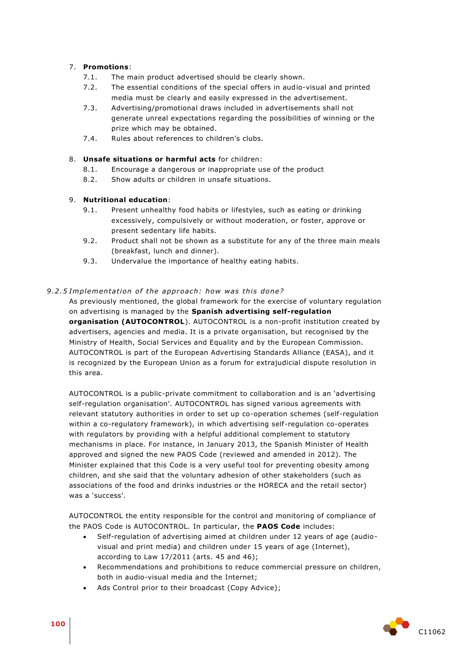# 7. **Promotions**:

- 7.1. The main product advertised should be clearly shown.
- 7.2. The essential conditions of the special offers in audio-visual and printed media must be clearly and easily expressed in the advertisement.
- 7.3. Advertising/promotional draws included in advertisements shall not generate unreal expectations regarding the possibilities of winning or the prize which may be obtained.
- 7.4. Rules about references to children's clubs.

## 8. **Unsafe situations or harmful acts** for children:

- 8.1. Encourage a dangerous or inappropriate use of the product
- 8.2. Show adults or children in unsafe situations.

## 9. **Nutritional education**:

- 9.1. Present unhealthy food habits or lifestyles, such as eating or drinking excessively, compulsively or without moderation, or foster, approve or present sedentary life habits.
- 9.2. Product shall not be shown as a substitute for any of the three main meals (breakfast, lunch and dinner).
- 9.3. Undervalue the importance of healthy eating habits.

## 9.2.5 Implementation of the approach: how was this done?

As previously mentioned, the global framework for the exercise of voluntary regulation on advertising is managed by the **Spanish advertising self-regulation organisation (AUTOCONTROL**). AUTOCONTROL is a non-profit institution created by advertisers, agencies and media. It is a private organisation, but recognised by the Ministry of Health, Social Services and Equality and by the European Commission. AUTOCONTROL is part of the European Advertising Standards Alliance (EASA), and it is recognized by the European Union as a forum for extrajudicial dispute resolution in this area.

AUTOCONTROL is a public-private commitment to collaboration and is an 'advertising self-regulation organisation'. AUTOCONTROL has signed various agreements with relevant statutory authorities in order to set up co-operation schemes (self-regulation within a co-regulatory framework), in which advertising self-regulation co-operates with regulators by providing with a helpful additional complement to statutory mechanisms in place. For instance, in January 2013, the Spanish Minister of Health approved and signed the new PAOS Code (reviewed and amended in 2012). The Minister explained that this Code is a very useful tool for preventing obesity among children, and she said that the voluntary adhesion of other stakeholders (such as associations of the food and drinks industries or the HORECA and the retail sector) was a 'success'.

AUTOCONTROL the entity responsible for the control and monitoring of compliance of the PAOS Code is AUTOCONTROL. In particular, the **PAOS Code** includes:

- Self-regulation of advertising aimed at children under 12 years of age (audiovisual and print media) and children under 15 years of age (Internet), according to Law 17/2011 (arts. 45 and 46);
- Recommendations and prohibitions to reduce commercial pressure on children, both in audio-visual media and the Internet;
- Ads Control prior to their broadcast (Copy Advice);

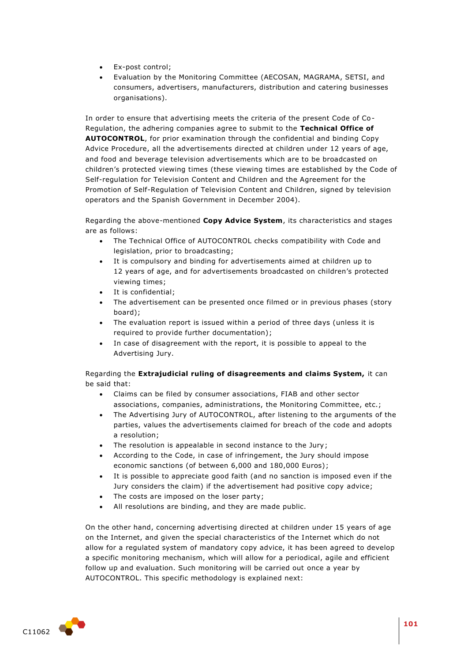- Ex-post control;
- Evaluation by the Monitoring Committee (AECOSAN, MAGRAMA, SETSI, and consumers, advertisers, manufacturers, distribution and catering businesses organisations).

In order to ensure that advertising meets the criteria of the present Code of Co-Regulation, the adhering companies agree to submit to the **Technical Office of AUTOCONTROL**, for prior examination through the confidential and binding Copy Advice Procedure, all the advertisements directed at children under 12 years of age, and food and beverage television advertisements which are to be broadcasted on children's protected viewing times (these viewing times are established by the Code of Self-regulation for Television Content and Children and the Agreement for the Promotion of Self-Regulation of Television Content and Children, signed by television operators and the Spanish Government in December 2004).

Regarding the above-mentioned **Copy Advice System**, its characteristics and stages are as follows:

- The Technical Office of AUTOCONTROL checks compatibility with Code and legislation, prior to broadcasting;
- It is compulsory and binding for advertisements aimed at children up to 12 years of age, and for advertisements broadcasted on children's protected viewing times;
- It is confidential;
- The advertisement can be presented once filmed or in previous phases (story board);
- The evaluation report is issued within a period of three days (unless it is required to provide further documentation);
- In case of disagreement with the report, it is possible to appeal to the Advertising Jury.

Regarding the **Extrajudicial ruling of disagreements and claims System,** it can be said that:

- Claims can be filed by consumer associations, FIAB and other sector associations, companies, administrations, the Monitoring Committee, etc.;
- The Advertising Jury of AUTOCONTROL, after listening to the arguments of the parties, values the advertisements claimed for breach of the code and adopts a resolution;
- The resolution is appealable in second instance to the Jury;
- According to the Code, in case of infringement, the Jury should impose economic sanctions (of between 6,000 and 180,000 Euros);
- It is possible to appreciate good faith (and no sanction is imposed even if the Jury considers the claim) if the advertisement had positive copy advice;
- The costs are imposed on the loser party;
- All resolutions are binding, and they are made public.

On the other hand, concerning advertising directed at children under 15 years of age on the Internet, and given the special characteristics of the Internet which do not allow for a regulated system of mandatory copy advice, it has been agreed to develop a specific monitoring mechanism, which will allow for a periodical, agile and efficient follow up and evaluation. Such monitoring will be carried out once a year by AUTOCONTROL. This specific methodology is explained next:

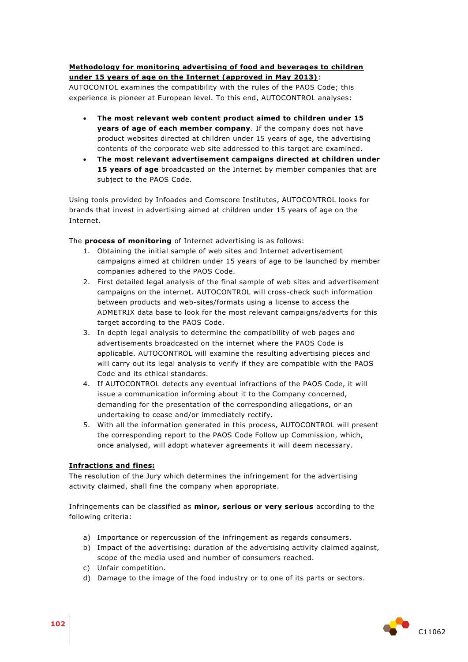## **Methodology for monitoring advertising of food and beverages to children under 15 years of age on the Internet (approved in May 2013)**:

AUTOCONTOL examines the compatibility with the rules of the PAOS Code; this experience is pioneer at European level. To this end, AUTOCONTROL analyses:

- **The most relevant web content product aimed to children under 15 years of age of each member company**. If the company does not have product websites directed at children under 15 years of age, the advertising contents of the corporate web site addressed to this target are examined.
- **The most relevant advertisement campaigns directed at children under 15 years of age** broadcasted on the Internet by member companies that are subject to the PAOS Code.

Using tools provided by Infoades and Comscore Institutes, AUTOCONTROL looks for brands that invest in advertising aimed at children under 15 years of age on the Internet.

The **process of monitoring** of Internet advertising is as follows:

- 1. Obtaining the initial sample of web sites and Internet advertisement campaigns aimed at children under 15 years of age to be launched by member companies adhered to the PAOS Code.
- 2. First detailed legal analysis of the final sample of web sites and advertisement campaigns on the internet. AUTOCONTROL will cross-check such information between products and web-sites/formats using a license to access the ADMETRIX data base to look for the most relevant campaigns/adverts for this target according to the PAOS Code.
- 3. In depth legal analysis to determine the compatibility of web pages and advertisements broadcasted on the internet where the PAOS Code is applicable. AUTOCONTROL will examine the resulting advertising pieces and will carry out its legal analysis to verify if they are compatible with the PAOS Code and its ethical standards.
- 4. If AUTOCONTROL detects any eventual infractions of the PAOS Code, it will issue a communication informing about it to the Company concerned, demanding for the presentation of the corresponding allegations, or an undertaking to cease and/or immediately rectify.
- 5. With all the information generated in this process, AUTOCONTROL will present the corresponding report to the PAOS Code Follow up Commission, which, once analysed, will adopt whatever agreements it will deem necessary.

## **Infractions and fines:**

The resolution of the Jury which determines the infringement for the advertising activity claimed, shall fine the company when appropriate.

Infringements can be classified as **minor, serious or very serious** according to the following criteria:

- a) Importance or repercussion of the infringement as regards consumers.
- b) Impact of the advertising: duration of the advertising activity claimed against, scope of the media used and number of consumers reached.
- c) Unfair competition.
- d) Damage to the image of the food industry or to one of its parts or sectors.

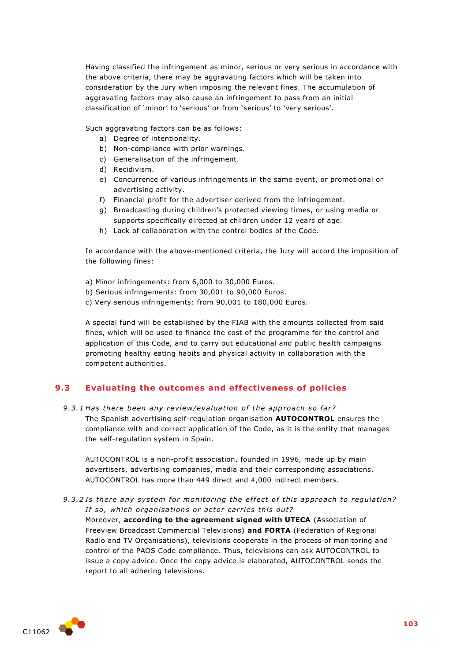Having classified the infringement as minor, serious or very serious in accordance with the above criteria, there may be aggravating factors which will be taken into consideration by the Jury when imposing the relevant fines. The accumulation of aggravating factors may also cause an infringement to pass from an initial classification of 'minor' to 'serious' or from 'serious' to 'very serious'.

Such aggravating factors can be as follows:

- a) Degree of intentionality.
- b) Non-compliance with prior warnings.
- c) Generalisation of the infringement.
- d) Recidivism.
- e) Concurrence of various infringements in the same event, or promotional or advertising activity.
- f) Financial profit for the advertiser derived from the infringement.
- g) Broadcasting during children's protected viewing times, or using media or supports specifically directed at children under 12 years of age.
- h) Lack of collaboration with the control bodies of the Code.

In accordance with the above-mentioned criteria, the Jury will accord the imposition of the following fines:

- a) Minor infringements: from 6,000 to 30,000 Euros.
- b) Serious infringements: from 30,001 to 90,000 Euros.
- c) Very serious infringements: from 90,001 to 180,000 Euros.

A special fund will be established by the FIAB with the amounts collected from said fines, which will be used to finance the cost of the programme for the control and application of this Code, and to carry out educational and public health campaigns promoting healthy eating habits and physical activity in collaboration with the competent authorities.

# **9.3 Evaluating the outcomes and effectiveness of policies**

- 9.3.1 Has there been any review/evaluation of the approach so far?
	- The Spanish advertising self-regulation organisation **AUTOCONTROL** ensures the compliance with and correct application of the Code, as it is the entity that manages the self-regulation system in Spain.

AUTOCONTROL is a non-profit association, founded in 1996, made up by main advertisers, advertising companies, media and their corresponding associations. AUTOCONTROL has more than 449 direct and 4,000 indirect members.

9.3.2 Is there any system for monitoring the effect of this approach to regulation? If so, which organisations or actor carries this out?

Moreover, **according to the agreement signed with UTECA** (Association of Freeview Broadcast Commercial Televisions) **and FORTA** (Federation of Regional Radio and TV Organisations), televisions cooperate in the process of monitoring and control of the PAOS Code compliance. Thus, televisions can ask AUTOCONTROL to issue a copy advice. Once the copy advice is elaborated, AUTOCONTROL sends the report to all adhering televisions.

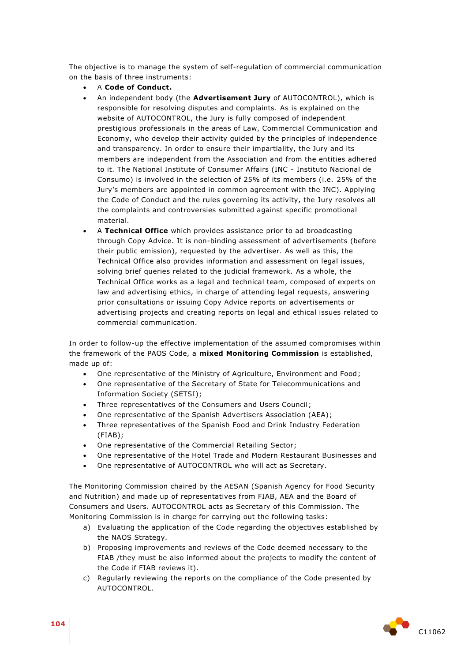The objective is to manage the system of self-regulation of commercial communication on the basis of three instruments:

- A **Code of Conduct.**
- An independent body (the **Advertisement Jury** of AUTOCONTROL), which is responsible for resolving disputes and complaints. As is explained on the website of AUTOCONTROL, the Jury is fully composed of independent prestigious professionals in the areas of Law, Commercial Communication and Economy, who develop their activity guided by the principles of independence and transparency. In order to ensure their impartiality, the Jury and its members are independent from the Association and from the entities adhered to it. The National Institute of Consumer Affairs (INC - Instituto Nacional de Consumo) is involved in the selection of 25% of its members (i.e. 25% of the Jury's members are appointed in common agreement with the INC). Applying the Code of Conduct and the rules governing its activity, the Jury resolves all the complaints and controversies submitted against specific promotional material.
- A **Technical Office** which provides assistance prior to ad broadcasting through Copy Advice. It is non-binding assessment of advertisements (before their public emission), requested by the advertiser. As well as this, the Technical Office also provides information and assessment on legal issues, solving brief queries related to the judicial framework. As a whole, the Technical Office works as a legal and technical team, composed of experts on law and advertising ethics, in charge of attending legal requests, answering prior consultations or issuing Copy Advice reports on advertisements or advertising projects and creating reports on legal and ethical issues related to commercial communication.

In order to follow-up the effective implementation of the assumed compromises within the framework of the PAOS Code, a **mixed Monitoring Commission** is established, made up of:

- One representative of the Ministry of Agriculture, Environment and Food;
- One representative of the Secretary of State for Telecommunications and Information Society (SETSI);
- Three representatives of the Consumers and Users Council;
- One representative of the Spanish Advertisers Association (AEA);
- Three representatives of the Spanish Food and Drink Industry Federation (FIAB);
- One representative of the Commercial Retailing Sector;
- One representative of the Hotel Trade and Modern Restaurant Businesses and
- One representative of AUTOCONTROL who will act as Secretary.

The Monitoring Commission chaired by the AESAN (Spanish Agency for Food Security and Nutrition) and made up of representatives from FIAB, AEA and the Board of Consumers and Users. AUTOCONTROL acts as Secretary of this Commission. The Monitoring Commission is in charge for carrying out the following tasks:

- a) Evaluating the application of the Code regarding the objectives established by the NAOS Strategy.
- b) Proposing improvements and reviews of the Code deemed necessary to the FIAB /they must be also informed about the projects to modify the content of the Code if FIAB reviews it).
- c) Regularly reviewing the reports on the compliance of the Code presented by AUTOCONTROL.

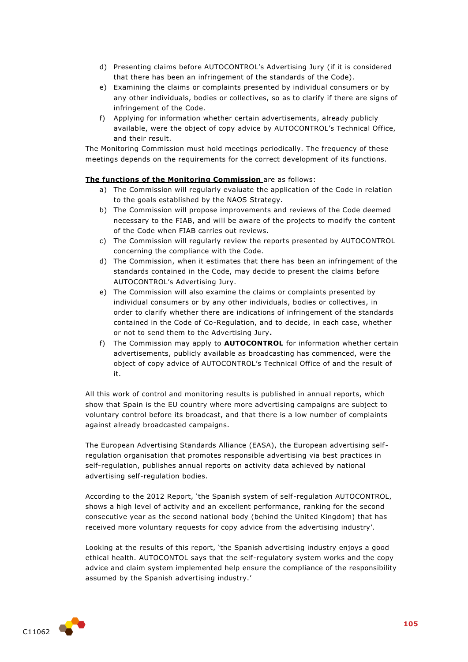- d) Presenting claims before AUTOCONTROL's Advertising Jury (if it is considered that there has been an infringement of the standards of the Code).
- e) Examining the claims or complaints presented by individual consumers or by any other individuals, bodies or collectives, so as to clarify if there are signs of infringement of the Code.
- f) Applying for information whether certain advertisements, already publicly available, were the object of copy advice by AUTOCONTROL's Technical Office, and their result.

The Monitoring Commission must hold meetings periodically. The frequency of these meetings depends on the requirements for the correct development of its functions.

#### **The functions of the Monitoring Commission** are as follows:

- a) The Commission will regularly evaluate the application of the Code in relation to the goals established by the NAOS Strategy.
- b) The Commission will propose improvements and reviews of the Code deemed necessary to the FIAB, and will be aware of the projects to modify the content of the Code when FIAB carries out reviews.
- c) The Commission will regularly review the reports presented by AUTOCONTROL concerning the compliance with the Code.
- d) The Commission, when it estimates that there has been an infringement of the standards contained in the Code, may decide to present the claims before AUTOCONTROL's Advertising Jury.
- e) The Commission will also examine the claims or complaints presented by individual consumers or by any other individuals, bodies or collectives, in order to clarify whether there are indications of infringement of the standards contained in the Code of Co-Regulation, and to decide, in each case, whether or not to send them to the Advertising Jury**.**
- f) The Commission may apply to **AUTOCONTROL** for information whether certain advertisements, publicly available as broadcasting has commenced, were the object of copy advice of AUTOCONTROL's Technical Office of and the result of it.

All this work of control and monitoring results is published in annual reports, which show that Spain is the EU country where more advertising campaigns are subject to voluntary control before its broadcast, and that there is a low number of complaints against already broadcasted campaigns.

The European Advertising Standards Alliance (EASA), the European advertising selfregulation organisation that promotes responsible advertising via best practices in self-regulation, publishes annual reports on activity data achieved by national advertising self-regulation bodies.

According to the 2012 Report, 'the Spanish system of self-regulation AUTOCONTROL, shows a high level of activity and an excellent performance, ranking for the second consecutive year as the second national body (behind the United Kingdom) that has received more voluntary requests for copy advice from the advertising industry'.

Looking at the results of this report, 'the Spanish advertising industry enjoys a good ethical health. AUTOCONTOL says that the self-regulatory system works and the copy advice and claim system implemented help ensure the compliance of the responsibility assumed by the Spanish advertising industry.'

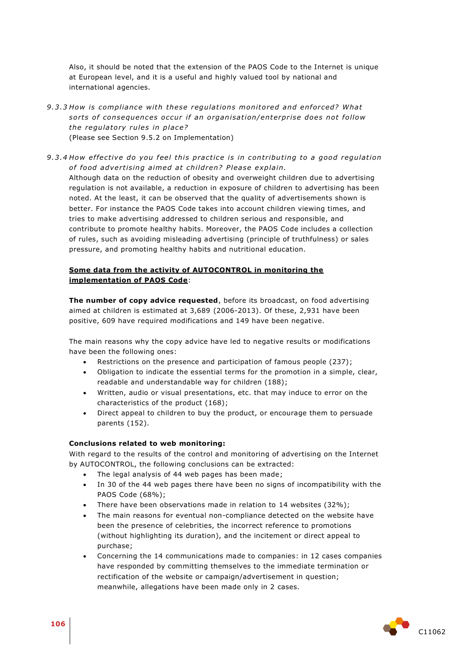Also, it should be noted that the extension of the PAOS Code to the Internet is unique at European level, and it is a useful and highly valued tool by national and international agencies.

- 9.3.3 How is compliance with these regulations monitored and enforced? What sorts of consequences occur if an organisation/enterprise does not follow *the regulatory rules in place?* (Please see Section 9.5.2 on Implementation)
- 9.3.4 How effective do you feel this practice is in contributing to a good regulation of food advertising aimed at children? Please explain.

Although data on the reduction of obesity and overweight children due to advertising regulation is not available, a reduction in exposure of children to advertising has been noted. At the least, it can be observed that the quality of advertisements shown is better. For instance the PAOS Code takes into account children viewing times, and tries to make advertising addressed to children serious and responsible, and contribute to promote healthy habits. Moreover, the PAOS Code includes a collection of rules, such as avoiding misleading advertising (principle of truthfulness) or sales pressure, and promoting healthy habits and nutritional education.

#### **Some data from the activity of AUTOCONTROL in monitoring the implementation of PAOS Code**:

**The number of copy advice requested**, before its broadcast, on food advertising aimed at children is estimated at 3,689 (2006-2013). Of these, 2,931 have been positive, 609 have required modifications and 149 have been negative.

The main reasons why the copy advice have led to negative results or modifications have been the following ones:

- Restrictions on the presence and participation of famous people (237);
- Obligation to indicate the essential terms for the promotion in a simple, clear, readable and understandable way for children (188);
- Written, audio or visual presentations, etc. that may induce to error on the characteristics of the product (168);
- Direct appeal to children to buy the product, or encourage them to persuade parents (152).

#### **Conclusions related to web monitoring:**

With regard to the results of the control and monitoring of advertising on the Internet by AUTOCONTROL, the following conclusions can be extracted:

- The legal analysis of 44 web pages has been made;
- In 30 of the 44 web pages there have been no signs of incompatibility with the PAOS Code (68%);
- There have been observations made in relation to 14 websites (32%);
- The main reasons for eventual non-compliance detected on the website have been the presence of celebrities, the incorrect reference to promotions (without highlighting its duration), and the incitement or direct appeal to purchase;
- Concerning the 14 communications made to companies: in 12 cases companies have responded by committing themselves to the immediate termination or rectification of the website or campaign/advertisement in question; meanwhile, allegations have been made only in 2 cases.

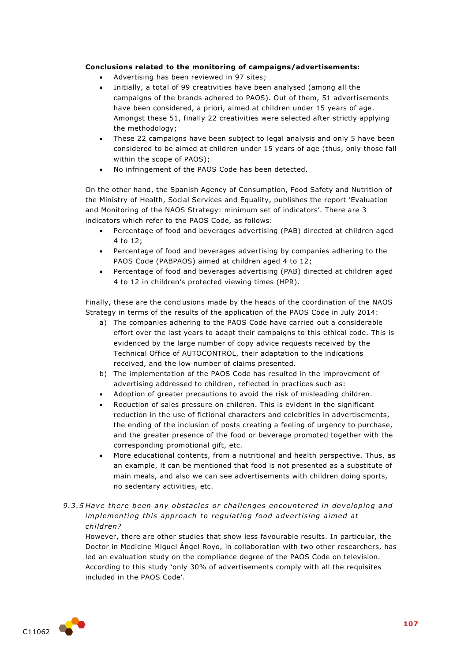## **Conclusions related to the monitoring of campaigns/advertisements:**

- Advertising has been reviewed in 97 sites;
- Initially, a total of 99 creativities have been analysed (among all the campaigns of the brands adhered to PAOS). Out of them, 51 advertisements have been considered, a priori, aimed at children under 15 years of age. Amongst these 51, finally 22 creativities were selected after strictly applying the methodology;
- These 22 campaigns have been subject to legal analysis and only 5 have been considered to be aimed at children under 15 years of age (thus, only those fall within the scope of PAOS);
- No infringement of the PAOS Code has been detected.

On the other hand, the Spanish Agency of Consumption, Food Safety and Nutrition of the Ministry of Health, Social Services and Equality, publishes the report 'Evaluation and Monitoring of the NAOS Strategy: minimum set of indicators'. There are 3 indicators which refer to the PAOS Code, as follows:

- Percentage of food and beverages advertising (PAB) directed at children aged 4 to 12;
- Percentage of food and beverages advertising by companies adhering to the PAOS Code (PABPAOS) aimed at children aged 4 to 12;
- Percentage of food and beverages advertising (PAB) directed at children aged 4 to 12 in children's protected viewing times (HPR).

Finally, these are the conclusions made by the heads of the coordination of the NAOS Strategy in terms of the results of the application of the PAOS Code in July 2014:

- a) The companies adhering to the PAOS Code have carried out a considerable effort over the last years to adapt their campaigns to this ethical code. This is evidenced by the large number of copy advice requests received by the Technical Office of AUTOCONTROL, their adaptation to the indications received, and the low number of claims presented.
- b) The implementation of the PAOS Code has resulted in the improvement of advertising addressed to children, reflected in practices such as:
- Adoption of greater precautions to avoid the risk of misleading children.
- Reduction of sales pressure on children. This is evident in the significant reduction in the use of fictional characters and celebrities in advertisements, the ending of the inclusion of posts creating a feeling of urgency to purchase, and the greater presence of the food or beverage promoted together with the corresponding promotional gift, etc.
- More educational contents, from a nutritional and health perspective. Thus, as an example, it can be mentioned that food is not presented as a substitute of main meals, and also we can see advertisements with children doing sports, no sedentary activities, etc.

# 9.3.5 Have there been any obstacles or challenges encountered in developing and *implementing this approach to regulating food advertising aimed at child ren?*

However, there are other studies that show less favourable results. In particular, the Doctor in Medicine Miguel Ángel Royo, in collaboration with two other researchers, has led an evaluation study on the compliance degree of the PAOS Code on television. According to this study 'only 30% of advertisements comply with all the requisites included in the PAOS Code'.

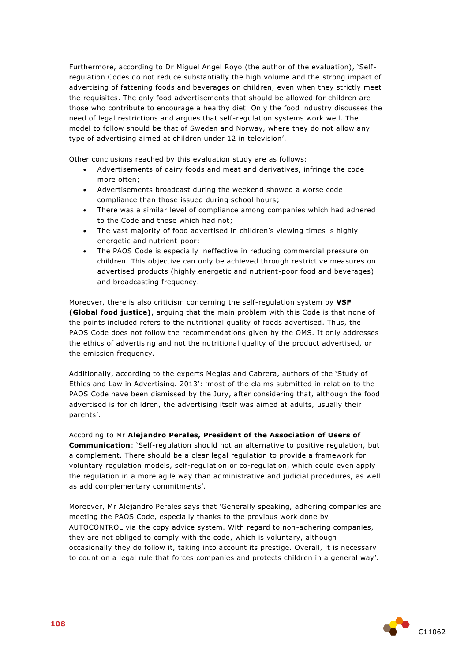Furthermore, according to Dr Miguel Angel Royo (the author of the evaluation), 'Self regulation Codes do not reduce substantially the high volume and the strong impact of advertising of fattening foods and beverages on children, even when they strictly meet the requisites. The only food advertisements that should be allowed for children are those who contribute to encourage a healthy diet. Only the food industry discusses the need of legal restrictions and argues that self-regulation systems work well. The model to follow should be that of Sweden and Norway, where they do not allow any type of advertising aimed at children under 12 in television'.

Other conclusions reached by this evaluation study are as follows:

- Advertisements of dairy foods and meat and derivatives, infringe the code more often;
- Advertisements broadcast during the weekend showed a worse code compliance than those issued during school hours;
- There was a similar level of compliance among companies which had adhered to the Code and those which had not;
- The vast majority of food advertised in children's viewing times is highly energetic and nutrient-poor;
- The PAOS Code is especially ineffective in reducing commercial pressure on children. This objective can only be achieved through restrictive measures on advertised products (highly energetic and nutrient-poor food and beverages) and broadcasting frequency.

Moreover, there is also criticism concerning the self-regulation system by **VSF (Global food justice)**, arguing that the main problem with this Code is that none of the points included refers to the nutritional quality of foods advertised. Thus, the PAOS Code does not follow the recommendations given by the OMS. It only addresses the ethics of advertising and not the nutritional quality of the product advertised, or the emission frequency.

Additionally, according to the experts Megias and Cabrera, authors of the 'Study of Ethics and Law in Advertising. 2013': 'most of the claims submitted in relation to the PAOS Code have been dismissed by the Jury, after considering that, although the food advertised is for children, the advertising itself was aimed at adults, usually their parents'.

According to Mr **Alejandro Perales, President of the Association of Users of Communication**: 'Self-regulation should not an alternative to positive regulation, but a complement. There should be a clear legal regulation to provide a framework for voluntary regulation models, self-regulation or co-regulation, which could even apply the regulation in a more agile way than administrative and judicial procedures, as well as add complementary commitments'.

Moreover, Mr Alejandro Perales says that 'Generally speaking, adhering companies are meeting the PAOS Code, especially thanks to the previous work done by AUTOCONTROL via the copy advice system. With regard to non-adhering companies, they are not obliged to comply with the code, which is voluntary, although occasionally they do follow it, taking into account its prestige. Overall, it is necessary to count on a legal rule that forces companies and protects children in a general way'.

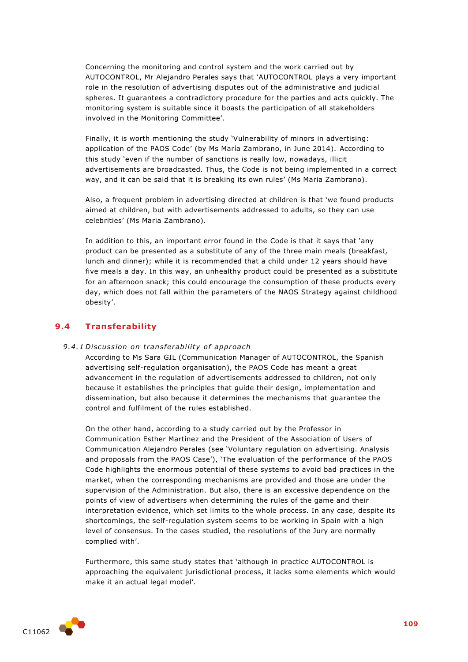Concerning the monitoring and control system and the work carried out by AUTOCONTROL, Mr Alejandro Perales says that 'AUTOCONTROL plays a very important role in the resolution of advertising disputes out of the administrative and judicial spheres. It guarantees a contradictory procedure for the parties and acts quickly. The monitoring system is suitable since it boasts the participation of all stakeholders involved in the Monitoring Committee'.

Finally, it is worth mentioning the study 'Vulnerability of minors in advertising: application of the PAOS Code' (by Ms María Zambrano, in June 2014). According to this study 'even if the number of sanctions is really low, nowadays, illicit advertisements are broadcasted. Thus, the Code is not being implemented in a correct way, and it can be said that it is breaking its own rules' (Ms Maria Zambrano).

Also, a frequent problem in advertising directed at children is that 'we found products aimed at children, but with advertisements addressed to adults, so they can use celebrities' (Ms Maria Zambrano).

In addition to this, an important error found in the Code is that it says that 'any product can be presented as a substitute of any of the three main meals (breakfast, lunch and dinner); while it is recommended that a child under 12 years should have five meals a day. In this way, an unhealthy product could be presented as a substitute for an afternoon snack; this could encourage the consumption of these products every day, which does not fall within the parameters of the NAOS Strategy against childhood obesity'.

# **9.4 Transferability**

#### 9.4.1 Discussion on transferability of approach

According to Ms Sara GIL (Communication Manager of AUTOCONTROL, the Spanish advertising self-regulation organisation), the PAOS Code has meant a great advancement in the regulation of advertisements addressed to children, not only because it establishes the principles that guide their design, implementation and dissemination, but also because it determines the mechanisms that guarantee the control and fulfilment of the rules established.

On the other hand, according to a study carried out by the Professor in Communication Esther Martínez and the President of the Association of Users of Communication Alejandro Perales (see 'Voluntary regulation on advertising. Analysis and proposals from the PAOS Case'), 'The evaluation of the performance of the PAOS Code highlights the enormous potential of these systems to avoid bad practices in the market, when the corresponding mechanisms are provided and those are under the supervision of the Administration. But also, there is an excessive dependence on the points of view of advertisers when determining the rules of the game and their interpretation evidence, which set limits to the whole process. In any case, despite its shortcomings, the self-regulation system seems to be working in Spain with a high level of consensus. In the cases studied, the resolutions of the Jury are normally complied with'.

Furthermore, this same study states that 'although in practice AUTOCONTROL is approaching the equivalent jurisdictional process, it lacks some elements which would make it an actual legal model'.

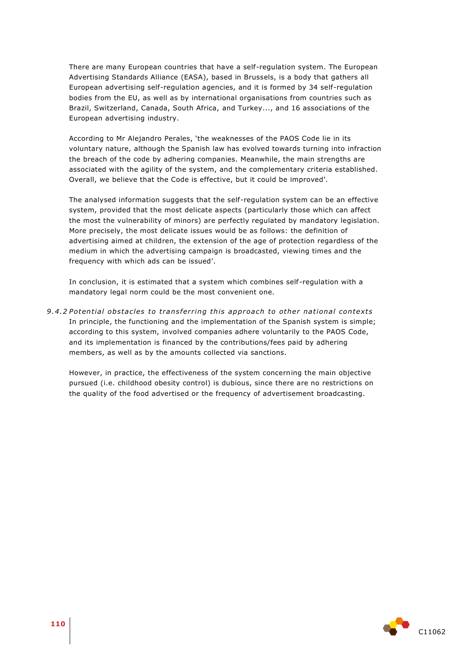There are many European countries that have a self-regulation system. The European Advertising Standards Alliance (EASA), based in Brussels, is a body that gathers all European advertising self-regulation agencies, and it is formed by 34 self-regulation bodies from the EU, as well as by international organisations from countries such as Brazil, Switzerland, Canada, South Africa, and Turkey..., and 16 associations of the European advertising industry.

According to Mr Alejandro Perales, 'the weaknesses of the PAOS Code lie in its voluntary nature, although the Spanish law has evolved towards turning into infraction the breach of the code by adhering companies. Meanwhile, the main strengths are associated with the agility of the system, and the complementary criteria established. Overall, we believe that the Code is effective, but it could be improved'.

The analysed information suggests that the self-regulation system can be an effective system, provided that the most delicate aspects (particularly those which can affect the most the vulnerability of minors) are perfectly regulated by mandatory legislation. More precisely, the most delicate issues would be as follows: the definition of advertising aimed at children, the extension of the age of protection regardless of the medium in which the advertising campaign is broadcasted, viewing times and the frequency with which ads can be issued'.

In conclusion, it is estimated that a system which combines self-regulation with a mandatory legal norm could be the most convenient one.

9.4.2 Potential obstacles to transferring this approach to other national contexts In principle, the functioning and the implementation of the Spanish system is simple; according to this system, involved companies adhere voluntarily to the PAOS Code, and its implementation is financed by the contributions/fees paid by adhering members, as well as by the amounts collected via sanctions.

However, in practice, the effectiveness of the system concerning the main objective pursued (i.e. childhood obesity control) is dubious, since there are no restrictions on the quality of the food advertised or the frequency of advertisement broadcasting.

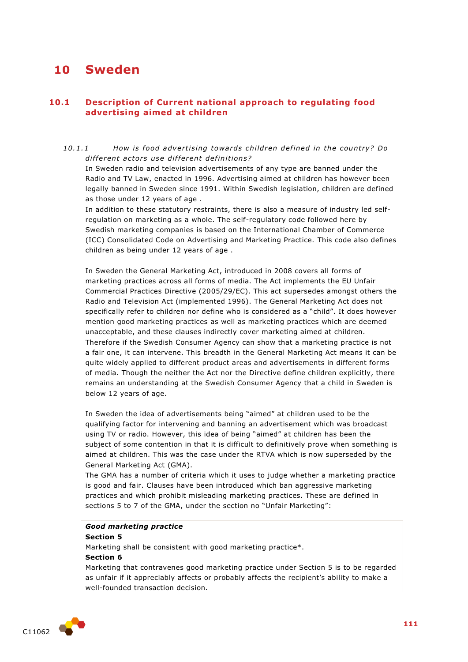# **10 Sweden**

# **10.1 Description of Current national approach to regulating food advertising aimed at children**

### 10.1.1 *How is food advertising towards children defined in the country? Do* different actors use different definitions?

In Sweden radio and television advertisements of any type are banned under the Radio and TV Law, enacted in 1996. Advertising aimed at children has however been legally banned in Sweden since 1991. Within Swedish legislation, children are defined as those under 12 years of age .

In addition to these statutory restraints, there is also a measure of industry led selfregulation on marketing as a whole. The self-regulatory code followed here by Swedish marketing companies is based on the International Chamber of Commerce (ICC) Consolidated Code on Advertising and Marketing Practice. This code also defines children as being under 12 years of age .

In Sweden the General Marketing Act, introduced in 2008 covers all forms of marketing practices across all forms of media. The Act implements the EU Unfair Commercial Practices Directive (2005/29/EC). This act supersedes amongst others the Radio and Television Act (implemented 1996). The General Marketing Act does not specifically refer to children nor define who is considered as a "child". It does however mention good marketing practices as well as marketing practices which are deemed unacceptable, and these clauses indirectly cover marketing aimed at children. Therefore if the Swedish Consumer Agency can show that a marketing practice is not a fair one, it can intervene. This breadth in the General Marketing Act means it can be quite widely applied to different product areas and advertisements in different forms of media. Though the neither the Act nor the Directive define children explicitly, there remains an understanding at the Swedish Consumer Agency that a child in Sweden is below 12 years of age.

In Sweden the idea of advertisements being "aimed" at children used to be the qualifying factor for intervening and banning an advertisement which was broadcast using TV or radio. However, this idea of being "aimed" at children has been the subject of some contention in that it is difficult to definitively prove when something is aimed at children. This was the case under the RTVA which is now superseded by the General Marketing Act (GMA).

The GMA has a number of criteria which it uses to judge whether a marketing practice is good and fair. Clauses have been introduced which ban aggressive marketing practices and which prohibit misleading marketing practices. These are defined in sections 5 to 7 of the GMA, under the section no "Unfair Marketing":

#### *Good marketing practice*

#### **Section 5**

Marketing shall be consistent with good marketing practice\*.

#### **Section 6**

Marketing that contravenes good marketing practice under Section 5 is to be regarded as unfair if it appreciably affects or probably affects the recipient's ability to make a well-founded transaction decision.

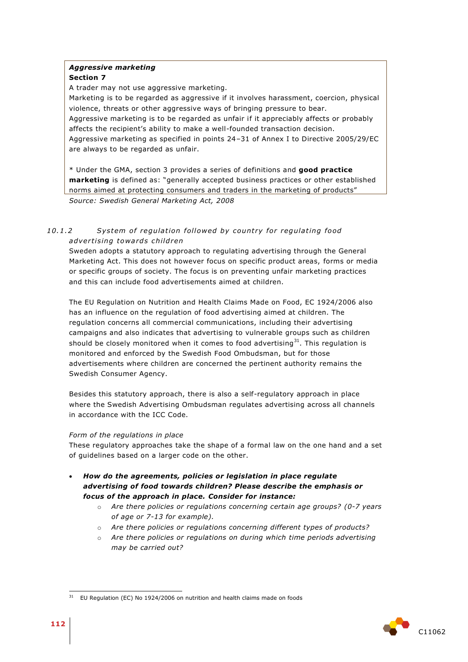#### *Aggressive marketing*  **Section 7**

A trader may not use aggressive marketing.

Marketing is to be regarded as aggressive if it involves harassment, coercion, physical violence, threats or other aggressive ways of bringing pressure to bear. Aggressive marketing is to be regarded as unfair if it appreciably affects or probably affects the recipient's ability to make a well-founded transaction decision. Aggressive marketing as specified in points 24–31 of Annex I to Directive 2005/29/EC are always to be regarded as unfair.

\* Under the GMA, section 3 provides a series of definitions and **good practice marketing** is defined as: "generally accepted business practices or other established norms aimed at protecting consumers and traders in the marketing of products" *Source: Swedish General Marketing Act, 2008*

# 10.1.2 System of regulation followed by country for regulating food *adver tising towa rd s child ren*

Sweden adopts a statutory approach to regulating advertising through the General Marketing Act. This does not however focus on specific product areas, forms or media or specific groups of society. The focus is on preventing unfair marketing practices and this can include food advertisements aimed at children.

The EU Regulation on Nutrition and Health Claims Made on Food, EC 1924/2006 also has an influence on the regulation of food advertising aimed at children. The regulation concerns all commercial communications, including their advertising campaigns and also indicates that advertising to vulnerable groups such as children should be closely monitored when it comes to food advertising $31$ . This regulation is monitored and enforced by the Swedish Food Ombudsman, but for those advertisements where children are concerned the pertinent authority remains the Swedish Consumer Agency.

Besides this statutory approach, there is also a self-regulatory approach in place where the Swedish Advertising Ombudsman regulates advertising across all channels in accordance with the ICC Code.

## *Form of the regulations in place*

These regulatory approaches take the shape of a formal law on the one hand and a set of guidelines based on a larger code on the other.

- *How do the agreements, policies or legislation in place regulate advertising of food towards children? Please describe the emphasis or focus of the approach in place. Consider for instance:* 
	- o *Are there policies or regulations concerning certain age groups? (0-7 years of age or 7-13 for example).*
	- o *Are there policies or regulations concerning different types of products?*
	- o *Are there policies or regulations on during which time periods advertising may be carried out?*



<sup>1</sup> EU Regulation (EC) No 1924/2006 on nutrition and health claims made on foods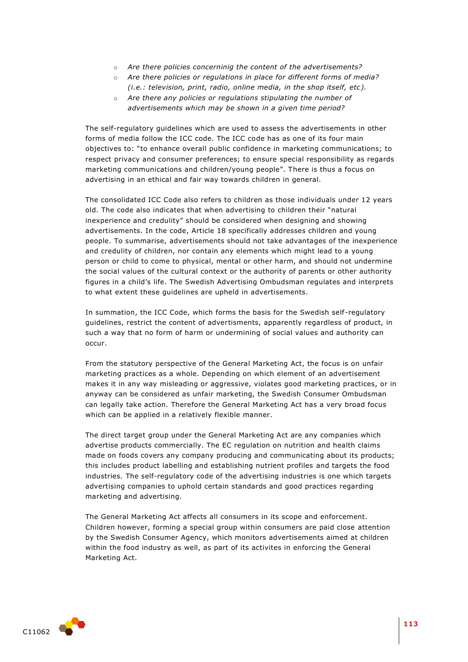- o *Are there policies concerninig the content of the advertisements?*
- o *Are there policies or regulations in place for different forms of media? (i.e.: television, print, radio, online media, in the shop itself, etc).*
- o *Are there any policies or regulations stipulating the number of advertisements which may be shown in a given time period?*

The self-regulatory guidelines which are used to assess the advertisements in other forms of media follow the ICC code. The ICC code has as one of its four main objectives to: "to enhance overall public confidence in marketing communications; to respect privacy and consumer preferences; to ensure special responsibility as regards marketing communications and children/young people". There is thus a focus on advertising in an ethical and fair way towards children in general.

The consolidated ICC Code also refers to children as those individuals under 12 years old. The code also indicates that when advertising to children their "natural inexperience and credulity" should be considered when designing and showing advertisements. In the code, Article 18 specifically addresses children and young people. To summarise, advertisements should not take advantages of the inexperience and credulity of children, nor contain any elements which might lead to a young person or child to come to physical, mental or other harm, and should not undermine the social values of the cultural context or the authority of parents or other authority figures in a child's life. The Swedish Advertising Ombudsman regulates and interprets to what extent these guidelines are upheld in advertisements.

In summation, the ICC Code, which forms the basis for the Swedish self -regulatory guidelines, restrict the content of advertisments, apparently regardless of product, in such a way that no form of harm or undermining of social values and authority can occur.

From the statutory perspective of the General Marketing Act, the focus is on unfair marketing practices as a whole. Depending on which element of an advertisement makes it in any way misleading or aggressive, violates good marketing practices, or in anyway can be considered as unfair marketing, the Swedish Consumer Ombudsman can legally take action. Therefore the General Marketing Act has a very broad focus which can be applied in a relatively flexible manner.

The direct target group under the General Marketing Act are any companies which advertise products commercially. The EC regulation on nutrition and health claims made on foods covers any company producing and communicating about its products; this includes product labelling and establishing nutrient profiles and targets the food industries. The self-regulatory code of the advertising industries is one which targets advertising companies to uphold certain standards and good practices regarding marketing and advertising.

The General Marketing Act affects all consumers in its scope and enforcement. Children however, forming a special group within consumers are paid close attention by the Swedish Consumer Agency, which monitors advertisements aimed at children within the food industry as well, as part of its activites in enforcing the General Marketing Act.

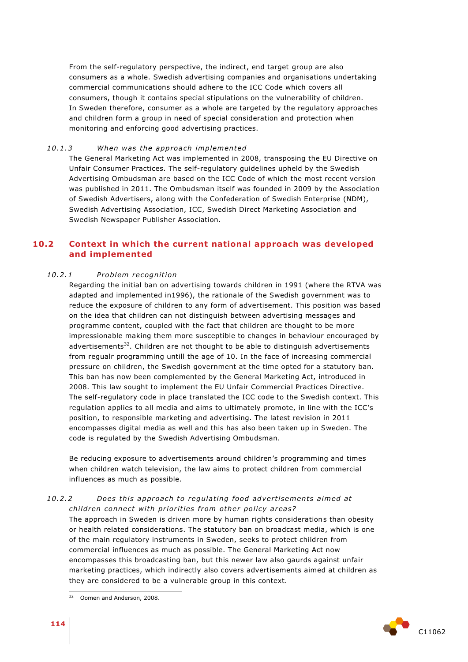From the self-regulatory perspective, the indirect, end target group are also consumers as a whole. Swedish advertising companies and organisations undertaking commercial communications should adhere to the ICC Code which covers all consumers, though it contains special stipulations on the vulnerability of children. In Sweden therefore, consumer as a whole are targeted by the regulatory approaches and children form a group in need of special consideration and protection when monitoring and enforcing good advertising practices.

#### *10 .1 .3 When was the app roa ch implemented*

The General Marketing Act was implemented in 2008, transposing the EU Directive on Unfair Consumer Practices. The self-regulatory guidelines upheld by the Swedish Advertising Ombudsman are based on the ICC Code of which the most recent version was published in 2011. The Ombudsman itself was founded in 2009 by the Association of Swedish Advertisers, along with the Confederation of Swedish Enterprise (NDM), Swedish Advertising Association, ICC, Swedish Direct Marketing Association and Swedish Newspaper Publisher Association.

# **10.2 Context in which the current national approach was developed and implemented**

#### *10 .2 .1 P roblem recognition*

Regarding the initial ban on advertising towards children in 1991 (where the RTVA was adapted and implemented in1996), the rationale of the Swedish government was to reduce the exposure of children to any form of advertisement. This position was based on the idea that children can not distinguish between advertising messages and programme content, coupled with the fact that children are thought to be more impressionable making them more susceptible to changes in behaviour encouraged by advertisements $32$ . Children are not thought to be able to distinguish advertisements from regualr programming untill the age of 10. In the face of increasing commercial pressure on children, the Swedish government at the time opted for a statutory ban. This ban has now been complemented by the General Marketing Act, introduced in 2008. This law sought to implement the EU Unfair Commercial Practices Directive. The self-regulatory code in place translated the ICC code to the Swedish context. This regulation applies to all media and aims to ultimately promote, in line with the ICC's position, to responsible marketing and advertising. The latest revision in 2011 encompasses digital media as well and this has also been taken up in Sweden. The code is regulated by the Swedish Advertising Ombudsman.

Be reducing exposure to advertisements around children's programming and times when children watch television, the law aims to protect children from commercial influences as much as possible.

#### 10.2.2 *Does this approach to regulating food advertisements aimed at children connect with priorities from other policy areas?*

The approach in Sweden is driven more by human rights considerations than obesity or health related considerations. The statutory ban on broadcast media, which is one of the main regulatory instruments in Sweden, seeks to protect children from commercial influences as much as possible. The General Marketing Act now encompasses this broadcasting ban, but this newer law also gaurds against unfair marketing practices, which indirectly also covers advertisements aimed at children as they are considered to be a vulnerable group in this context.



 $32$ Oomen and Anderson, 2008.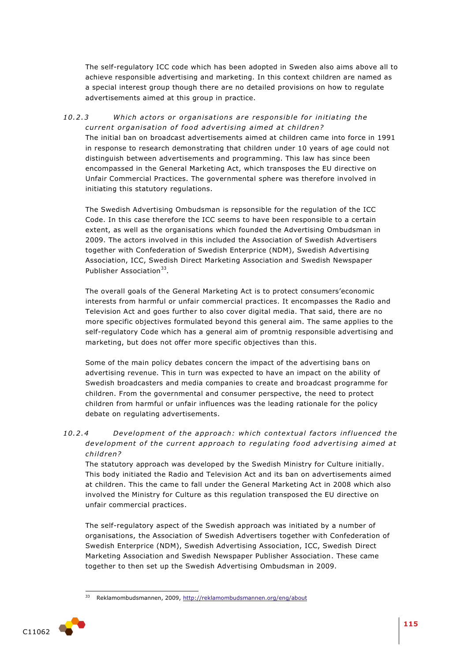The self-regulatory ICC code which has been adopted in Sweden also aims above all to achieve responsible advertising and marketing. In this context children are named as a special interest group though there are no detailed provisions on how to regulate advertisements aimed at this group in practice.

## 10.2.3 Which actors or organisations are responsible for initiating the *current organisation of food advertising aimed at children?*

The initial ban on broadcast advertisements aimed at children came into force in 1991 in response to research demonstrating that children under 10 years of age could not distinguish between advertisements and programming. This law has since been encompassed in the General Marketing Act, which transposes the EU directive on Unfair Commercial Practices. The governmental sphere was therefore involved in initiating this statutory regulations.

The Swedish Advertising Ombudsman is repsonsible for the regulation of the ICC Code. In this case therefore the ICC seems to have been responsible to a certain extent, as well as the organisations which founded the Advertising Ombudsman in 2009. The actors involved in this included the Association of Swedish Advertisers together with Confederation of Swedish Enterprice (NDM), Swedish Advertising Association, ICC, Swedish Direct Marketing Association and Swedish Newspaper Publisher Association<sup>33</sup>.

The overall goals of the General Marketing Act is to protect consumers'economic interests from harmful or unfair commercial practices. It encompasses the Radio and Television Act and goes further to also cover digital media. That said, there are no more specific objectives formulated beyond this general aim. The same applies to the self-regulatory Code which has a general aim of promtnig responsible advertising and marketing, but does not offer more specific objectives than this.

Some of the main policy debates concern the impact of the advertising bans on advertising revenue. This in turn was expected to have an impact on the ability of Swedish broadcasters and media companies to create and broadcast programme for children. From the governmental and consumer perspective, the need to protect children from harmful or unfair influences was the leading rationale for the policy debate on regulating advertisements.

# 10.2.4 *Development of the approach: which contextual factors influenced the* development of the current approach to regulating food advertising aimed at *child ren?*

The statutory approach was developed by the Swedish Ministry for Culture initially. This body initiated the Radio and Television Act and its ban on advertisements aimed at children. This the came to fall under the General Marketing Act in 2008 which also involved the Ministry for Culture as this regulation transposed the EU directive on unfair commercial practices.

The self-regulatory aspect of the Swedish approach was initiated by a number of organisations, the Association of Swedish Advertisers together with Confederation of Swedish Enterprice (NDM), Swedish Advertising Association, ICC, Swedish Direct Marketing Association and Swedish Newspaper Publisher Association. These came together to then set up the Swedish Advertising Ombudsman in 2009.

<sup>33</sup> Reklamombudsmannen, 2009,<http://reklamombudsmannen.org/eng/about>

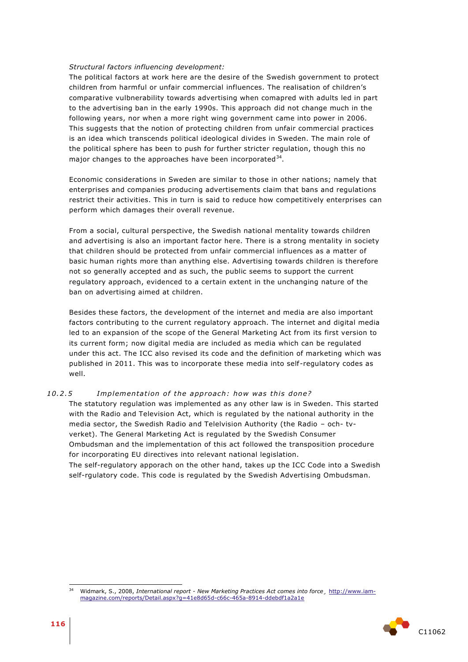#### *Structural factors influencing development:*

The political factors at work here are the desire of the Swedish government to protect children from harmful or unfair commercial influences. The realisation of children's comparative vulbnerability towards advertising when comapred with adults led in part to the advertising ban in the early 1990s. This approach did not change much in the following years, nor when a more right wing government came into power in 2006. This suggests that the notion of protecting children from unfair commercial practices is an idea which transcends political ideological divides in Sweden. The main role of the political sphere has been to push for further stricter regulation, though this no major changes to the approaches have been incorporated $^{34}$ .

Economic considerations in Sweden are similar to those in other nations; namely that enterprises and companies producing advertisements claim that bans and regulations restrict their activities. This in turn is said to reduce how competitively enterprises can perform which damages their overall revenue.

From a social, cultural perspective, the Swedish national mentality towards children and advertising is also an important factor here. There is a strong mentality in society that children should be protected from unfair commercial influences as a matter of basic human rights more than anything else. Advertising towards children is therefore not so generally accepted and as such, the public seems to support the current regulatory approach, evidenced to a certain extent in the unchanging nature of the ban on advertising aimed at children.

Besides these factors, the development of the internet and media are also important factors contributing to the current regulatory approach. The internet and digital media led to an expansion of the scope of the General Marketing Act from its first version to its current form; now digital media are included as media which can be regulated under this act. The ICC also revised its code and the definition of marketing which was published in 2011. This was to incorporate these media into self-regulatory codes as well.

#### 10.2.5 *Implementation of the approach: how was this done?*

The statutory regulation was implemented as any other law is in Sweden. This started with the Radio and Television Act, which is regulated by the national authority in the media sector, the Swedish Radio and Telelvision Authority (the Radio – och- tvverket). The General Marketing Act is regulated by the Swedish Consumer Ombudsman and the implementation of this act followed the transposition procedure for incorporating EU directives into relevant national legislation. The self-regulatory apporach on the other hand, takes up the ICC Code into a Swedish self-rgulatory code. This code is regulated by the Swedish Advertising Ombudsman.

 $34$ <sup>34</sup> Widmark, S., 2008, *International report - New Marketing Practices Act comes into force¸* [http://www.iam](http://www.iam-magazine.com/reports/Detail.aspx?g=41e8d65d-c66c-465a-8914-ddebdf1a2a1e)[magazine.com/reports/Detail.aspx?g=41e8d65d-c66c-465a-8914-ddebdf1a2a1e](http://www.iam-magazine.com/reports/Detail.aspx?g=41e8d65d-c66c-465a-8914-ddebdf1a2a1e)

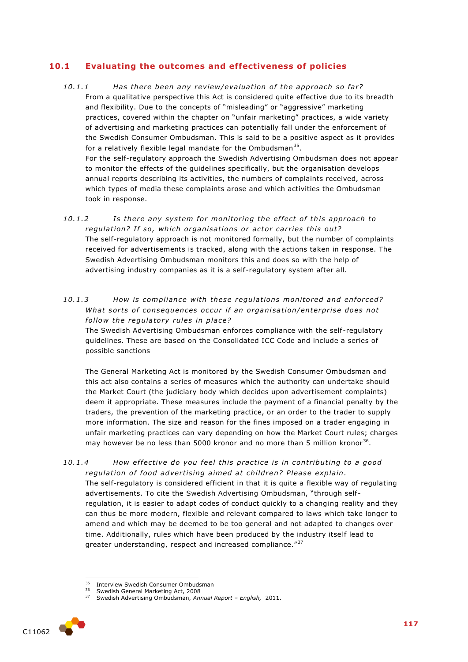# **10.1 Evaluating the outcomes and effectiveness of policies**

- 10.1.1 Has there been any review/evaluation of the approach so far? From a qualitative perspective this Act is considered quite effective due to its breadth and flexibility. Due to the concepts of "misleading" or "aggressive" marketing practices, covered within the chapter on "unfair marketing" practices, a wide variety of advertising and marketing practices can potentially fall under the enforcement of the Swedish Consumer Ombudsman. This is said to be a positive aspect as it provides for a relatively flexible legal mandate for the Ombudsman<sup>35</sup>. For the self-regulatory approach the Swedish Advertising Ombudsman does not appear to monitor the effects of the guidelines specifically, but the organisation develops annual reports describing its activities, the numbers of complaints received, across which types of media these complaints arose and which activities the Ombudsman took in response.
- 10.1.2 **Is there any system for monitoring the effect of this approach to** regulation? If so, which organisations or actor carries this out? The self-regulatory approach is not monitored formally, but the number of complaints received for advertisements is tracked, along with the actions taken in response. The Swedish Advertising Ombudsman monitors this and does so with the help of advertising industry companies as it is a self-regulatory system after all.
- 10.1.3 How is compliance with these regulations monitored and enforced? *What sorts of consequences occur if an organisation/enterprise does not* follow the regulatory rules in place?

The Swedish Advertising Ombudsman enforces compliance with the self-regulatory guidelines. These are based on the Consolidated ICC Code and include a series of possible sanctions

The General Marketing Act is monitored by the Swedish Consumer Ombudsman and this act also contains a series of measures which the authority can undertake should the Market Court (the judiciary body which decides upon advertisement complaints) deem it appropriate. These measures include the payment of a financial penalty by the traders, the prevention of the marketing practice, or an order to the trader to supply more information. The size and reason for the fines imposed on a trader engaging in unfair marketing practices can vary depending on how the Market Court rules; charges may however be no less than 5000 kronor and no more than 5 million kronor<sup>36</sup>.

*10 .1 .4 How e f fe ctive do you feel this p rac tice i s in con tribu ting to a good*  regulation of food advertising aimed at children? Please explain.

The self-regulatory is considered efficient in that it is quite a flexible way of regulating advertisements. To cite the Swedish Advertising Ombudsman, "through selfregulation, it is easier to adapt codes of conduct quickly to a changing reality and they can thus be more modern, flexible and relevant compared to laws which take longer to amend and which may be deemed to be too general and not adapted to changes over time. Additionally, rules which have been produced by the industry itself lead to greater understanding, respect and increased compliance."<sup>37</sup>

<sup>37</sup> Swedish Advertising Ombudsman, *Annual Report – English,* 2011.



<sup>35</sup>  $35$  Interview Swedish Consumer Ombudsman

 $36$  Swedish General Marketing Act, 2008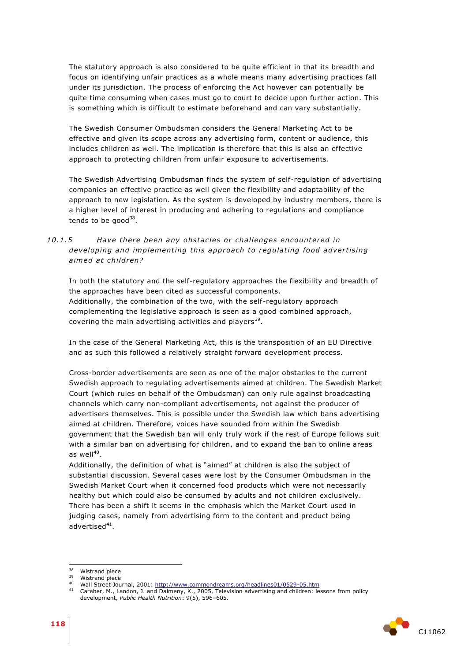The statutory approach is also considered to be quite efficient in that its breadth and focus on identifying unfair practices as a whole means many advertising practices fall under its jurisdiction. The process of enforcing the Act however can potentially be quite time consuming when cases must go to court to decide upon further action. This is something which is difficult to estimate beforehand and can vary substantially.

The Swedish Consumer Ombudsman considers the General Marketing Act to be effective and given its scope across any advertising form, content or audience, this includes children as well. The implication is therefore that this is also an effective approach to protecting children from unfair exposure to advertisements.

The Swedish Advertising Ombudsman finds the system of self-regulation of advertising companies an effective practice as well given the flexibility and adaptability of the approach to new legislation. As the system is developed by industry members, there is a higher level of interest in producing and adhering to regulations and compliance tends to be good $^{38}$ .

# 10.1.5 Have there been any obstacles or challenges encountered in *developing and implementing this approach to regulating food advertising* aimed at children?

In both the statutory and the self-regulatory approaches the flexibility and breadth of the approaches have been cited as successful components. Additionally, the combination of the two, with the self-regulatory approach complementing the legislative approach is seen as a good combined approach, covering the main advertising activities and players<sup>39</sup>.

In the case of the General Marketing Act, this is the transposition of an EU Directive and as such this followed a relatively straight forward development process.

Cross-border advertisements are seen as one of the major obstacles to the current Swedish approach to regulating advertisements aimed at children. The Swedish Market Court (which rules on behalf of the Ombudsman) can only rule against broadcasting channels which carry non-compliant advertisements, not against the producer of advertisers themselves. This is possible under the Swedish law which bans advertising aimed at children. Therefore, voices have sounded from within the Swedish government that the Swedish ban will only truly work if the rest of Europe follows suit with a similar ban on advertising for children, and to expand the ban to online areas as well $^{40}$ .

Additionally, the definition of what is "aimed" at children is also the subject of substantial discussion. Several cases were lost by the Consumer Ombudsman in the Swedish Market Court when it concerned food products which were not necessarily healthy but which could also be consumed by adults and not children exclusively. There has been a shift it seems in the emphasis which the Market Court used in judging cases, namely from advertising form to the content and product being advertised $^{41}$ .

<sup>&</sup>lt;sup>41</sup> Caraher, M., Landon, J. and Dalmeny, K., 2005, Television advertising and children: lessons from policy development, *Public Health Nutrition*: 9(5), 596–605.



<sup>38</sup>  $38$  Wistrand piece

 $39$  Wistrand piece

<sup>&</sup>lt;sup>40</sup> Wall Street Journal, 2001:<http://www.commondreams.org/headlines01/0529-05.htm>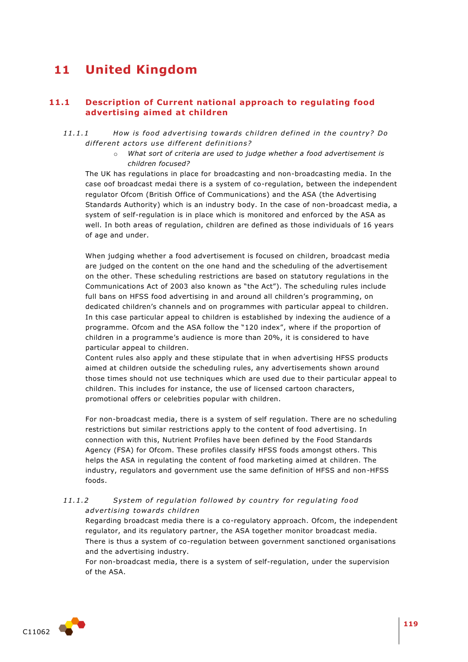# **11 United Kingdom**

# **11.1 Description of Current national approach to regulating food advertising aimed at children**

- 11.1.1 *How is food advertising towards children defined in the country? Do* different actors use different definitions?
	- o *What sort of criteria are used to judge whether a food advertisement is children focused?*

The UK has regulations in place for broadcasting and non-broadcasting media. In the case oof broadcast medai there is a system of co-regulation, between the independent regulator Ofcom (British Office of Communications) and the ASA (the Advertising Standards Authority) which is an industry body. In the case of non-broadcast media, a system of self-regulation is in place which is monitored and enforced by the ASA as well. In both areas of regulation, children are defined as those individuals of 16 years of age and under.

When judging whether a food advertisement is focused on children, broadcast media are judged on the content on the one hand and the scheduling of the advertisement on the other. These scheduling restrictions are based on statutory regulations in the Communications Act of 2003 also known as "the Act"). The scheduling rules include full bans on HFSS food advertising in and around all children's programming, on dedicated children's channels and on programmes with particular appeal to children. In this case particular appeal to children is established by indexing the audience of a programme. Ofcom and the ASA follow the "120 index", where if the proportion of children in a programme's audience is more than 20%, it is considered to have particular appeal to children.

Content rules also apply and these stipulate that in when advertising HFSS products aimed at children outside the scheduling rules, any advertisements shown around those times should not use techniques which are used due to their particular appeal to children. This includes for instance, the use of licensed cartoon characters, promotional offers or celebrities popular with children.

For non-broadcast media, there is a system of self regulation. There are no scheduling restrictions but similar restrictions apply to the content of food advertising. In connection with this, Nutrient Profiles have been defined by the Food Standards Agency (FSA) for Ofcom. These profiles classify HFSS foods amongst others. This helps the ASA in regulating the content of food marketing aimed at children. The industry, regulators and government use the same definition of HFSS and non-HFSS foods.

#### 11.1.2 System of regulation followed by country for regulating food *adver tising towa rd s child ren*

Regarding broadcast media there is a co-regulatory approach. Ofcom, the independent regulator, and its regulatory partner, the ASA together monitor broadcast media. There is thus a system of co-regulation between government sanctioned organisations and the advertising industry.

For non-broadcast media, there is a system of self-regulation, under the supervision of the ASA.

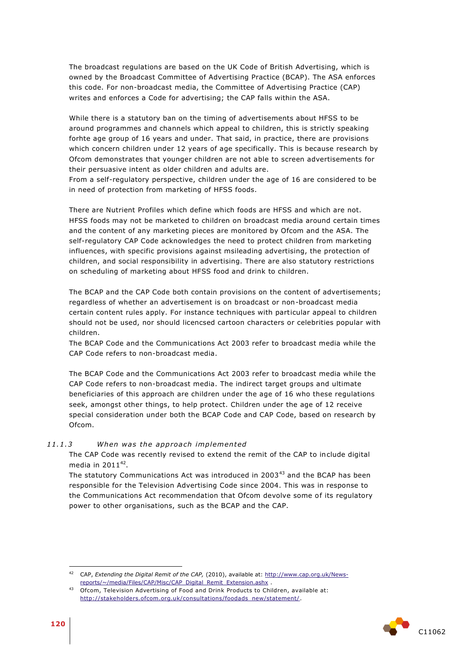The broadcast regulations are based on the UK Code of British Advertising, which is owned by the Broadcast Committee of Advertising Practice (BCAP). The ASA enforces this code. For non-broadcast media, the Committee of Advertising Practice (CAP) writes and enforces a Code for advertising; the CAP falls within the ASA.

While there is a statutory ban on the timing of advertisements about HFSS to be around programmes and channels which appeal to children, this is strictly speaking forhte age group of 16 years and under. That said, in practice, there are provisions which concern children under 12 years of age specifically. This is because research by Ofcom demonstrates that younger children are not able to screen advertisements for their persuasive intent as older children and adults are.

From a self-regulatory perspective, children under the age of 16 are considered to be in need of protection from marketing of HFSS foods.

There are Nutrient Profiles which define which foods are HFSS and which are not. HFSS foods may not be marketed to children on broadcast media around certain times and the content of any marketing pieces are monitored by Ofcom and the ASA. The self-regulatory CAP Code acknowledges the need to protect children from marketing influences, with specific provisions against msileading advertising, the protection of children, and social responsibility in advertising. There are also statutory restrictions on scheduling of marketing about HFSS food and drink to children.

The BCAP and the CAP Code both contain provisions on the content of advertisements; regardless of whether an advertisement is on broadcast or non-broadcast media certain content rules apply. For instance techniques with particular appeal to children should not be used, nor should licencsed cartoon characters or celebrities popular with children.

The BCAP Code and the Communications Act 2003 refer to broadcast media while the CAP Code refers to non-broadcast media.

The BCAP Code and the Communications Act 2003 refer to broadcast media while the CAP Code refers to non-broadcast media. The indirect target groups and ultimate beneficiaries of this approach are children under the age of 16 who these regulations seek, amongst other things, to help protect. Children under the age of 12 receive special consideration under both the BCAP Code and CAP Code, based on research by Ofcom.

### *11 .1 .3 When was the app roa ch implemented*

The CAP Code was recently revised to extend the remit of the CAP to include digital media in 2011 $^{42}$ .

The statutory Communications Act was introduced in 2003<sup>43</sup> and the BCAP has been responsible for the Television Advertising Code since 2004. This was in response to the Communications Act recommendation that Ofcom devolve some of its regulatory power to other organisations, such as the BCAP and the CAP.



1

<sup>42</sup> CAP, *Extending the Digital Remit of the CAP,* (2010), available at: [http://www.cap.org.uk/News](http://www.cap.org.uk/News-reports/~/media/Files/CAP/Misc/CAP_Digital_Remit_Extension.ashx)[reports/~/media/Files/CAP/Misc/CAP\\_Digital\\_Remit\\_Extension.ashx](http://www.cap.org.uk/News-reports/~/media/Files/CAP/Misc/CAP_Digital_Remit_Extension.ashx) .

<sup>43</sup> Ofcom, Television Advertising of Food and Drink Products to Children, available at: [http://stakeholders.ofcom.org.uk/consultations/foodads\\_new/statement/](http://stakeholders.ofcom.org.uk/consultations/foodads_new/statement/).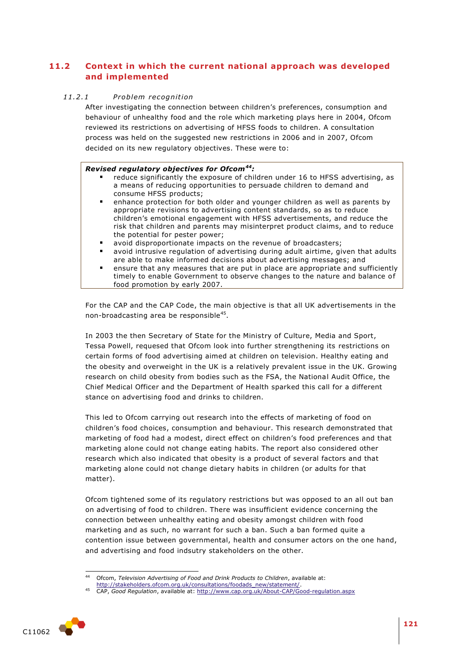# **11.2 Context in which the current national approach was developed and implemented**

#### *11 .2 .1 P roblem recognition*

After investigating the connection between children's preferences, consumption and behaviour of unhealthy food and the role which marketing plays here in 2004, Ofcom reviewed its restrictions on advertising of HFSS foods to children. A consultation process was held on the suggested new restrictions in 2006 and in 2007, Ofcom decided on its new regulatory objectives. These were to:

# *Revised regulatory objectives for Ofcom<sup>44</sup>:*

- reduce significantly the exposure of children under 16 to HFSS advertising, as a means of reducing opportunities to persuade children to demand and consume HFSS products;
- enhance protection for both older and younger children as well as parents by appropriate revisions to advertising content standards, so as to reduce children's emotional engagement with HFSS advertisements, and reduce the risk that children and parents may misinterpret product claims, and to reduce the potential for pester power;
- avoid disproportionate impacts on the revenue of broadcasters;
- avoid intrusive regulation of advertising during adult airtime, given that adults are able to make informed decisions about advertising messages; and
- ensure that any measures that are put in place are appropriate and sufficiently timely to enable Government to observe changes to the nature and balance of food promotion by early 2007.

For the CAP and the CAP Code, the main objective is that all UK advertisements in the non-broadcasting area be responsible<sup>45</sup>.

In 2003 the then Secretary of State for the Ministry of Culture, Media and Sport, Tessa Powell, requesed that Ofcom look into further strengthening its restrictions on certain forms of food advertising aimed at children on television. Healthy eating and the obesity and overweight in the UK is a relatively prevalent issue in the UK. Growing research on child obesity from bodies such as the FSA, the National Audit Office, the Chief Medical Officer and the Department of Health sparked this call for a different stance on advertising food and drinks to children.

This led to Ofcom carrying out research into the effects of marketing of food on children's food choices, consumption and behaviour. This research demonstrated that marketing of food had a modest, direct effect on children's food preferences and that marketing alone could not change eating habits. The report also considered other research which also indicated that obesity is a product of several factors and that marketing alone could not change dietary habits in children (or adults for that matter).

Ofcom tightened some of its regulatory restrictions but was opposed to an all out ban on advertising of food to children. There was insufficient evidence concerning the connection between unhealthy eating and obesity amongst children with food marketing and as such, no warrant for such a ban. Such a ban formed quite a contention issue between governmental, health and consumer actors on the one hand, and advertising and food indsutry stakeholders on the other.

<sup>45</sup> CAP, *Good Regulation*, available at:<http://www.cap.org.uk/About-CAP/Good-regulation.aspx>



<sup>1</sup> <sup>44</sup> Ofcom, *Television Advertising of Food and Drink Products to Children*, available at:

[http://stakeholders.ofcom.org.uk/consultations/foodads\\_new/statement/.](http://stakeholders.ofcom.org.uk/consultations/foodads_new/statement/)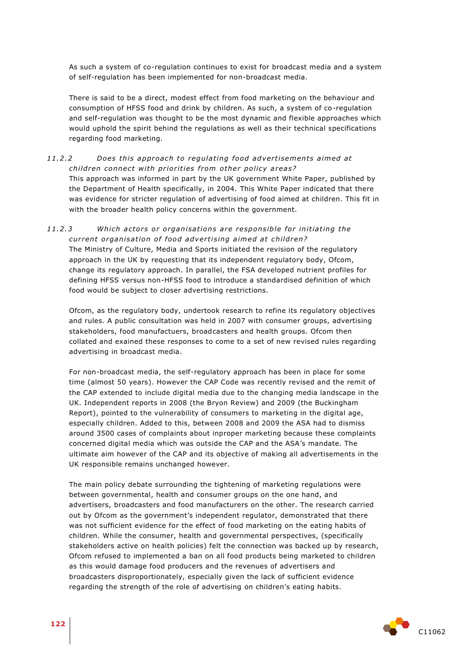As such a system of co-regulation continues to exist for broadcast media and a system of self-regulation has been implemented for non-broadcast media.

There is said to be a direct, modest effect from food marketing on the behaviour and consumption of HFSS food and drink by children. As such, a system of co-regulation and self-regulation was thought to be the most dynamic and flexible approaches which would uphold the spirit behind the regulations as well as their technical specifications regarding food marketing.

# 11.2.2 *Does this approach to regulating food advertisements aimed at children connect with priorities from other policy areas?*

This approach was informed in part by the UK government White Paper, published by the Department of Health specifically, in 2004. This White Paper indicated that there was evidence for stricter regulation of advertising of food aimed at children. This fit in with the broader health policy concerns within the government.

#### 11.2.3 Which actors or organisations are responsible for initiating the *current organisation of food advertising aimed at children?*

The Ministry of Culture, Media and Sports initiated the revision of the regulatory approach in the UK by requesting that its independent regulatory body, Ofcom, change its regulatory approach. In parallel, the FSA developed nutrient profiles for defining HFSS versus non-HFSS food to introduce a standardised definition of which food would be subject to closer advertising restrictions.

Ofcom, as the regulatory body, undertook research to refine its regulatory objectives and rules. A public consultation was held in 2007 with consumer groups, advertising stakeholders, food manufactuers, broadcasters and health groups. Ofcom then collated and exained these responses to come to a set of new revised rules regarding advertising in broadcast media.

For non-broadcast media, the self-regulatory approach has been in place for some time (almost 50 years). However the CAP Code was recently revised and the remit of the CAP extended to include digital media due to the changing media landscape in the UK. Independent reports in 2008 (the Bryon Review) and 2009 (the Buckingham Report), pointed to the vulnerability of consumers to marketing in the digital age, especially children. Added to this, between 2008 and 2009 the ASA had to dismiss around 3500 cases of complaints about inproper marketing because these complaints concerned digital media which was outside the CAP and the ASA's mandate. The ultimate aim however of the CAP and its objective of making all advertisements in the UK responsible remains unchanged however.

The main policy debate surrounding the tightening of marketing regulations were between governmental, health and consumer groups on the one hand, and advertisers, broadcasters and food manufacturers on the other. The research carried out by Ofcom as the government's independent regulator, demonstrated that there was not sufficient evidence for the effect of food marketing on the eating habits of children. While the consumer, health and governmental perspectives, (specifically stakeholders active on health policies) felt the connection was backed up by research, Ofcom refused to implemented a ban on all food products being marketed to children as this would damage food producers and the revenues of advertisers and broadcasters disproportionately, especially given the lack of sufficient evidence regarding the strength of the role of advertising on children's eating habits.

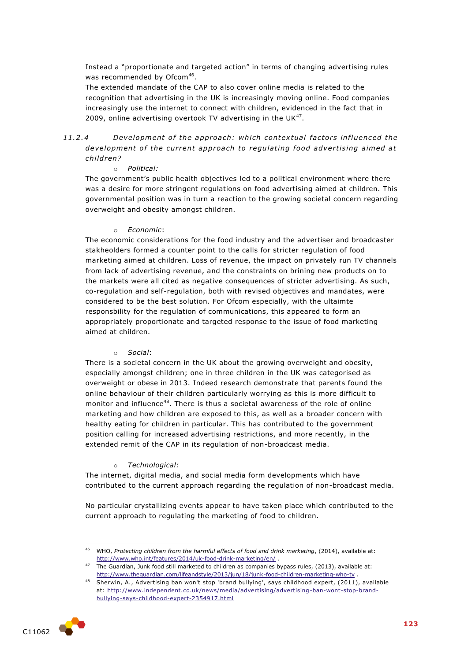Instead a "proportionate and targeted action" in terms of changing advertising rules was recommended by Ofcom<sup>46</sup>.

The extended mandate of the CAP to also cover online media is related to the recognition that advertising in the UK is increasingly moving online. Food companies increasingly use the internet to connect with children, evidenced in the fact that in 2009, online advertising overtook TV advertising in the UK $47$ .

# *11 .2 .4 Development o f the app roach: whi ch contex tual fac to rs in fluenced the*  development of the current approach to regulating food advertising aimed at *child ren?*

#### o *Political:*

The government's public health objectives led to a political environment where there was a desire for more stringent regulations on food advertising aimed at children. This governmental position was in turn a reaction to the growing societal concern regarding overweight and obesity amongst children.

#### o *Economic*:

The economic considerations for the food industry and the advertiser and broadcaster stakheolders formed a counter point to the calls for stricter regulation of food marketing aimed at children. Loss of revenue, the impact on privately run TV channels from lack of advertising revenue, and the constraints on brining new products on to the markets were all cited as negative consequences of stricter advertising. As such, co-regulation and self-regulation, both with revised objectives and mandates, were considered to be the best solution. For Ofcom especially, with the ultaimte responsbility for the regulation of communications, this appeared to form an appropriately proportionate and targeted response to the issue of food marketing aimed at children.

#### o *Social*:

There is a societal concern in the UK about the growing overweight and obesity, especially amongst children; one in three children in the UK was categorised as overweight or obese in 2013. Indeed research demonstrate that parents found the online behaviour of their children particularly worrying as this is more difficult to monitor and influence<sup>48</sup>. There is thus a societal awareness of the role of online marketing and how children are exposed to this, as well as a broader concern with healthy eating for children in particular. This has contributed to the government position calling for increased advertising restrictions, and more recently, in the extended remit of the CAP in its regulation of non-broadcast media.

#### o *Technological:*

The internet, digital media, and social media form developments which have contributed to the current approach regarding the regulation of non-broadcast media.

No particular crystallizing events appear to have taken place which contributed to the current approach to regulating the marketing of food to children.

<sup>48</sup> Sherwin, A., Advertising ban won't stop 'brand bullying', says childhood expert, (2011), available at: [http://www.independent.co.uk/news/media/advertising/advertising-ban-wont-stop-brand](http://www.independent.co.uk/news/media/advertising/advertising-ban-wont-stop-brand-bullying-says-childhood-expert-2354917.html)[bullying-says-childhood-expert-2354917.html](http://www.independent.co.uk/news/media/advertising/advertising-ban-wont-stop-brand-bullying-says-childhood-expert-2354917.html)



1

<sup>46</sup> WHO, *Protecting children from the harmful effects of food and drink marketing*, (2014), available at: <http://www.who.int/features/2014/uk-food-drink-marketing/en/> .

<sup>47</sup> The Guardian, Junk food still marketed to children as companies bypass rules, (2013), available at: <http://www.theguardian.com/lifeandstyle/2013/jun/18/junk-food-children-marketing-who-tv> .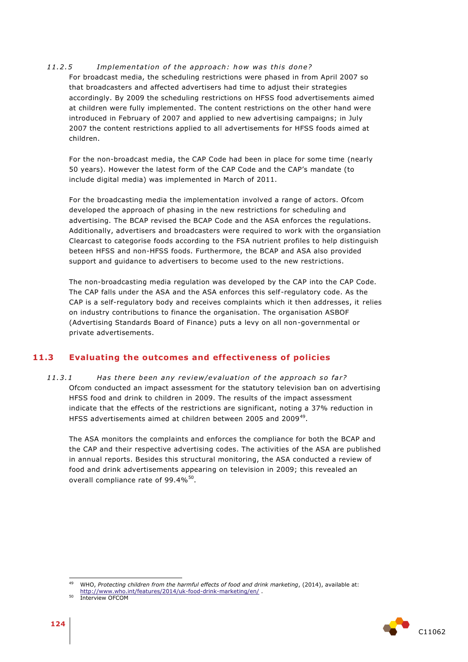#### 11.2.5 *Implementation of the approach: how was this done?*

For broadcast media, the scheduling restrictions were phased in from April 2007 so that broadcasters and affected advertisers had time to adjust their strategies accordingly. By 2009 the scheduling restrictions on HFSS food advertisements aimed at children were fully implemented. The content restrictions on the other hand were introduced in February of 2007 and applied to new advertising campaigns; in July 2007 the content restrictions applied to all advertisements for HFSS foods aimed at children.

For the non-broadcast media, the CAP Code had been in place for some time (nearly 50 years). However the latest form of the CAP Code and the CAP's mandate (to include digital media) was implemented in March of 2011.

For the broadcasting media the implementation involved a range of actors. Ofcom developed the approach of phasing in the new restrictions for scheduling and advertising. The BCAP revised the BCAP Code and the ASA enforces the regulations. Additionally, advertisers and broadcasters were required to work with the organsiation Clearcast to categorise foods according to the FSA nutrient profiles to help distinguish beteen HFSS and non-HFSS foods. Furthermore, the BCAP and ASA also provided support and quidance to advertisers to become used to the new restrictions.

The non-broadcasting media regulation was developed by the CAP into the CAP Code. The CAP falls under the ASA and the ASA enforces this self-regulatory code. As the CAP is a self-regulatory body and receives complaints which it then addresses, it relies on industry contributions to finance the organisation. The organisation ASBOF (Advertising Standards Board of Finance) puts a levy on all non-governmental or private advertisements.

# **11.3 Evaluating the outcomes and effectiveness of policies**

11.3.1 *Has there been any review/evaluation of the approach so far?* Ofcom conducted an impact assessment for the statutory television ban on advertising HFSS food and drink to children in 2009. The results of the impact assessment indicate that the effects of the restrictions are significant, noting a 37% reduction in HFSS advertisements aimed at children between 2005 and 2009<sup>49</sup>.

The ASA monitors the complaints and enforces the compliance for both the BCAP and the CAP and their respective advertising codes. The activities of the ASA are published in annual reports. Besides this structural monitoring, the ASA conducted a review of food and drink advertisements appearing on television in 2009; this revealed an overall compliance rate of 99.4% $^{50}$ .



<sup>49</sup> <sup>49</sup> WHO, *Protecting children from the harmful effects of food and drink marketing*, (2014), available at:

<http://www.who.int/features/2014/uk-food-drink-marketing/en/> .

<sup>&</sup>lt;sup>50</sup> Interview OFCOM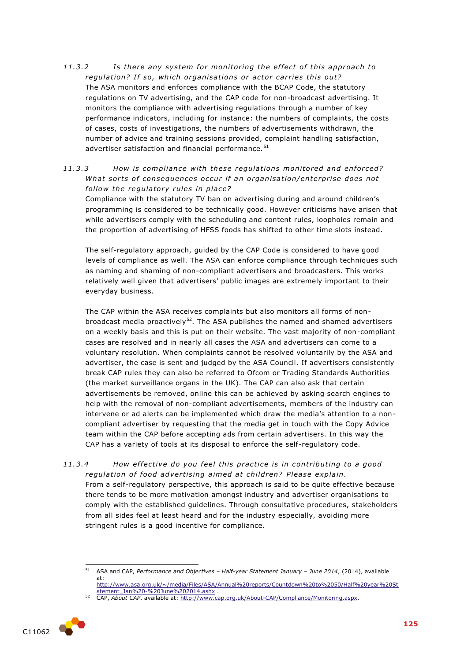11.3.2 **Is there any system for monitoring the effect of this approach to** regulation? If so, which organisations or actor carries this out? The ASA monitors and enforces compliance with the BCAP Code, the statutory regulations on TV advertising, and the CAP code for non-broadcast advertising. It monitors the compliance with advertising regulations through a number of key performance indicators, including for instance: the numbers of complaints, the costs of cases, costs of investigations, the numbers of advertisements withdrawn, the number of advice and training sessions provided, complaint handling satisfaction, advertiser satisfaction and financial performance.<sup>51</sup>

# 11.3.3 How is compliance with these regulations monitored and enforced? *What sorts of consequences occur if an organisation/enterprise does not* follow the regulatory rules in place?

Compliance with the statutory TV ban on advertising during and around children's programming is considered to be technically good. However criticisms have arisen that while advertisers comply with the scheduling and content rules, loopholes remain and the proportion of advertising of HFSS foods has shifted to other time slots instead.

The self-regulatory approach, guided by the CAP Code is considered to have good levels of compliance as well. The ASA can enforce compliance through techniques such as naming and shaming of non-compliant advertisers and broadcasters. This works relatively well given that advertisers' public images are extremely important to their everyday business.

The CAP within the ASA receives complaints but also monitors all forms of nonbroadcast media proactively $52$ . The ASA publishes the named and shamed advertisers on a weekly basis and this is put on their website. The vast majority of non-compliant cases are resolved and in nearly all cases the ASA and advertisers can come to a voluntary resolution. When complaints cannot be resolved voluntarily by the ASA and advertiser, the case is sent and judged by the ASA Council. If advertisers consistently break CAP rules they can also be referred to Ofcom or Trading Standards Authorities (the market surveillance organs in the UK). The CAP can also ask that certain advertisements be removed, online this can be achieved by asking search engines to help with the removal of non-compliant advertisements, members of the industry can intervene or ad alerts can be implemented which draw the media's attention to a noncompliant advertiser by requesting that the media get in touch with the Copy Advice team within the CAP before accepting ads from certain advertisers. In this way the CAP has a variety of tools at its disposal to enforce the self-regulatory code.

11.3.4 *How effective do you feel this practice is in contributing to a good regulation of food advertising aimed at children? Please explain.* From a self-regulatory perspective, this approach is said to be quite effective because there tends to be more motivation amongst industry and advertiser organisations to comply with the established guidelines. Through consultative procedures, stakeholders from all sides feel at least heard and for the industry especially, avoiding more stringent rules is a good incentive for compliance.

<sup>52</sup> CAP, *About CAP*, available at[: http://www.cap.org.uk/About-CAP/Compliance/Monitoring.aspx.](http://www.cap.org.uk/About-CAP/Compliance/Monitoring.aspx)



 $51$ <sup>51</sup> ASA and CAP, *Performance and Objectives – Half-year Statement January – June 2014*, (2014), available at:

[http://www.asa.org.uk/~/media/Files/ASA/Annual%20reports/Countdown%20to%2050/Half%20year%20St](http://www.asa.org.uk/~/media/Files/ASA/Annual%20reports/Countdown%20to%2050/Half%20year%20Statement_Jan%20-%20June%202014.ashx) [atement\\_Jan%20-%20June%202014.ashx](http://www.asa.org.uk/~/media/Files/ASA/Annual%20reports/Countdown%20to%2050/Half%20year%20Statement_Jan%20-%20June%202014.ashx) .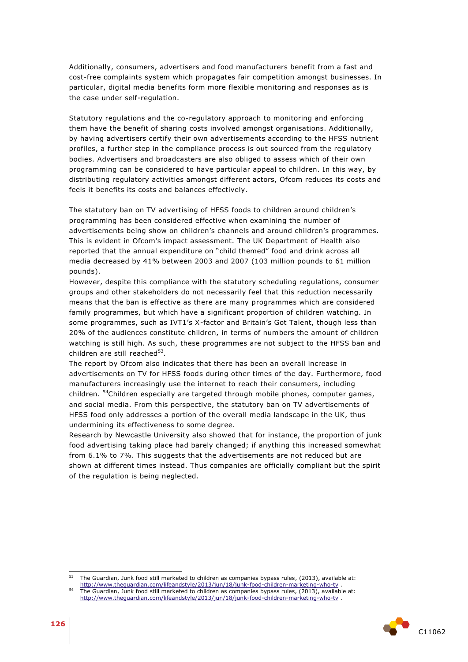Additionally, consumers, advertisers and food manufacturers benefit from a fast and cost-free complaints system which propagates fair competition amongst businesses. In particular, digital media benefits form more flexible monitoring and responses as is the case under self-regulation.

Statutory regulations and the co-regulatory approach to monitoring and enforcing them have the benefit of sharing costs involved amongst organisations. Additionally, by having advertisers certify their own advertisements according to the HFSS nutrient profiles, a further step in the compliance process is out sourced from the regulatory bodies. Advertisers and broadcasters are also obliged to assess which of their own programming can be considered to have particular appeal to children. In this way, by distributing regulatory activities amongst different actors, Ofcom reduces its costs and feels it benefits its costs and balances effectively.

The statutory ban on TV advertising of HFSS foods to children around children's programming has been considered effective when examining the number of advertisements being show on children's channels and around children's programmes. This is evident in Ofcom's impact assessment. The UK Department of Health also reported that the annual expenditure on "child themed" food and drink across all media decreased by 41% between 2003 and 2007 (103 million pounds to 61 million pounds).

However, despite this compliance with the statutory scheduling regulations, consumer groups and other stakeholders do not necessarily feel that this reduction necessarily means that the ban is effective as there are many programmes which are considered family programmes, but which have a significant proportion of children watching. In some programmes, such as IVT1's X-factor and Britain's Got Talent, though less than 20% of the audiences constitute children, in terms of numbers the amount of children watching is still high. As such, these programmes are not subject to the HFSS ban and children are still reached<sup>53</sup>.

The report by Ofcom also indicates that there has been an overall increase in advertisements on TV for HFSS foods during other times of the day. Furthermore, food manufacturers increasingly use the internet to reach their consumers, including children. <sup>54</sup>Children especially are targeted through mobile phones, computer games, and social media. From this perspective, the statutory ban on TV advertisements of HFSS food only addresses a portion of the overall media landscape in the UK, thus undermining its effectiveness to some degree.

Research by Newcastle University also showed that for instance, the proportion of junk food advertising taking place had barely changed; if anything this increased somewhat from 6.1% to 7%. This suggests that the advertisements are not reduced but are shown at different times instead. Thus companies are officially compliant but the spirit of the regulation is being neglected.

<sup>54</sup> The Guardian, Junk food still marketed to children as companies bypass rules, (2013), available at: <http://www.theguardian.com/lifeandstyle/2013/jun/18/junk-food-children-marketing-who-tv> .



<sup>53</sup> The Guardian, Junk food still marketed to children as companies bypass rules, (2013), available at: <http://www.theguardian.com/lifeandstyle/2013/jun/18/junk-food-children-marketing-who-tv> .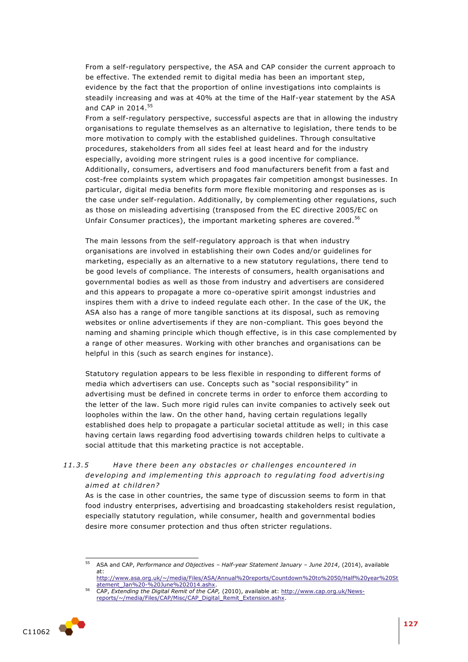From a self-regulatory perspective, the ASA and CAP consider the current approach to be effective. The extended remit to digital media has been an important step, evidence by the fact that the proportion of online investigations into complaints is steadily increasing and was at 40% at the time of the Half-year statement by the ASA and CAP in 2014.<sup>55</sup>

From a self-regulatory perspective, successful aspects are that in allowing the industry organisations to regulate themselves as an alternative to legislation, there tends to be more motivation to comply with the established guidelines. Through consultative procedures, stakeholders from all sides feel at least heard and for the industry especially, avoiding more stringent rules is a good incentive for compliance. Additionally, consumers, advertisers and food manufacturers benefit from a fast and cost-free complaints system which propagates fair competition amongst businesses. In particular, digital media benefits form more flexible monitoring and responses as is the case under self-regulation. Additionally, by complementing other regulations, such as those on misleading advertising (transposed from the EC directive 2005/EC on Unfair Consumer practices), the important marketing spheres are covered.<sup>56</sup>

The main lessons from the self-regulatory approach is that when industry organisations are involved in establishing their own Codes and/or guidelines for marketing, especially as an alternative to a new statutory regulations, there tend to be good levels of compliance. The interests of consumers, health organisations and governmental bodies as well as those from industry and advertisers are considered and this appears to propagate a more co-operative spirit amongst industries and inspires them with a drive to indeed regulate each other. In the case of the UK, the ASA also has a range of more tangible sanctions at its disposal, such as removing websites or online advertisements if they are non-compliant. This goes beyond the naming and shaming principle which though effective, is in this case complemented by a range of other measures. Working with other branches and organisations can be helpful in this (such as search engines for instance).

Statutory regulation appears to be less flexible in responding to different forms of media which advertisers can use. Concepts such as "social responsibility" in advertising must be defined in concrete terms in order to enforce them according to the letter of the law. Such more rigid rules can invite companies to actively seek out loopholes within the law. On the other hand, having certain regulations legally established does help to propagate a particular societal attitude as well; in this case having certain laws regarding food advertising towards children helps to cultivate a social attitude that this marketing practice is not acceptable.

# 11.3.5 Have there been any obstacles or challenges encountered in *developing and implementing this approach to regulating food advertising* aimed at children?

As is the case in other countries, the same type of discussion seems to form in that food industry enterprises, advertising and broadcasting stakeholders resist regulation, especially statutory regulation, while consumer, health and governmental bodies desire more consumer protection and thus often stricter regulations.

[reports/~/media/Files/CAP/Misc/CAP\\_Digital\\_Remit\\_Extension.ashx.](http://www.cap.org.uk/News-reports/~/media/Files/CAP/Misc/CAP_Digital_Remit_Extension.ashx)



<sup>55</sup> <sup>55</sup> ASA and CAP, *Performance and Objectives – Half-year Statement January – June 2014*, (2014), available at:

[http://www.asa.org.uk/~/media/Files/ASA/Annual%20reports/Countdown%20to%2050/Half%20year%20St](http://www.asa.org.uk/~/media/Files/ASA/Annual%20reports/Countdown%20to%2050/Half%20year%20Statement_Jan%20-%20June%202014.ashx) [atement\\_Jan%20-%20June%202014.ashx.](http://www.asa.org.uk/~/media/Files/ASA/Annual%20reports/Countdown%20to%2050/Half%20year%20Statement_Jan%20-%20June%202014.ashx) <sup>56</sup> CAP, *Extending the Digital Remit of the CAP,* (2010), available at: [http://www.cap.org.uk/News-](http://www.cap.org.uk/News-reports/~/media/Files/CAP/Misc/CAP_Digital_Remit_Extension.ashx)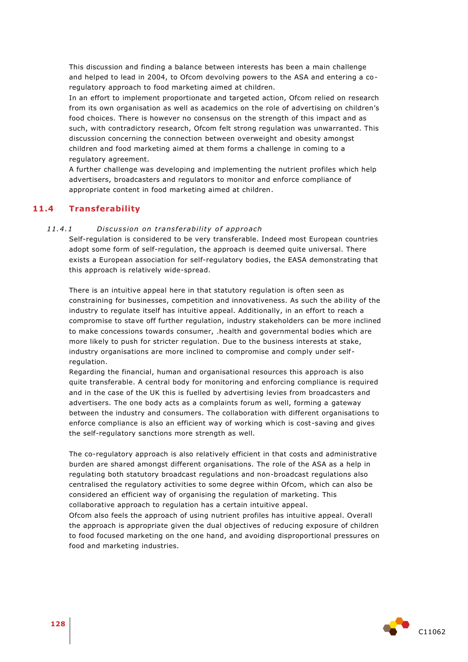This discussion and finding a balance between interests has been a main challenge and helped to lead in 2004, to Ofcom devolving powers to the ASA and entering a coregulatory approach to food marketing aimed at children.

In an effort to implement proportionate and targeted action, Ofcom relied on research from its own organisation as well as academics on the role of advertising on children's food choices. There is however no consensus on the strength of this impact and as such, with contradictory research, Ofcom felt strong regulation was unwarranted. This discussion concerning the connection between overweight and obesity amongst children and food marketing aimed at them forms a challenge in coming to a regulatory agreement.

A further challenge was developing and implementing the nutrient profiles which help advertisers, broadcasters and regulators to monitor and enforce compliance of appropriate content in food marketing aimed at children.

## **11.4 Transferability**

#### 11.4.1 *Discussion on transferability of approach*

Self-regulation is considered to be very transferable. Indeed most European countries adopt some form of self-regulation, the approach is deemed quite universal. There exists a European association for self-regulatory bodies, the EASA demonstrating that this approach is relatively wide-spread.

There is an intuitive appeal here in that statutory regulation is often seen as constraining for businesses, competition and innovativeness. As such the ability of the industry to regulate itself has intuitive appeal. Additionally, in an effort to reach a compromise to stave off further regulation, industry stakeholders can be more inclined to make concessions towards consumer, .health and governmental bodies which are more likely to push for stricter regulation. Due to the business interests at stake, industry organisations are more inclined to compromise and comply under self regulation.

Regarding the financial, human and organisational resources this approach is also quite transferable. A central body for monitoring and enforcing compliance is required and in the case of the UK this is fuelled by advertising levies from broadcasters and advertisers. The one body acts as a complaints forum as well, forming a gateway between the industry and consumers. The collaboration with different organisations to enforce compliance is also an efficient way of working which is cost -saving and gives the self-regulatory sanctions more strength as well.

The co-regulatory approach is also relatively efficient in that costs and administrative burden are shared amongst different organisations. The role of the ASA as a help in regulating both statutory broadcast regulations and non-broadcast regulations also centralised the regulatory activities to some degree within Ofcom, which can also be considered an efficient way of organising the regulation of marketing. This collaborative approach to regulation has a certain intuitive appeal.

Ofcom also feels the approach of using nutrient profiles has intuitive appeal. Overall the approach is appropriate given the dual objectives of reducing exposure of children to food focused marketing on the one hand, and avoiding disproportional pressures on food and marketing industries.